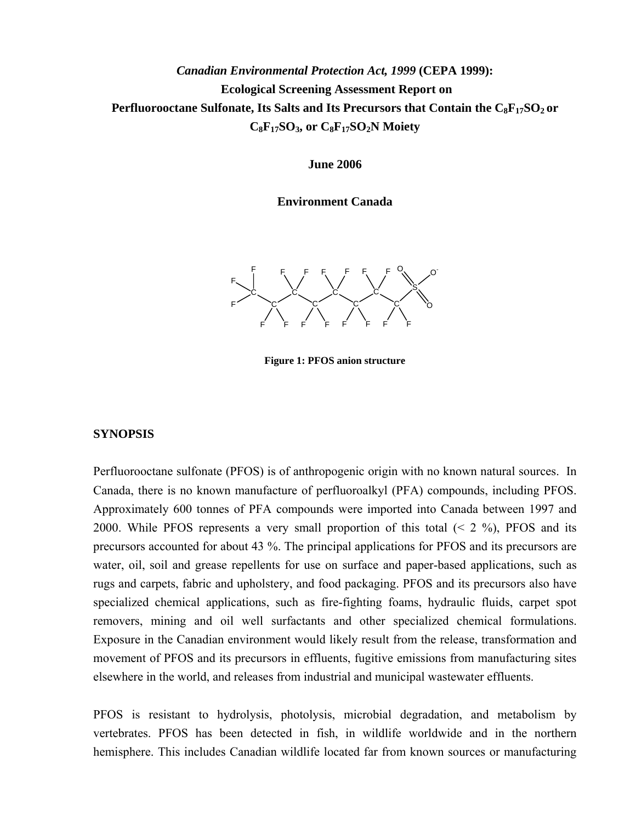# *Canadian Environmental Protection Act, 1999* **(CEPA 1999): Ecological Screening Assessment Report on**  Perfluorooctane Sulfonate, Its Salts and Its Precursors that Contain the C<sub>8</sub>F<sub>17</sub>SO<sub>2</sub> or C<sub>8</sub>F<sub>17</sub>SO<sub>3</sub>, or C<sub>8</sub>F<sub>17</sub>SO<sub>2</sub>N Moiety

**June 2006** 

**Environment Canada** 



**Figure 1: PFOS anion structure** 

## **SYNOPSIS**

Perfluorooctane sulfonate (PFOS) is of anthropogenic origin with no known natural sources. In Canada, there is no known manufacture of perfluoroalkyl (PFA) compounds, including PFOS. Approximately 600 tonnes of PFA compounds were imported into Canada between 1997 and 2000. While PFOS represents a very small proportion of this total  $(< 2\%$ ), PFOS and its precursors accounted for about 43 %. The principal applications for PFOS and its precursors are water, oil, soil and grease repellents for use on surface and paper-based applications, such as rugs and carpets, fabric and upholstery, and food packaging. PFOS and its precursors also have specialized chemical applications, such as fire-fighting foams, hydraulic fluids, carpet spot removers, mining and oil well surfactants and other specialized chemical formulations. Exposure in the Canadian environment would likely result from the release, transformation and movement of PFOS and its precursors in effluents, fugitive emissions from manufacturing sites elsewhere in the world, and releases from industrial and municipal wastewater effluents.

PFOS is resistant to hydrolysis, photolysis, microbial degradation, and metabolism by vertebrates. PFOS has been detected in fish, in wildlife worldwide and in the northern hemisphere. This includes Canadian wildlife located far from known sources or manufacturing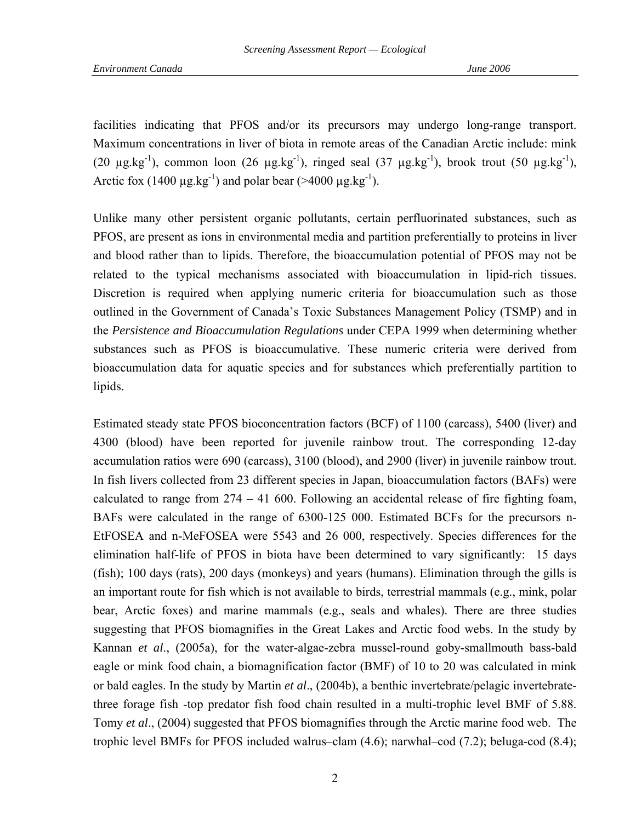facilities indicating that PFOS and/or its precursors may undergo long-range transport. Maximum concentrations in liver of biota in remote areas of the Canadian Arctic include: mink (20  $\mu$ g.kg<sup>-1</sup>), common loon (26  $\mu$ g.kg<sup>-1</sup>), ringed seal (37  $\mu$ g.kg<sup>-1</sup>), brook trout (50  $\mu$ g.kg<sup>-1</sup>), Arctic fox (1400  $\mu$ g.kg<sup>-1</sup>) and polar bear (>4000  $\mu$ g.kg<sup>-1</sup>).

Unlike many other persistent organic pollutants, certain perfluorinated substances, such as PFOS, are present as ions in environmental media and partition preferentially to proteins in liver and blood rather than to lipids. Therefore, the bioaccumulation potential of PFOS may not be related to the typical mechanisms associated with bioaccumulation in lipid-rich tissues. Discretion is required when applying numeric criteria for bioaccumulation such as those outlined in the Government of Canada's Toxic Substances Management Policy (TSMP) and in the *Persistence and Bioaccumulation Regulations* under CEPA 1999 when determining whether substances such as PFOS is bioaccumulative. These numeric criteria were derived from bioaccumulation data for aquatic species and for substances which preferentially partition to lipids.

Estimated steady state PFOS bioconcentration factors (BCF) of 1100 (carcass), 5400 (liver) and 4300 (blood) have been reported for juvenile rainbow trout. The corresponding 12-day accumulation ratios were 690 (carcass), 3100 (blood), and 2900 (liver) in juvenile rainbow trout. In fish livers collected from 23 different species in Japan, bioaccumulation factors (BAFs) were calculated to range from  $274 - 41$  600. Following an accidental release of fire fighting foam, BAFs were calculated in the range of 6300-125 000. Estimated BCFs for the precursors n-EtFOSEA and n-MeFOSEA were 5543 and 26 000, respectively. Species differences for the elimination half-life of PFOS in biota have been determined to vary significantly: 15 days (fish); 100 days (rats), 200 days (monkeys) and years (humans). Elimination through the gills is an important route for fish which is not available to birds, terrestrial mammals (e.g., mink, polar bear, Arctic foxes) and marine mammals (e.g., seals and whales). There are three studies suggesting that PFOS biomagnifies in the Great Lakes and Arctic food webs. In the study by Kannan *et al*., (2005a), for the water-algae-zebra mussel-round goby-smallmouth bass-bald eagle or mink food chain, a biomagnification factor (BMF) of 10 to 20 was calculated in mink or bald eagles. In the study by Martin *et al*., (2004b), a benthic invertebrate/pelagic invertebratethree forage fish -top predator fish food chain resulted in a multi-trophic level BMF of 5.88. Tomy *et al*., (2004) suggested that PFOS biomagnifies through the Arctic marine food web. The trophic level BMFs for PFOS included walrus–clam (4.6); narwhal–cod (7.2); beluga-cod (8.4);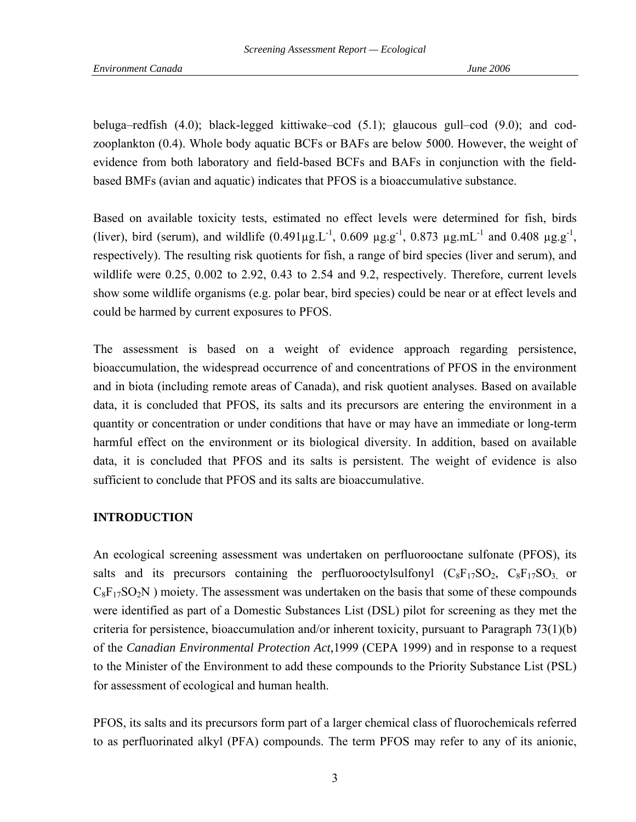beluga–redfish (4.0); black-legged kittiwake–cod (5.1); glaucous gull–cod (9.0); and codzooplankton (0.4). Whole body aquatic BCFs or BAFs are below 5000. However, the weight of evidence from both laboratory and field-based BCFs and BAFs in conjunction with the fieldbased BMFs (avian and aquatic) indicates that PFOS is a bioaccumulative substance.

Based on available toxicity tests, estimated no effect levels were determined for fish, birds (liver), bird (serum), and wildlife  $(0.491 \mu g.L^{-1}$ ,  $0.609 \mu g.g^{-1}$ ,  $0.873 \mu g.mL^{-1}$  and  $0.408 \mu g.g^{-1}$ , respectively). The resulting risk quotients for fish, a range of bird species (liver and serum), and wildlife were 0.25, 0.002 to 2.92, 0.43 to 2.54 and 9.2, respectively. Therefore, current levels show some wildlife organisms (e.g. polar bear, bird species) could be near or at effect levels and could be harmed by current exposures to PFOS.

The assessment is based on a weight of evidence approach regarding persistence, bioaccumulation, the widespread occurrence of and concentrations of PFOS in the environment and in biota (including remote areas of Canada), and risk quotient analyses. Based on available data, it is concluded that PFOS, its salts and its precursors are entering the environment in a quantity or concentration or under conditions that have or may have an immediate or long-term harmful effect on the environment or its biological diversity. In addition, based on available data, it is concluded that PFOS and its salts is persistent. The weight of evidence is also sufficient to conclude that PFOS and its salts are bioaccumulative.

## **INTRODUCTION**

An ecological screening assessment was undertaken on perfluorooctane sulfonate (PFOS), its salts and its precursors containing the perfluorooctylsulfonyl  $(C_8F_{17}SO_2, C_8F_{17}SO_3)$  or  $C_8F_{17}SO_2N$ ) moiety. The assessment was undertaken on the basis that some of these compounds were identified as part of a Domestic Substances List (DSL) pilot for screening as they met the criteria for persistence, bioaccumulation and/or inherent toxicity, pursuant to Paragraph  $73(1)(b)$ of the *Canadian Environmental Protection Act,*1999 (CEPA 1999) and in response to a request to the Minister of the Environment to add these compounds to the Priority Substance List (PSL) for assessment of ecological and human health.

PFOS, its salts and its precursors form part of a larger chemical class of fluorochemicals referred to as perfluorinated alkyl (PFA) compounds. The term PFOS may refer to any of its anionic,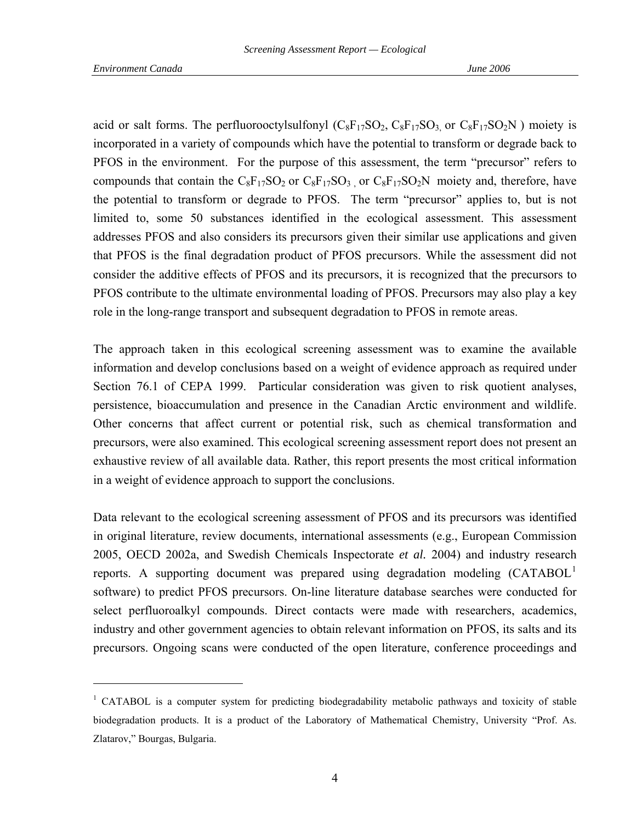l

<span id="page-3-0"></span>acid or salt forms. The perfluorooctylsulfonyl  $(C_8F_{17}SO_2, C_8F_{17}SO_3)$  or  $C_8F_{17}SO_2N$ ) moiety is incorporated in a variety of compounds which have the potential to transform or degrade back to PFOS in the environment. For the purpose of this assessment, the term "precursor" refers to compounds that contain the  $C_8F_{17}SO_2$  or  $C_8F_{17}SO_3$  or  $C_8F_{17}SO_2N$  moiety and, therefore, have the potential to transform or degrade to PFOS. The term "precursor" applies to, but is not limited to, some 50 substances identified in the ecological assessment. This assessment addresses PFOS and also considers its precursors given their similar use applications and given that PFOS is the final degradation product of PFOS precursors. While the assessment did not consider the additive effects of PFOS and its precursors, it is recognized that the precursors to PFOS contribute to the ultimate environmental loading of PFOS. Precursors may also play a key role in the long-range transport and subsequent degradation to PFOS in remote areas.

The approach taken in this ecological screening assessment was to examine the available information and develop conclusions based on a weight of evidence approach as required under Section 76.1 of CEPA 1999. Particular consideration was given to risk quotient analyses, persistence, bioaccumulation and presence in the Canadian Arctic environment and wildlife. Other concerns that affect current or potential risk, such as chemical transformation and precursors, were also examined. This ecological screening assessment report does not present an exhaustive review of all available data. Rather, this report presents the most critical information in a weight of evidence approach to support the conclusions.

Data relevant to the ecological screening assessment of PFOS and its precursors was identified in original literature, review documents, international assessments (e.g., European Commission 2005, OECD 2002a, and Swedish Chemicals Inspectorate *et al.* 2004) and industry research reports. A supporting document was prepared using degradation modeling (CATABOL<sup>[1](#page-3-0)</sup> software) to predict PFOS precursors. On-line literature database searches were conducted for select perfluoroalkyl compounds. Direct contacts were made with researchers, academics, industry and other government agencies to obtain relevant information on PFOS, its salts and its precursors. Ongoing scans were conducted of the open literature, conference proceedings and

<sup>&</sup>lt;sup>1</sup> CATABOL is a computer system for predicting biodegradability metabolic pathways and toxicity of stable biodegradation products. It is a product of the Laboratory of Mathematical Chemistry, University "Prof. As. Zlatarov," Bourgas, Bulgaria.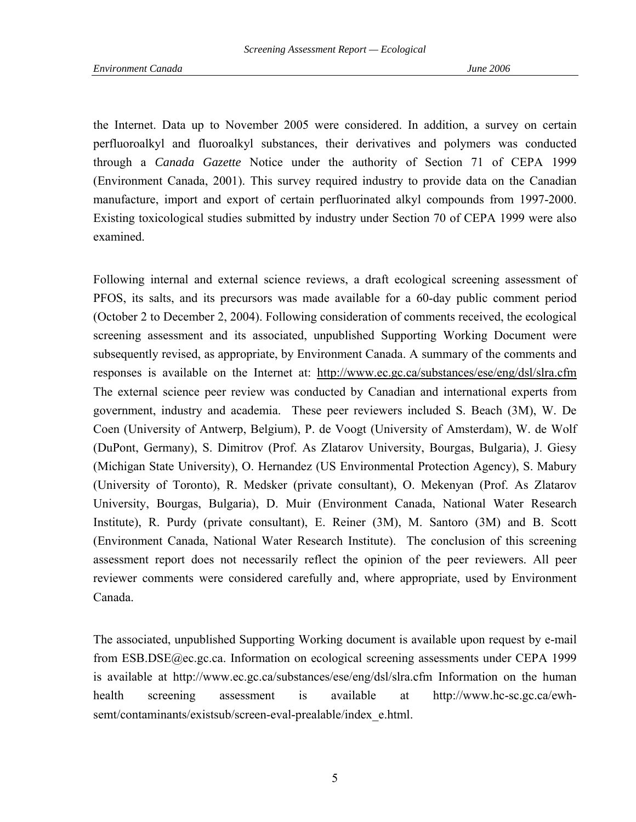the Internet. Data up to November 2005 were considered. In addition, a survey on certain perfluoroalkyl and fluoroalkyl substances, their derivatives and polymers was conducted through a *Canada Gazette* Notice under the authority of Section 71 of CEPA 1999 (Environment Canada, 2001). This survey required industry to provide data on the Canadian manufacture, import and export of certain perfluorinated alkyl compounds from 1997-2000. Existing toxicological studies submitted by industry under Section 70 of CEPA 1999 were also examined.

Following internal and external science reviews, a draft ecological screening assessment of PFOS, its salts, and its precursors was made available for a 60-day public comment period (October 2 to December 2, 2004). Following consideration of comments received, the ecological screening assessment and its associated, unpublished Supporting Working Document were subsequently revised, as appropriate, by Environment Canada. A summary of the comments and responses is available on the Internet at: http://www.ec.gc.ca/substances/ese/eng/dsl/slra.cfm The external science peer review was conducted by Canadian and international experts from government, industry and academia. These peer reviewers included S. Beach (3M), W. De Coen (University of Antwerp, Belgium), P. de Voogt (University of Amsterdam), W. de Wolf (DuPont, Germany), S. Dimitrov (Prof. As Zlatarov University, Bourgas, Bulgaria), J. Giesy (Michigan State University), O. Hernandez (US Environmental Protection Agency), S. Mabury (University of Toronto), R. Medsker (private consultant), O. Mekenyan (Prof. As Zlatarov University, Bourgas, Bulgaria), D. Muir (Environment Canada, National Water Research Institute), R. Purdy (private consultant), E. Reiner (3M), M. Santoro (3M) and B. Scott (Environment Canada, National Water Research Institute). The conclusion of this screening assessment report does not necessarily reflect the opinion of the peer reviewers. All peer reviewer comments were considered carefully and, where appropriate, used by Environment Canada.

The associated, unpublished Supporting Working document is available upon request by e-mail from ESB.DSE@ec.gc.ca. Information on ecological screening assessments under CEPA 1999 is available at http://www.ec.gc.ca/substances/ese/eng/dsl/slra.cfm Information on the human health screening assessment is available at http://www.hc-sc.gc.ca/ewhsemt/contaminants/existsub/screen-eval-prealable/index\_e.html.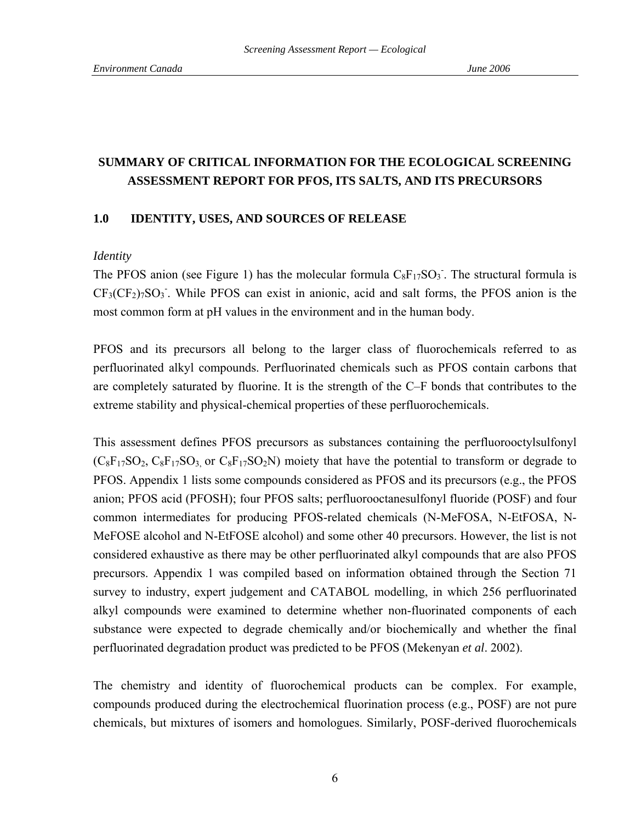# **SUMMARY OF CRITICAL INFORMATION FOR THE ECOLOGICAL SCREENING ASSESSMENT REPORT FOR PFOS, ITS SALTS, AND ITS PRECURSORS**

## **1.0 IDENTITY, USES, AND SOURCES OF RELEASE**

### *Identity*

The PFOS anion (see Figure 1) has the molecular formula  $C_8F_{17}SO_3$ . The structural formula is  $CF<sub>3</sub>(CF<sub>2</sub>)<sub>7</sub>SO<sub>3</sub>$ . While PFOS can exist in anionic, acid and salt forms, the PFOS anion is the most common form at pH values in the environment and in the human body.

PFOS and its precursors all belong to the larger class of fluorochemicals referred to as perfluorinated alkyl compounds. Perfluorinated chemicals such as PFOS contain carbons that are completely saturated by fluorine. It is the strength of the C–F bonds that contributes to the extreme stability and physical-chemical properties of these perfluorochemicals.

This assessment defines PFOS precursors as substances containing the perfluorooctylsulfonyl  $(C_8F_{17}SO_2, C_8F_{17}SO_3$  or  $C_8F_{17}SO_2N$ ) moiety that have the potential to transform or degrade to PFOS. Appendix 1 lists some compounds considered as PFOS and its precursors (e.g., the PFOS anion; PFOS acid (PFOSH); four PFOS salts; perfluorooctanesulfonyl fluoride (POSF) and four common intermediates for producing PFOS-related chemicals (N-MeFOSA, N-EtFOSA, N-MeFOSE alcohol and N-EtFOSE alcohol) and some other 40 precursors. However, the list is not considered exhaustive as there may be other perfluorinated alkyl compounds that are also PFOS precursors. Appendix 1 was compiled based on information obtained through the Section 71 survey to industry, expert judgement and CATABOL modelling, in which 256 perfluorinated alkyl compounds were examined to determine whether non-fluorinated components of each substance were expected to degrade chemically and/or biochemically and whether the final perfluorinated degradation product was predicted to be PFOS (Mekenyan *et al*. 2002).

The chemistry and identity of fluorochemical products can be complex. For example, compounds produced during the electrochemical fluorination process (e.g., POSF) are not pure chemicals, but mixtures of isomers and homologues. Similarly, POSF-derived fluorochemicals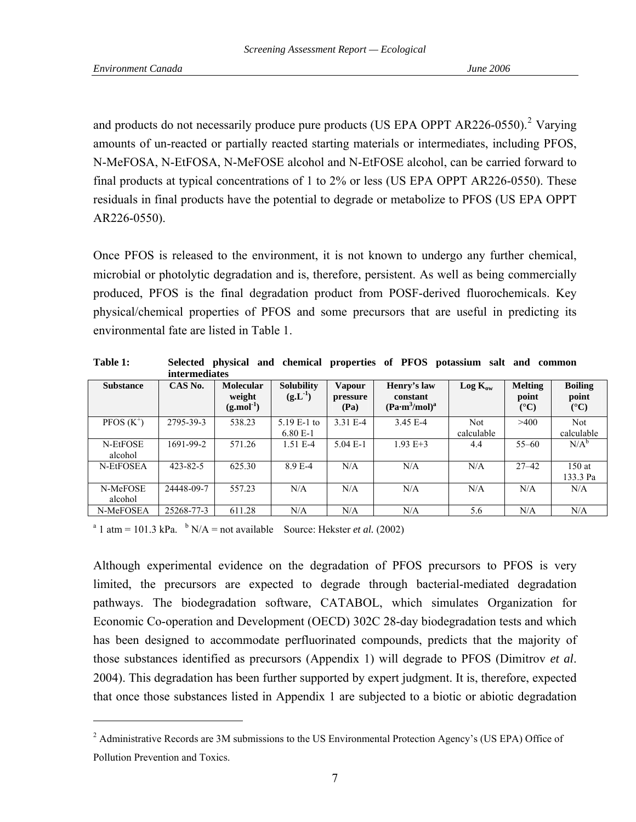l

<span id="page-6-0"></span>and products do not necessarily produce pure products (US EPA OPPT AR[2](#page-6-0)26-0550).<sup>2</sup> Varying amounts of un-reacted or partially reacted starting materials or intermediates, including PFOS, N-MeFOSA, N-EtFOSA, N-MeFOSE alcohol and N-EtFOSE alcohol, can be carried forward to final products at typical concentrations of 1 to 2% or less (US EPA OPPT AR226-0550). These residuals in final products have the potential to degrade or metabolize to PFOS (US EPA OPPT AR226-0550).

Once PFOS is released to the environment, it is not known to undergo any further chemical, microbial or photolytic degradation and is, therefore, persistent. As well as being commercially produced, PFOS is the final degradation product from POSF-derived fluorochemicals. Key physical/chemical properties of PFOS and some precursors that are useful in predicting its environmental fate are listed in Table 1.

|                     | <i>intermediates</i> |                                           |                                   |                                   |                                                                  |                   |                                            |                                          |
|---------------------|----------------------|-------------------------------------------|-----------------------------------|-----------------------------------|------------------------------------------------------------------|-------------------|--------------------------------------------|------------------------------------------|
| <b>Substance</b>    | CAS No.              | <b>Molecular</b><br>weight<br>$(g.mol-1)$ | <b>Solubility</b><br>$(g.L^{-1})$ | <b>Vapour</b><br>pressure<br>(Pa) | Henry's law<br>constant<br>(Pa·m <sup>3</sup> /mol) <sup>a</sup> | $Log K_{ow}$      | <b>Melting</b><br>point<br>$({}^{\circ}C)$ | <b>Boiling</b><br>point<br>$(^{\circ}C)$ |
| $PFOS(K^+)$         | 2795-39-3            | 538.23                                    | $5.19 E-1 to$<br>$6.80 E-1$       | 3.31 E-4                          | 3.45 E-4                                                         | Not<br>calculable | >400                                       | <b>Not</b><br>calculable                 |
| N-EtFOSE<br>alcohol | 1691-99-2            | 571.26                                    | $1.51 E-4$                        | $5.04 E-1$                        | $1.93 E+3$                                                       | 4.4               | $55 - 60$                                  | $N/A^b$                                  |
| N-EtFOSEA           | $423 - 82 - 5$       | 625.30                                    | 8.9 E-4                           | N/A                               | N/A                                                              | N/A               | $27 - 42$                                  | 150at<br>133.3 Pa                        |
| N-MeFOSE<br>alcohol | 24448-09-7           | 557.23                                    | N/A                               | N/A                               | N/A                                                              | N/A               | N/A                                        | N/A                                      |
| N-MeFOSEA           | 25268-77-3           | 611.28                                    | N/A                               | N/A                               | N/A                                                              | 5.6               | N/A                                        | N/A                                      |

**Table 1: Selected physical and chemical properties of PFOS potassium salt and common** 

<sup>a</sup> 1 atm = 101.3 kPa.  $\frac{b}{A}$  N/A = not available Source: Hekster *et al.* (2002)

Although experimental evidence on the degradation of PFOS precursors to PFOS is very limited, the precursors are expected to degrade through bacterial-mediated degradation pathways. The biodegradation software, CATABOL, which simulates Organization for Economic Co-operation and Development (OECD) 302C 28-day biodegradation tests and which has been designed to accommodate perfluorinated compounds, predicts that the majority of those substances identified as precursors (Appendix 1) will degrade to PFOS (Dimitrov *et al*. 2004). This degradation has been further supported by expert judgment. It is, therefore, expected that once those substances listed in Appendix 1 are subjected to a biotic or abiotic degradation

<sup>&</sup>lt;sup>2</sup> Administrative Records are 3M submissions to the US Environmental Protection Agency's (US EPA) Office of Pollution Prevention and Toxics.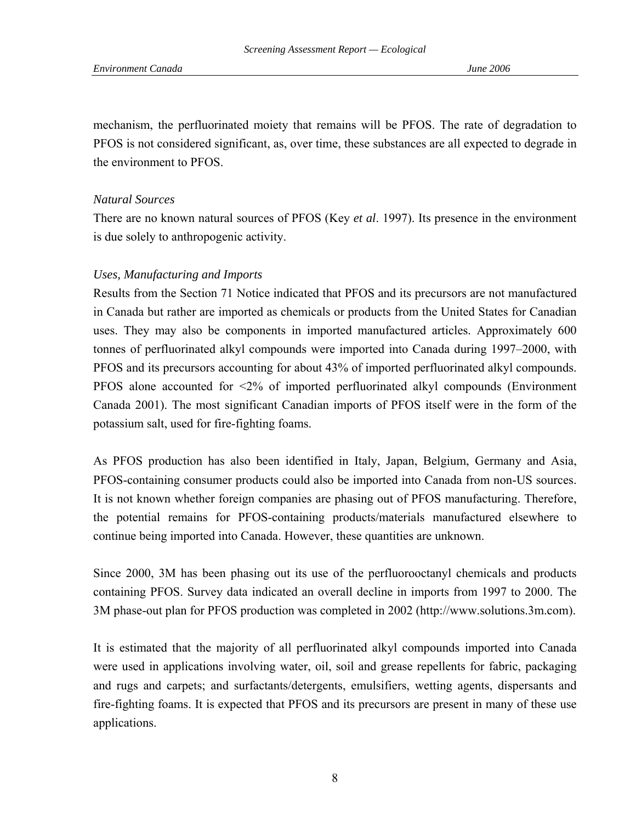mechanism, the perfluorinated moiety that remains will be PFOS. The rate of degradation to PFOS is not considered significant, as, over time, these substances are all expected to degrade in the environment to PFOS.

## *Natural Sources*

There are no known natural sources of PFOS (Key *et al*. 1997). Its presence in the environment is due solely to anthropogenic activity.

## *Uses, Manufacturing and Imports*

Results from the Section 71 Notice indicated that PFOS and its precursors are not manufactured in Canada but rather are imported as chemicals or products from the United States for Canadian uses. They may also be components in imported manufactured articles. Approximately 600 tonnes of perfluorinated alkyl compounds were imported into Canada during 1997–2000, with PFOS and its precursors accounting for about 43% of imported perfluorinated alkyl compounds. PFOS alone accounted for <2% of imported perfluorinated alkyl compounds (Environment Canada 2001). The most significant Canadian imports of PFOS itself were in the form of the potassium salt, used for fire-fighting foams.

As PFOS production has also been identified in Italy, Japan, Belgium, Germany and Asia, PFOS-containing consumer products could also be imported into Canada from non-US sources. It is not known whether foreign companies are phasing out of PFOS manufacturing. Therefore, the potential remains for PFOS-containing products/materials manufactured elsewhere to continue being imported into Canada. However, these quantities are unknown.

Since 2000, 3M has been phasing out its use of the perfluorooctanyl chemicals and products containing PFOS. Survey data indicated an overall decline in imports from 1997 to 2000. The 3M phase-out plan for PFOS production was completed in 2002 (http://www.solutions.3m.com).

It is estimated that the majority of all perfluorinated alkyl compounds imported into Canada were used in applications involving water, oil, soil and grease repellents for fabric, packaging and rugs and carpets; and surfactants/detergents, emulsifiers, wetting agents, dispersants and fire-fighting foams. It is expected that PFOS and its precursors are present in many of these use applications.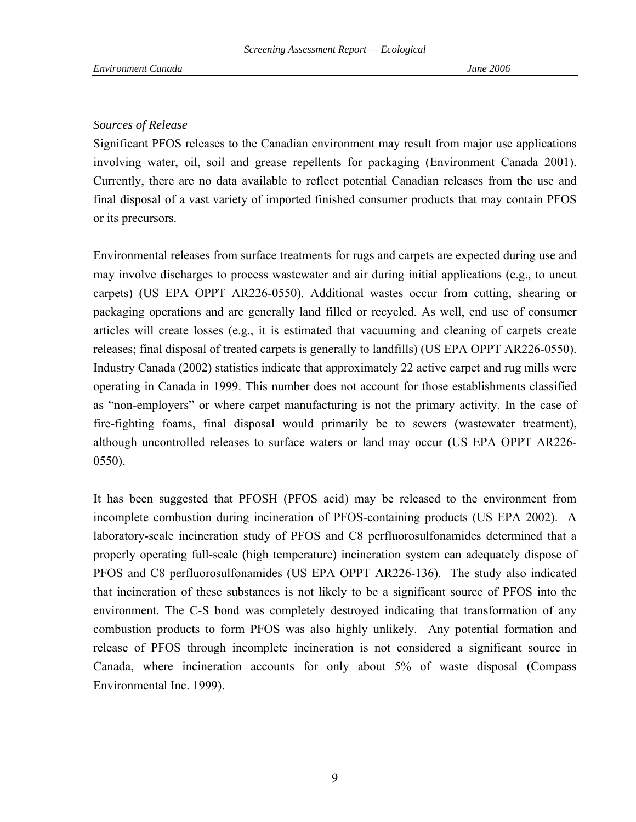### *Sources of Release*

Significant PFOS releases to the Canadian environment may result from major use applications involving water, oil, soil and grease repellents for packaging (Environment Canada 2001). Currently, there are no data available to reflect potential Canadian releases from the use and final disposal of a vast variety of imported finished consumer products that may contain PFOS or its precursors.

Environmental releases from surface treatments for rugs and carpets are expected during use and may involve discharges to process wastewater and air during initial applications (e.g., to uncut carpets) (US EPA OPPT AR226-0550). Additional wastes occur from cutting, shearing or packaging operations and are generally land filled or recycled. As well, end use of consumer articles will create losses (e.g., it is estimated that vacuuming and cleaning of carpets create releases; final disposal of treated carpets is generally to landfills) (US EPA OPPT AR226-0550). Industry Canada (2002) statistics indicate that approximately 22 active carpet and rug mills were operating in Canada in 1999. This number does not account for those establishments classified as "non-employers" or where carpet manufacturing is not the primary activity. In the case of fire-fighting foams, final disposal would primarily be to sewers (wastewater treatment), although uncontrolled releases to surface waters or land may occur (US EPA OPPT AR226- 0550).

It has been suggested that PFOSH (PFOS acid) may be released to the environment from incomplete combustion during incineration of PFOS-containing products (US EPA 2002). A laboratory-scale incineration study of PFOS and C8 perfluorosulfonamides determined that a properly operating full-scale (high temperature) incineration system can adequately dispose of PFOS and C8 perfluorosulfonamides (US EPA OPPT AR226-136). The study also indicated that incineration of these substances is not likely to be a significant source of PFOS into the environment. The C-S bond was completely destroyed indicating that transformation of any combustion products to form PFOS was also highly unlikely. Any potential formation and release of PFOS through incomplete incineration is not considered a significant source in Canada, where incineration accounts for only about 5% of waste disposal (Compass Environmental Inc. 1999).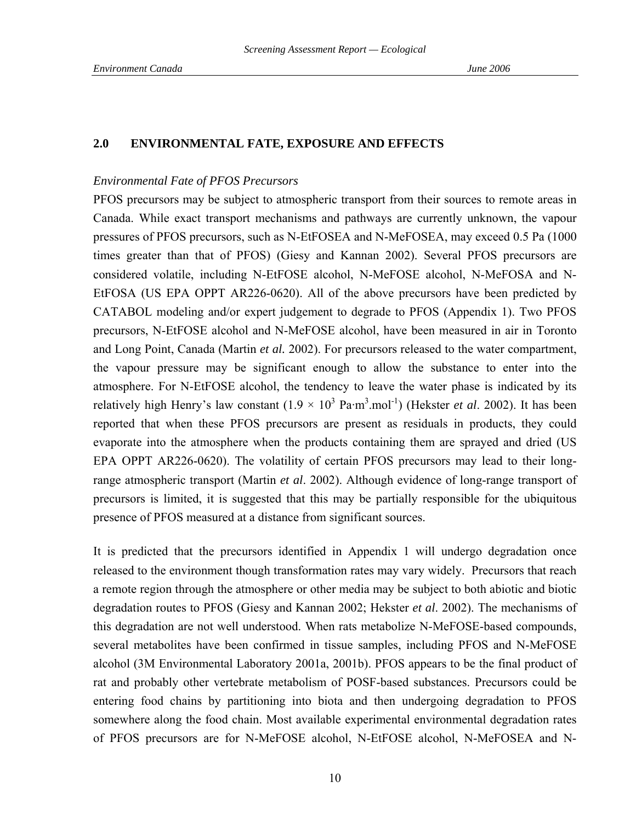### **2.0 ENVIRONMENTAL FATE, EXPOSURE AND EFFECTS**

#### *Environmental Fate of PFOS Precursors*

PFOS precursors may be subject to atmospheric transport from their sources to remote areas in Canada. While exact transport mechanisms and pathways are currently unknown, the vapour pressures of PFOS precursors, such as N-EtFOSEA and N-MeFOSEA, may exceed 0.5 Pa (1000 times greater than that of PFOS) (Giesy and Kannan 2002). Several PFOS precursors are considered volatile, including N-EtFOSE alcohol, N-MeFOSE alcohol, N-MeFOSA and N-EtFOSA (US EPA OPPT AR226-0620). All of the above precursors have been predicted by CATABOL modeling and/or expert judgement to degrade to PFOS (Appendix 1). Two PFOS precursors, N-EtFOSE alcohol and N-MeFOSE alcohol, have been measured in air in Toronto and Long Point, Canada (Martin *et al.* 2002). For precursors released to the water compartment, the vapour pressure may be significant enough to allow the substance to enter into the atmosphere. For N-EtFOSE alcohol, the tendency to leave the water phase is indicated by its relatively high Henry's law constant  $(1.9 \times 10^3 \text{ Pa} \cdot \text{m}^3 \cdot \text{mol}^{-1})$  (Hekster *et al.* 2002). It has been reported that when these PFOS precursors are present as residuals in products, they could evaporate into the atmosphere when the products containing them are sprayed and dried (US EPA OPPT AR226-0620). The volatility of certain PFOS precursors may lead to their longrange atmospheric transport (Martin *et al*. 2002). Although evidence of long-range transport of precursors is limited, it is suggested that this may be partially responsible for the ubiquitous presence of PFOS measured at a distance from significant sources.

It is predicted that the precursors identified in Appendix 1 will undergo degradation once released to the environment though transformation rates may vary widely. Precursors that reach a remote region through the atmosphere or other media may be subject to both abiotic and biotic degradation routes to PFOS (Giesy and Kannan 2002; Hekster *et al*. 2002). The mechanisms of this degradation are not well understood. When rats metabolize N-MeFOSE-based compounds, several metabolites have been confirmed in tissue samples, including PFOS and N-MeFOSE alcohol (3M Environmental Laboratory 2001a, 2001b). PFOS appears to be the final product of rat and probably other vertebrate metabolism of POSF-based substances. Precursors could be entering food chains by partitioning into biota and then undergoing degradation to PFOS somewhere along the food chain. Most available experimental environmental degradation rates of PFOS precursors are for N-MeFOSE alcohol, N-EtFOSE alcohol, N-MeFOSEA and N-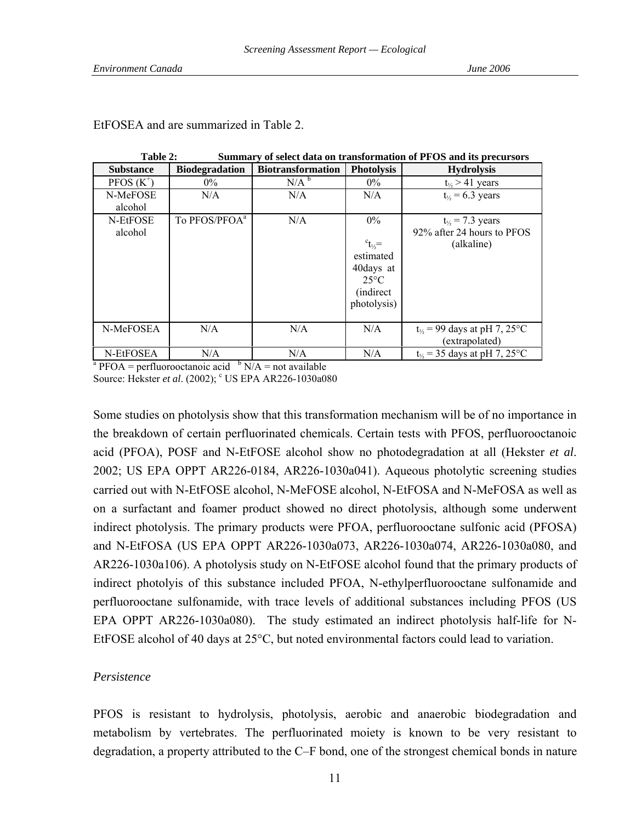| Tavit 4.<br>Sunniai y oi sciect uata un transiormation or i POS and its precursors |                                                                               |                          |                   |                                   |  |  |  |
|------------------------------------------------------------------------------------|-------------------------------------------------------------------------------|--------------------------|-------------------|-----------------------------------|--|--|--|
| <b>Substance</b>                                                                   | <b>Biodegradation</b>                                                         | <b>Biotransformation</b> | <b>Photolysis</b> | <b>Hydrolysis</b>                 |  |  |  |
| $PFOS(K^+)$                                                                        | $0\%$                                                                         | N/A <sup>b</sup>         | $0\%$             | $t_{\frac{1}{2}}$ > 41 years      |  |  |  |
| N-MeFOSE                                                                           | N/A                                                                           | N/A                      | N/A               | $t_{\frac{1}{2}} = 6.3$ years     |  |  |  |
| alcohol                                                                            |                                                                               |                          |                   |                                   |  |  |  |
| N-EtFOSE                                                                           | To PFOS/PFOA <sup>a</sup>                                                     | N/A                      | $0\%$             | $t_{\frac{1}{2}} = 7.3$ years     |  |  |  |
| alcohol                                                                            |                                                                               |                          |                   | 92% after 24 hours to PFOS        |  |  |  |
|                                                                                    |                                                                               |                          | $c_{t_{1/2}} =$   | (alkaline)                        |  |  |  |
|                                                                                    |                                                                               |                          | estimated         |                                   |  |  |  |
|                                                                                    |                                                                               |                          | 40days at         |                                   |  |  |  |
|                                                                                    |                                                                               |                          | $25^{\circ}$ C    |                                   |  |  |  |
|                                                                                    |                                                                               |                          | <i>(indirect)</i> |                                   |  |  |  |
|                                                                                    |                                                                               |                          | photolysis)       |                                   |  |  |  |
|                                                                                    |                                                                               |                          |                   |                                   |  |  |  |
| N-MeFOSEA                                                                          | N/A                                                                           | N/A                      | N/A               | $t_{\%}$ = 99 days at pH 7, 25°C  |  |  |  |
|                                                                                    |                                                                               |                          |                   | (extrapolated)                    |  |  |  |
| N-EtFOSEA                                                                          | N/A                                                                           | N/A                      | N/A               | $t_{\%}$ = 35 days at pH 7, 25 °C |  |  |  |
|                                                                                    | <sup>a</sup> PFOA = perfluorooctanoic acid $\binom{b}{A}$ N/A = not available |                          |                   |                                   |  |  |  |

#### EtFOSEA and are summarized in Table 2.

Table 2: Summary of select data on transformation of **PFOS** and its precursors

Source: Hekster *et al.* (2002); <sup>c</sup> US EPA AR226-1030a080

Some studies on photolysis show that this transformation mechanism will be of no importance in the breakdown of certain perfluorinated chemicals. Certain tests with PFOS, perfluorooctanoic acid (PFOA), POSF and N-EtFOSE alcohol show no photodegradation at all (Hekster *et al*. 2002; US EPA OPPT AR226-0184, AR226-1030a041). Aqueous photolytic screening studies carried out with N-EtFOSE alcohol, N-MeFOSE alcohol, N-EtFOSA and N-MeFOSA as well as on a surfactant and foamer product showed no direct photolysis, although some underwent indirect photolysis. The primary products were PFOA, perfluorooctane sulfonic acid (PFOSA) and N-EtFOSA (US EPA OPPT AR226-1030a073, AR226-1030a074, AR226-1030a080, and AR226-1030a106). A photolysis study on N-EtFOSE alcohol found that the primary products of indirect photolyis of this substance included PFOA, N-ethylperfluorooctane sulfonamide and perfluorooctane sulfonamide, with trace levels of additional substances including PFOS (US EPA OPPT AR226-1030a080). The study estimated an indirect photolysis half-life for N-EtFOSE alcohol of 40 days at 25°C, but noted environmental factors could lead to variation.

## *Persistence*

PFOS is resistant to hydrolysis, photolysis, aerobic and anaerobic biodegradation and metabolism by vertebrates. The perfluorinated moiety is known to be very resistant to degradation, a property attributed to the C–F bond, one of the strongest chemical bonds in nature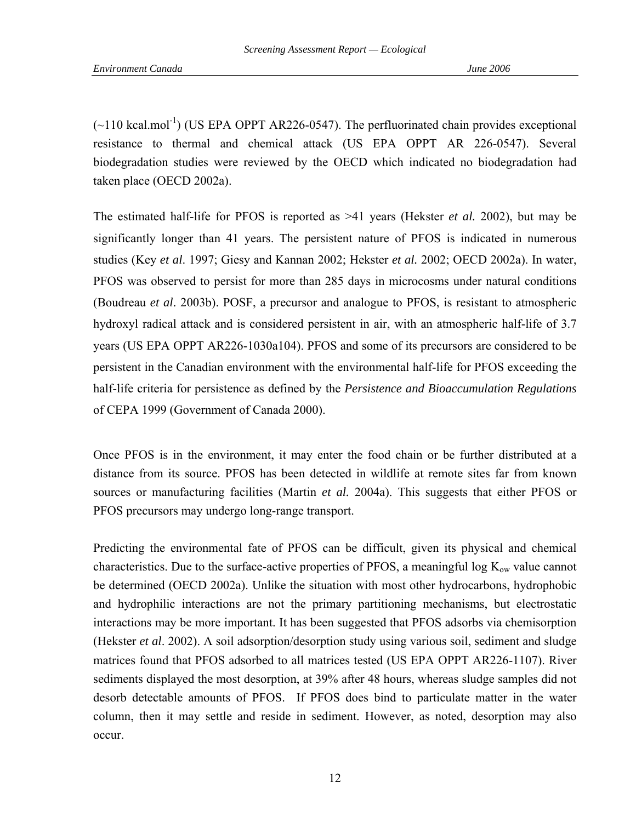$(\sim 110 \text{ kcal/mol}^{-1})$  (US EPA OPPT AR226-0547). The perfluorinated chain provides exceptional resistance to thermal and chemical attack (US EPA OPPT AR 226-0547). Several biodegradation studies were reviewed by the OECD which indicated no biodegradation had taken place (OECD 2002a).

The estimated half-life for PFOS is reported as >41 years (Hekster *et al.* 2002), but may be significantly longer than 41 years. The persistent nature of PFOS is indicated in numerous studies (Key *et al*. 1997; Giesy and Kannan 2002; Hekster *et al.* 2002; OECD 2002a). In water, PFOS was observed to persist for more than 285 days in microcosms under natural conditions (Boudreau *et al*. 2003b). POSF, a precursor and analogue to PFOS, is resistant to atmospheric hydroxyl radical attack and is considered persistent in air, with an atmospheric half-life of 3.7 years (US EPA OPPT AR226-1030a104). PFOS and some of its precursors are considered to be persistent in the Canadian environment with the environmental half-life for PFOS exceeding the half-life criteria for persistence as defined by the *Persistence and Bioaccumulation Regulations* of CEPA 1999 (Government of Canada 2000).

Once PFOS is in the environment, it may enter the food chain or be further distributed at a distance from its source. PFOS has been detected in wildlife at remote sites far from known sources or manufacturing facilities (Martin *et al.* 2004a). This suggests that either PFOS or PFOS precursors may undergo long-range transport.

Predicting the environmental fate of PFOS can be difficult, given its physical and chemical characteristics. Due to the surface-active properties of PFOS, a meaningful log  $K_{ow}$  value cannot be determined (OECD 2002a). Unlike the situation with most other hydrocarbons, hydrophobic and hydrophilic interactions are not the primary partitioning mechanisms, but electrostatic interactions may be more important. It has been suggested that PFOS adsorbs via chemisorption (Hekster *et al*. 2002). A soil adsorption/desorption study using various soil, sediment and sludge matrices found that PFOS adsorbed to all matrices tested (US EPA OPPT AR226-1107). River sediments displayed the most desorption, at 39% after 48 hours, whereas sludge samples did not desorb detectable amounts of PFOS. If PFOS does bind to particulate matter in the water column, then it may settle and reside in sediment. However, as noted, desorption may also occur.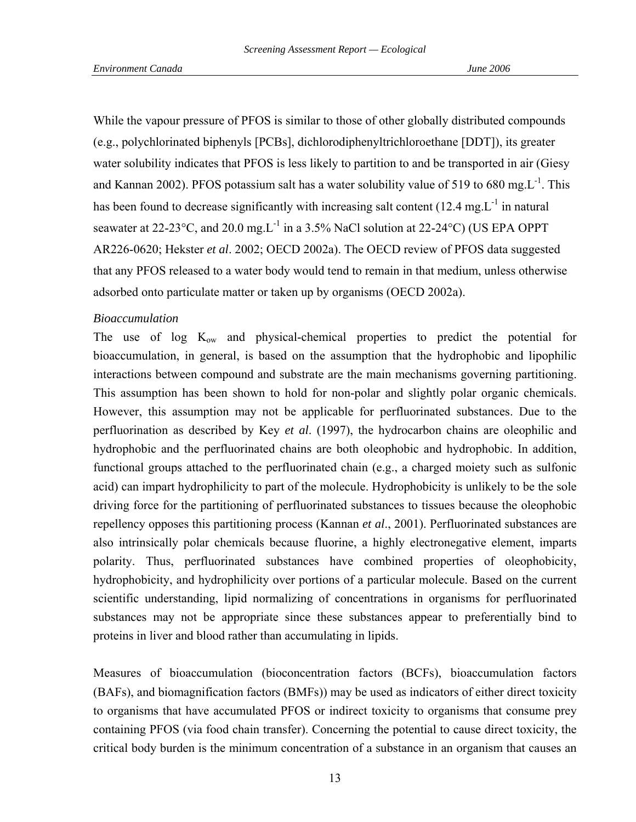While the vapour pressure of PFOS is similar to those of other globally distributed compounds (e.g., polychlorinated biphenyls [PCBs], dichlorodiphenyltrichloroethane [DDT]), its greater water solubility indicates that PFOS is less likely to partition to and be transported in air (Giesy and Kannan 2002). PFOS potassium salt has a water solubility value of 519 to 680 mg. $L^{-1}$ . This has been found to decrease significantly with increasing salt content  $(12.4 \text{ mg} \cdot \text{L}^{-1})$  in natural seawater at 22-23 °C, and 20.0 mg. L<sup>-1</sup> in a 3.5% NaCl solution at 22-24 °C) (US EPA OPPT AR226-0620; Hekster *et al*. 2002; OECD 2002a). The OECD review of PFOS data suggested that any PFOS released to a water body would tend to remain in that medium, unless otherwise adsorbed onto particulate matter or taken up by organisms (OECD 2002a).

### *Bioaccumulation*

The use of log  $K_{ow}$  and physical-chemical properties to predict the potential for bioaccumulation, in general, is based on the assumption that the hydrophobic and lipophilic interactions between compound and substrate are the main mechanisms governing partitioning. This assumption has been shown to hold for non-polar and slightly polar organic chemicals. However, this assumption may not be applicable for perfluorinated substances. Due to the perfluorination as described by Key *et al*. (1997), the hydrocarbon chains are oleophilic and hydrophobic and the perfluorinated chains are both oleophobic and hydrophobic. In addition, functional groups attached to the perfluorinated chain (e.g., a charged moiety such as sulfonic acid) can impart hydrophilicity to part of the molecule. Hydrophobicity is unlikely to be the sole driving force for the partitioning of perfluorinated substances to tissues because the oleophobic repellency opposes this partitioning process (Kannan *et al*., 2001). Perfluorinated substances are also intrinsically polar chemicals because fluorine, a highly electronegative element, imparts polarity. Thus, perfluorinated substances have combined properties of oleophobicity, hydrophobicity, and hydrophilicity over portions of a particular molecule. Based on the current scientific understanding, lipid normalizing of concentrations in organisms for perfluorinated substances may not be appropriate since these substances appear to preferentially bind to proteins in liver and blood rather than accumulating in lipids.

Measures of bioaccumulation (bioconcentration factors (BCFs), bioaccumulation factors (BAFs), and biomagnification factors (BMFs)) may be used as indicators of either direct toxicity to organisms that have accumulated PFOS or indirect toxicity to organisms that consume prey containing PFOS (via food chain transfer). Concerning the potential to cause direct toxicity, the critical body burden is the minimum concentration of a substance in an organism that causes an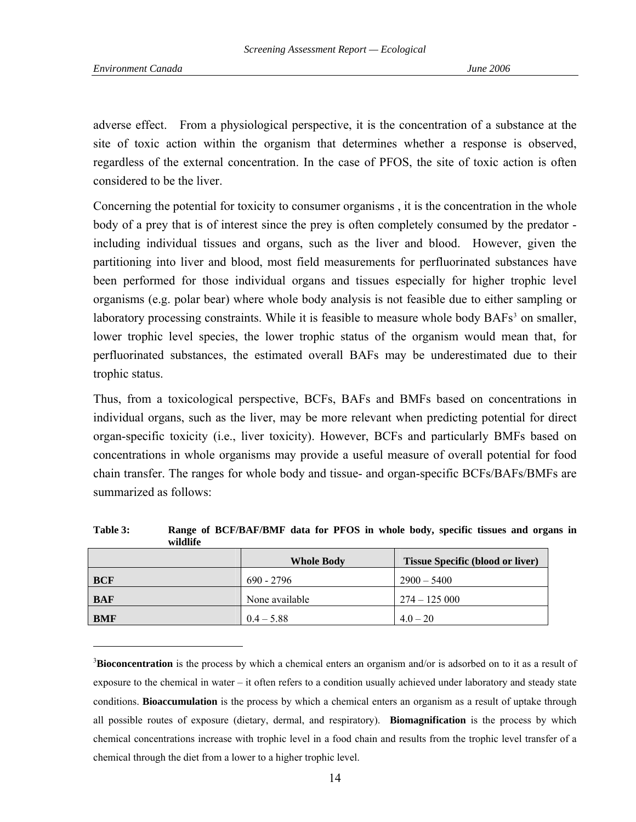l

<span id="page-13-0"></span>adverse effect. From a physiological perspective, it is the concentration of a substance at the site of toxic action within the organism that determines whether a response is observed, regardless of the external concentration. In the case of PFOS, the site of toxic action is often considered to be the liver.

Concerning the potential for toxicity to consumer organisms , it is the concentration in the whole body of a prey that is of interest since the prey is often completely consumed by the predator including individual tissues and organs, such as the liver and blood. However, given the partitioning into liver and blood, most field measurements for perfluorinated substances have been performed for those individual organs and tissues especially for higher trophic level organisms (e.g. polar bear) where whole body analysis is not feasible due to either sampling or laboratory processing constraints. While it is feasible to measure whole body BAFs<sup>[3](#page-13-0)</sup> on smaller, lower trophic level species, the lower trophic status of the organism would mean that, for perfluorinated substances, the estimated overall BAFs may be underestimated due to their trophic status.

Thus, from a toxicological perspective, BCFs, BAFs and BMFs based on concentrations in individual organs, such as the liver, may be more relevant when predicting potential for direct organ-specific toxicity (i.e., liver toxicity). However, BCFs and particularly BMFs based on concentrations in whole organisms may provide a useful measure of overall potential for food chain transfer. The ranges for whole body and tissue- and organ-specific BCFs/BAFs/BMFs are summarized as follows:

| ,,,,,,,,,  |                   |                                         |  |  |  |
|------------|-------------------|-----------------------------------------|--|--|--|
|            | <b>Whole Body</b> | <b>Tissue Specific (blood or liver)</b> |  |  |  |
| <b>BCF</b> | $690 - 2796$      | $2900 - 5400$                           |  |  |  |
| <b>BAF</b> | None available    | $274 - 125000$                          |  |  |  |
| <b>BMF</b> | $0.4 - 5.88$      | $4.0 - 20$                              |  |  |  |

**Table 3: Range of BCF/BAF/BMF data for PFOS in whole body, specific tissues and organs in wildlife** 

<sup>3</sup>Bioconcentration is the process by which a chemical enters an organism and/or is adsorbed on to it as a result of exposure to the chemical in water – it often refers to a condition usually achieved under laboratory and steady state conditions. **Bioaccumulation** is the process by which a chemical enters an organism as a result of uptake through all possible routes of exposure (dietary, dermal, and respiratory). **Biomagnification** is the process by which chemical concentrations increase with trophic level in a food chain and results from the trophic level transfer of a chemical through the diet from a lower to a higher trophic level.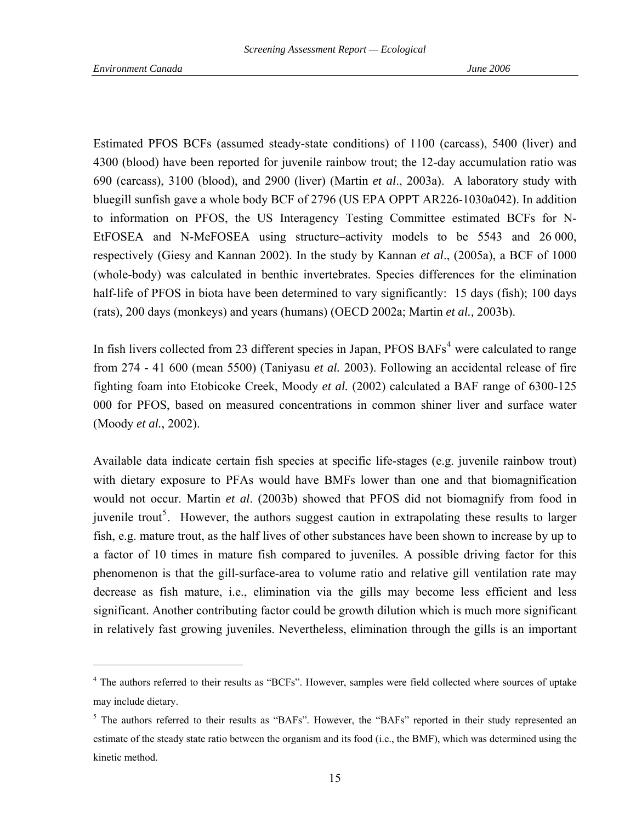l

<span id="page-14-0"></span>Estimated PFOS BCFs (assumed steady-state conditions) of 1100 (carcass), 5400 (liver) and 4300 (blood) have been reported for juvenile rainbow trout; the 12-day accumulation ratio was 690 (carcass), 3100 (blood), and 2900 (liver) (Martin *et al*., 2003a). A laboratory study with bluegill sunfish gave a whole body BCF of 2796 (US EPA OPPT AR226-1030a042). In addition to information on PFOS, the US Interagency Testing Committee estimated BCFs for N-EtFOSEA and N-MeFOSEA using structure–activity models to be 5543 and 26 000, respectively (Giesy and Kannan 2002). In the study by Kannan *et al*., (2005a), a BCF of 1000 (whole-body) was calculated in benthic invertebrates. Species differences for the elimination half-life of PFOS in biota have been determined to vary significantly: 15 days (fish); 100 days (rats), 200 days (monkeys) and years (humans) (OECD 2002a; Martin *et al.,* 2003b).

In fish livers collected from 23 different species in Japan, PFOS BAFs<sup>[4](#page-14-0)</sup> were calculated to range from 274 - 41 600 (mean 5500) (Taniyasu *et al.* 2003). Following an accidental release of fire fighting foam into Etobicoke Creek, Moody *et al.* (2002) calculated a BAF range of 6300-125 000 for PFOS, based on measured concentrations in common shiner liver and surface water (Moody *et al.*, 2002).

Available data indicate certain fish species at specific life-stages (e.g. juvenile rainbow trout) with dietary exposure to PFAs would have BMFs lower than one and that biomagnification would not occur. Martin *et al*. (2003b) showed that PFOS did not biomagnify from food in juvenile trout<sup>[5](#page-14-0)</sup>. However, the authors suggest caution in extrapolating these results to larger fish, e.g. mature trout, as the half lives of other substances have been shown to increase by up to a factor of 10 times in mature fish compared to juveniles. A possible driving factor for this phenomenon is that the gill-surface-area to volume ratio and relative gill ventilation rate may decrease as fish mature, i.e., elimination via the gills may become less efficient and less significant. Another contributing factor could be growth dilution which is much more significant in relatively fast growing juveniles. Nevertheless, elimination through the gills is an important

<sup>&</sup>lt;sup>4</sup> The authors referred to their results as "BCFs". However, samples were field collected where sources of uptake may include dietary.

<sup>&</sup>lt;sup>5</sup> The authors referred to their results as "BAFs". However, the "BAFs" reported in their study represented an estimate of the steady state ratio between the organism and its food (i.e., the BMF), which was determined using the kinetic method.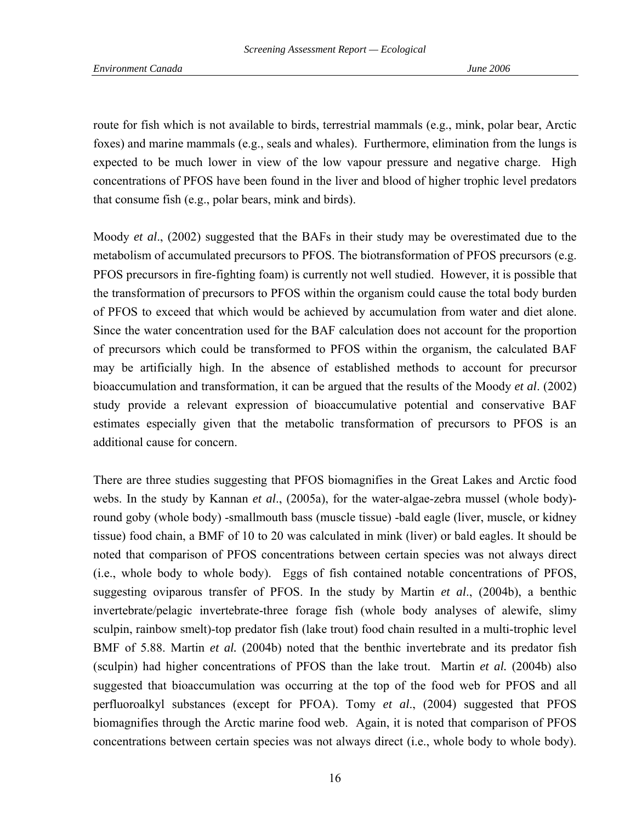route for fish which is not available to birds, terrestrial mammals (e.g., mink, polar bear, Arctic foxes) and marine mammals (e.g., seals and whales). Furthermore, elimination from the lungs is expected to be much lower in view of the low vapour pressure and negative charge. High concentrations of PFOS have been found in the liver and blood of higher trophic level predators that consume fish (e.g., polar bears, mink and birds).

Moody *et al*., (2002) suggested that the BAFs in their study may be overestimated due to the metabolism of accumulated precursors to PFOS. The biotransformation of PFOS precursors (e.g. PFOS precursors in fire-fighting foam) is currently not well studied. However, it is possible that the transformation of precursors to PFOS within the organism could cause the total body burden of PFOS to exceed that which would be achieved by accumulation from water and diet alone. Since the water concentration used for the BAF calculation does not account for the proportion of precursors which could be transformed to PFOS within the organism, the calculated BAF may be artificially high. In the absence of established methods to account for precursor bioaccumulation and transformation, it can be argued that the results of the Moody *et al*. (2002) study provide a relevant expression of bioaccumulative potential and conservative BAF estimates especially given that the metabolic transformation of precursors to PFOS is an additional cause for concern.

There are three studies suggesting that PFOS biomagnifies in the Great Lakes and Arctic food webs. In the study by Kannan *et al*., (2005a), for the water-algae-zebra mussel (whole body) round goby (whole body) -smallmouth bass (muscle tissue) -bald eagle (liver, muscle, or kidney tissue) food chain, a BMF of 10 to 20 was calculated in mink (liver) or bald eagles. It should be noted that comparison of PFOS concentrations between certain species was not always direct (i.e., whole body to whole body). Eggs of fish contained notable concentrations of PFOS, suggesting oviparous transfer of PFOS. In the study by Martin *et al*., (2004b), a benthic invertebrate/pelagic invertebrate-three forage fish (whole body analyses of alewife, slimy sculpin, rainbow smelt)-top predator fish (lake trout) food chain resulted in a multi-trophic level BMF of 5.88. Martin *et al.* (2004b) noted that the benthic invertebrate and its predator fish (sculpin) had higher concentrations of PFOS than the lake trout. Martin *et al.* (2004b) also suggested that bioaccumulation was occurring at the top of the food web for PFOS and all perfluoroalkyl substances (except for PFOA). Tomy *et al*., (2004) suggested that PFOS biomagnifies through the Arctic marine food web. Again, it is noted that comparison of PFOS concentrations between certain species was not always direct (i.e., whole body to whole body).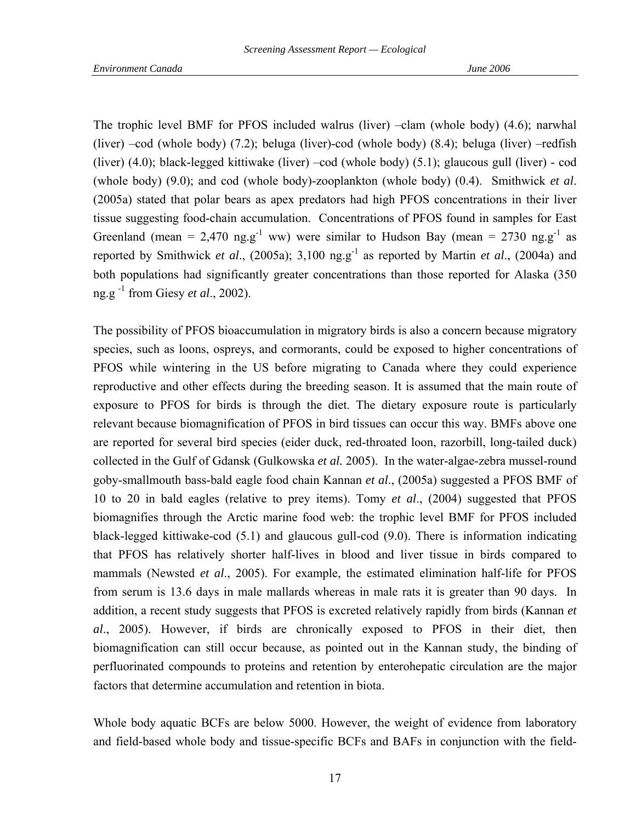The trophic level BMF for PFOS included walrus (liver) –clam (whole body) (4.6); narwhal (liver) –cod (whole body) (7.2); beluga (liver)-cod (whole body) (8.4); beluga (liver) –redfish (liver) (4.0); black-legged kittiwake (liver) –cod (whole body) (5.1); glaucous gull (liver) - cod (whole body) (9.0); and cod (whole body)-zooplankton (whole body) (0.4). Smithwick *et al*. (2005a) stated that polar bears as apex predators had high PFOS concentrations in their liver tissue suggesting food-chain accumulation. Concentrations of PFOS found in samples for East Greenland (mean = 2,470 ng.g<sup>-1</sup> ww) were similar to Hudson Bay (mean = 2730 ng.g<sup>-1</sup> as reported by Smithwick *et al.*, (2005a); 3,100 ng.g<sup>-1</sup> as reported by Martin *et al.*, (2004a) and both populations had significantly greater concentrations than those reported for Alaska (350 ng.g -1 from Giesy *et al*., 2002).

The possibility of PFOS bioaccumulation in migratory birds is also a concern because migratory species, such as loons, ospreys, and cormorants, could be exposed to higher concentrations of PFOS while wintering in the US before migrating to Canada where they could experience reproductive and other effects during the breeding season. It is assumed that the main route of exposure to PFOS for birds is through the diet. The dietary exposure route is particularly relevant because biomagnification of PFOS in bird tissues can occur this way. BMFs above one are reported for several bird species (eider duck, red-throated loon, razorbill, long-tailed duck) collected in the Gulf of Gdansk (Gulkowska *et al.* 2005). In the water-algae-zebra mussel-round goby-smallmouth bass-bald eagle food chain Kannan *et al*., (2005a) suggested a PFOS BMF of 10 to 20 in bald eagles (relative to prey items). Tomy *et al*., (2004) suggested that PFOS biomagnifies through the Arctic marine food web: the trophic level BMF for PFOS included black-legged kittiwake-cod (5.1) and glaucous gull-cod (9.0). There is information indicating that PFOS has relatively shorter half-lives in blood and liver tissue in birds compared to mammals (Newsted *et al*., 2005). For example, the estimated elimination half-life for PFOS from serum is 13.6 days in male mallards whereas in male rats it is greater than 90 days. In addition, a recent study suggests that PFOS is excreted relatively rapidly from birds (Kannan *et al*., 2005). However, if birds are chronically exposed to PFOS in their diet, then biomagnification can still occur because, as pointed out in the Kannan study, the binding of perfluorinated compounds to proteins and retention by enterohepatic circulation are the major factors that determine accumulation and retention in biota.

Whole body aquatic BCFs are below 5000. However, the weight of evidence from laboratory and field-based whole body and tissue-specific BCFs and BAFs in conjunction with the field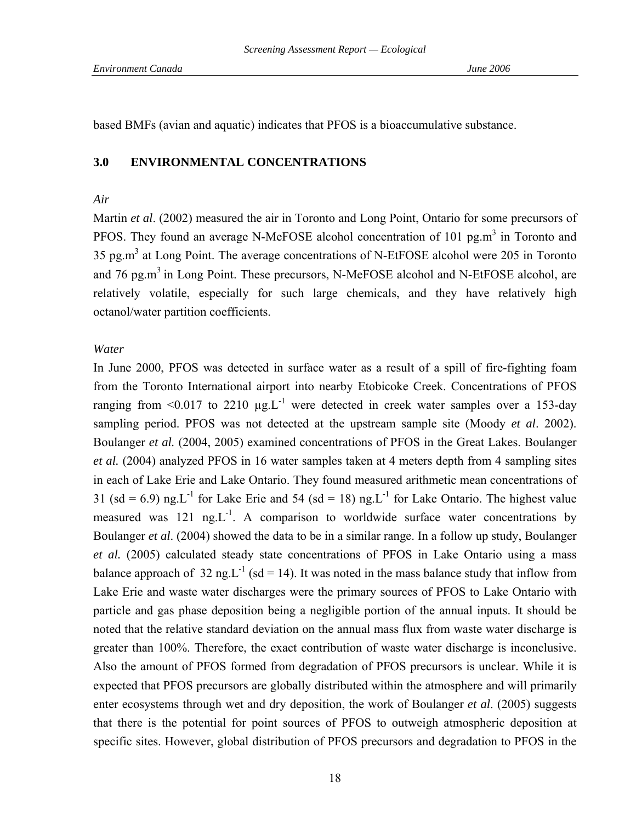based BMFs (avian and aquatic) indicates that PFOS is a bioaccumulative substance.

### **3.0 ENVIRONMENTAL CONCENTRATIONS**

#### *Air*

Martin *et al*. (2002) measured the air in Toronto and Long Point, Ontario for some precursors of PFOS. They found an average N-MeFOSE alcohol concentration of 101  $pg.m<sup>3</sup>$  in Toronto and 35 pg.m<sup>3</sup> at Long Point. The average concentrations of N-EtFOSE alcohol were 205 in Toronto and 76 pg.m<sup>3</sup> in Long Point. These precursors, N-MeFOSE alcohol and N-EtFOSE alcohol, are relatively volatile, especially for such large chemicals, and they have relatively high octanol/water partition coefficients.

## *Water*

In June 2000, PFOS was detected in surface water as a result of a spill of fire-fighting foam from the Toronto International airport into nearby Etobicoke Creek. Concentrations of PFOS ranging from  $\leq 0.017$  to 2210  $\mu$ g. L<sup>-1</sup> were detected in creek water samples over a 153-day sampling period. PFOS was not detected at the upstream sample site (Moody *et al*. 2002). Boulanger *et al.* (2004, 2005) examined concentrations of PFOS in the Great Lakes. Boulanger *et al.* (2004) analyzed PFOS in 16 water samples taken at 4 meters depth from 4 sampling sites in each of Lake Erie and Lake Ontario. They found measured arithmetic mean concentrations of 31 (sd = 6.9) ng.L<sup>-1</sup> for Lake Erie and 54 (sd = 18) ng.L<sup>-1</sup> for Lake Ontario. The highest value measured was 121 ng.L<sup>-1</sup>. A comparison to worldwide surface water concentrations by Boulanger *et al*. (2004) showed the data to be in a similar range. In a follow up study, Boulanger *et al.* (2005) calculated steady state concentrations of PFOS in Lake Ontario using a mass balance approach of 32 ng.L<sup>-1</sup> (sd = 14). It was noted in the mass balance study that inflow from Lake Erie and waste water discharges were the primary sources of PFOS to Lake Ontario with particle and gas phase deposition being a negligible portion of the annual inputs. It should be noted that the relative standard deviation on the annual mass flux from waste water discharge is greater than 100%. Therefore, the exact contribution of waste water discharge is inconclusive. Also the amount of PFOS formed from degradation of PFOS precursors is unclear. While it is expected that PFOS precursors are globally distributed within the atmosphere and will primarily enter ecosystems through wet and dry deposition, the work of Boulanger *et al*. (2005) suggests that there is the potential for point sources of PFOS to outweigh atmospheric deposition at specific sites. However, global distribution of PFOS precursors and degradation to PFOS in the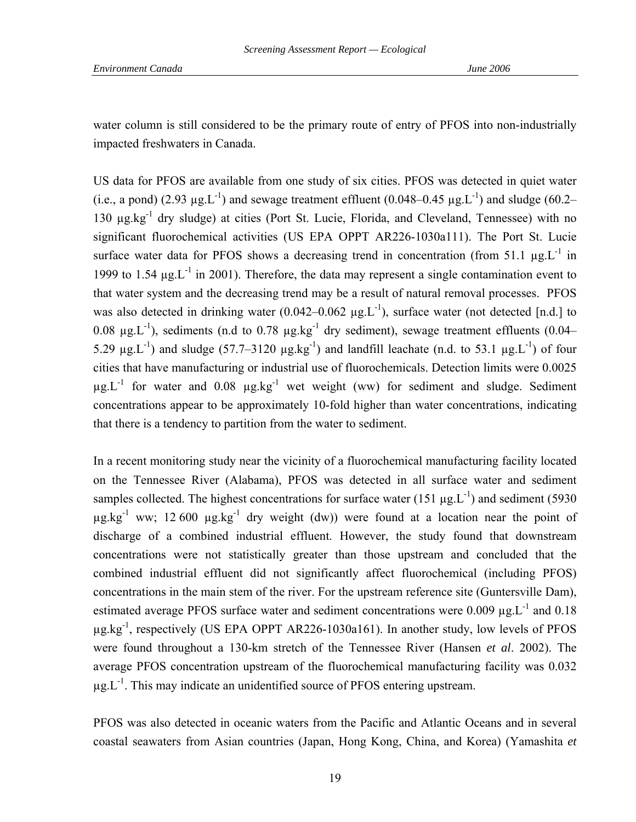water column is still considered to be the primary route of entry of PFOS into non-industrially impacted freshwaters in Canada.

US data for PFOS are available from one study of six cities. PFOS was detected in quiet water (i.e., a pond) (2.93  $\mu$ g.L<sup>-1</sup>) and sewage treatment effluent (0.048–0.45  $\mu$ g.L<sup>-1</sup>) and sludge (60.2– 130 µg.kg-1 dry sludge) at cities (Port St. Lucie, Florida, and Cleveland, Tennessee) with no significant fluorochemical activities (US EPA OPPT AR226-1030a111). The Port St. Lucie surface water data for PFOS shows a decreasing trend in concentration (from 51.1  $\mu$ g.L<sup>-1</sup> in 1999 to 1.54  $\mu$ g. L<sup>-1</sup> in 2001). Therefore, the data may represent a single contamination event to that water system and the decreasing trend may be a result of natural removal processes. PFOS was also detected in drinking water (0.042–0.062  $\mu$ g.L<sup>-1</sup>), surface water (not detected [n.d.] to 0.08  $\mu$ g.L<sup>-1</sup>), sediments (n.d to 0.78  $\mu$ g.kg<sup>-1</sup> dry sediment), sewage treatment effluents (0.04– 5.29  $\mu$ g.L<sup>-1</sup>) and sludge (57.7–3120  $\mu$ g.kg<sup>-1</sup>) and landfill leachate (n.d. to 53.1  $\mu$ g.L<sup>-1</sup>) of four cities that have manufacturing or industrial use of fluorochemicals. Detection limits were 0.0025  $\mu$ g.L<sup>-1</sup> for water and 0.08  $\mu$ g.kg<sup>-1</sup> wet weight (ww) for sediment and sludge. Sediment concentrations appear to be approximately 10-fold higher than water concentrations, indicating that there is a tendency to partition from the water to sediment.

In a recent monitoring study near the vicinity of a fluorochemical manufacturing facility located on the Tennessee River (Alabama), PFOS was detected in all surface water and sediment samples collected. The highest concentrations for surface water (151  $\mu$ g.L<sup>-1</sup>) and sediment (5930  $\mu$ g.kg<sup>-1</sup> ww; 12 600  $\mu$ g.kg<sup>-1</sup> dry weight (dw)) were found at a location near the point of discharge of a combined industrial effluent. However, the study found that downstream concentrations were not statistically greater than those upstream and concluded that the combined industrial effluent did not significantly affect fluorochemical (including PFOS) concentrations in the main stem of the river. For the upstream reference site (Guntersville Dam), estimated average PFOS surface water and sediment concentrations were 0.009  $\mu$ g.L<sup>-1</sup> and 0.18  $\mu$ g.kg<sup>-1</sup>, respectively (US EPA OPPT AR226-1030a161). In another study, low levels of PFOS were found throughout a 130-km stretch of the Tennessee River (Hansen *et al*. 2002). The average PFOS concentration upstream of the fluorochemical manufacturing facility was 0.032  $\mu$ g. $L^{-1}$ . This may indicate an unidentified source of PFOS entering upstream.

PFOS was also detected in oceanic waters from the Pacific and Atlantic Oceans and in several coastal seawaters from Asian countries (Japan, Hong Kong, China, and Korea) (Yamashita *et*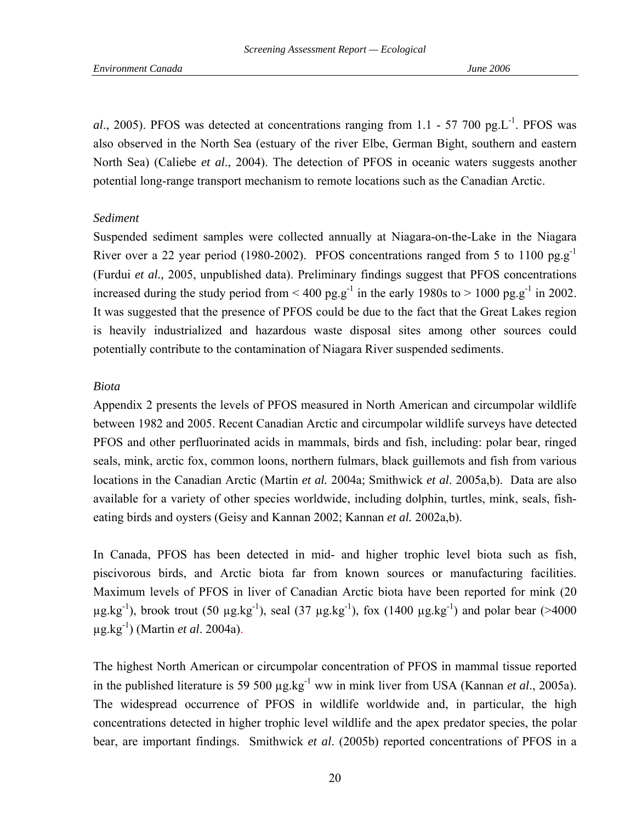al., 2005). PFOS was detected at concentrations ranging from 1.1 - 57 700 pg.L<sup>-1</sup>. PFOS was also observed in the North Sea (estuary of the river Elbe, German Bight, southern and eastern North Sea) (Caliebe *et al*., 2004). The detection of PFOS in oceanic waters suggests another potential long-range transport mechanism to remote locations such as the Canadian Arctic.

### *Sediment*

Suspended sediment samples were collected annually at Niagara-on-the-Lake in the Niagara River over a 22 year period (1980-2002). PFOS concentrations ranged from 5 to 1100 pg.g<sup>-1</sup> (Furdui *et al.,* 2005, unpublished data). Preliminary findings suggest that PFOS concentrations increased during the study period from  $\leq 400$  pg.g<sup>-1</sup> in the early 1980s to  $> 1000$  pg.g<sup>-1</sup> in 2002. It was suggested that the presence of PFOS could be due to the fact that the Great Lakes region is heavily industrialized and hazardous waste disposal sites among other sources could potentially contribute to the contamination of Niagara River suspended sediments.

## *Biota*

Appendix 2 presents the levels of PFOS measured in North American and circumpolar wildlife between 1982 and 2005. Recent Canadian Arctic and circumpolar wildlife surveys have detected PFOS and other perfluorinated acids in mammals, birds and fish, including: polar bear, ringed seals, mink, arctic fox, common loons, northern fulmars, black guillemots and fish from various locations in the Canadian Arctic (Martin *et al.* 2004a; Smithwick *et al*. 2005a,b). Data are also available for a variety of other species worldwide, including dolphin, turtles, mink, seals, fisheating birds and oysters (Geisy and Kannan 2002; Kannan *et al.* 2002a,b).

In Canada, PFOS has been detected in mid- and higher trophic level biota such as fish, piscivorous birds, and Arctic biota far from known sources or manufacturing facilities. Maximum levels of PFOS in liver of Canadian Arctic biota have been reported for mink (20  $\mu$ g.kg<sup>-1</sup>), brook trout (50  $\mu$ g.kg<sup>-1</sup>), seal (37  $\mu$ g.kg<sup>-1</sup>), fox (1400  $\mu$ g.kg<sup>-1</sup>) and polar bear (>4000 µg.kg-1) (Martin *et al*. 2004a).

The highest North American or circumpolar concentration of PFOS in mammal tissue reported in the published literature is 59 500 µg.kg-1 ww in mink liver from USA (Kannan *et al*., 2005a). The widespread occurrence of PFOS in wildlife worldwide and, in particular, the high concentrations detected in higher trophic level wildlife and the apex predator species, the polar bear, are important findings. Smithwick *et al*. (2005b) reported concentrations of PFOS in a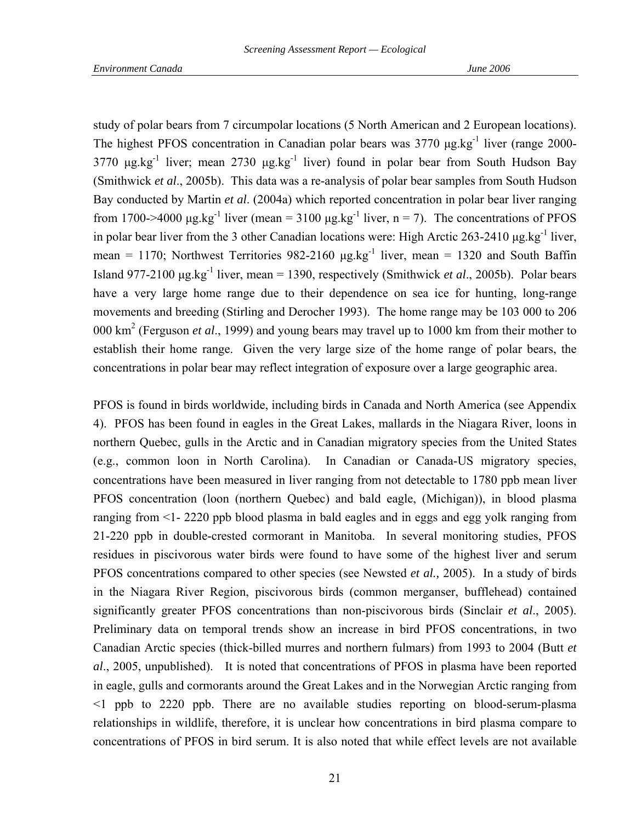study of polar bears from 7 circumpolar locations (5 North American and 2 European locations). The highest PFOS concentration in Canadian polar bears was 3770 μg.kg-1 liver (range 2000- 3770  $\mu$ g.kg<sup>-1</sup> liver; mean 2730  $\mu$ g.kg<sup>-1</sup> liver) found in polar bear from South Hudson Bay (Smithwick *et al*., 2005b). This data was a re-analysis of polar bear samples from South Hudson Bay conducted by Martin *et al*. (2004a) which reported concentration in polar bear liver ranging from 1700->4000 μg.kg<sup>-1</sup> liver (mean = 3100 μg.kg<sup>-1</sup> liver, n = 7). The concentrations of PFOS in polar bear liver from the 3 other Canadian locations were: High Arctic 263-2410 μg.kg-1 liver, mean = 1170; Northwest Territories  $982-2160 \mu g kg^{-1}$  liver, mean = 1320 and South Baffin Island 977-2100 μg.kg-1 liver, mean = 1390, respectively (Smithwick *et al*., 2005b). Polar bears have a very large home range due to their dependence on sea ice for hunting, long-range movements and breeding (Stirling and Derocher 1993). The home range may be 103 000 to 206 000 km2 (Ferguson *et al*., 1999) and young bears may travel up to 1000 km from their mother to establish their home range. Given the very large size of the home range of polar bears, the concentrations in polar bear may reflect integration of exposure over a large geographic area.

PFOS is found in birds worldwide, including birds in Canada and North America (see Appendix 4). PFOS has been found in eagles in the Great Lakes, mallards in the Niagara River, loons in northern Quebec, gulls in the Arctic and in Canadian migratory species from the United States (e.g., common loon in North Carolina). In Canadian or Canada-US migratory species, concentrations have been measured in liver ranging from not detectable to 1780 ppb mean liver PFOS concentration (loon (northern Quebec) and bald eagle, (Michigan)), in blood plasma ranging from <1- 2220 ppb blood plasma in bald eagles and in eggs and egg yolk ranging from 21-220 ppb in double-crested cormorant in Manitoba. In several monitoring studies, PFOS residues in piscivorous water birds were found to have some of the highest liver and serum PFOS concentrations compared to other species (see Newsted *et al.,* 2005). In a study of birds in the Niagara River Region, piscivorous birds (common merganser, bufflehead) contained significantly greater PFOS concentrations than non-piscivorous birds (Sinclair *et al*., 2005). Preliminary data on temporal trends show an increase in bird PFOS concentrations, in two Canadian Arctic species (thick-billed murres and northern fulmars) from 1993 to 2004 (Butt *et al*., 2005, unpublished). It is noted that concentrations of PFOS in plasma have been reported in eagle, gulls and cormorants around the Great Lakes and in the Norwegian Arctic ranging from <1 ppb to 2220 ppb. There are no available studies reporting on blood-serum-plasma relationships in wildlife, therefore, it is unclear how concentrations in bird plasma compare to concentrations of PFOS in bird serum. It is also noted that while effect levels are not available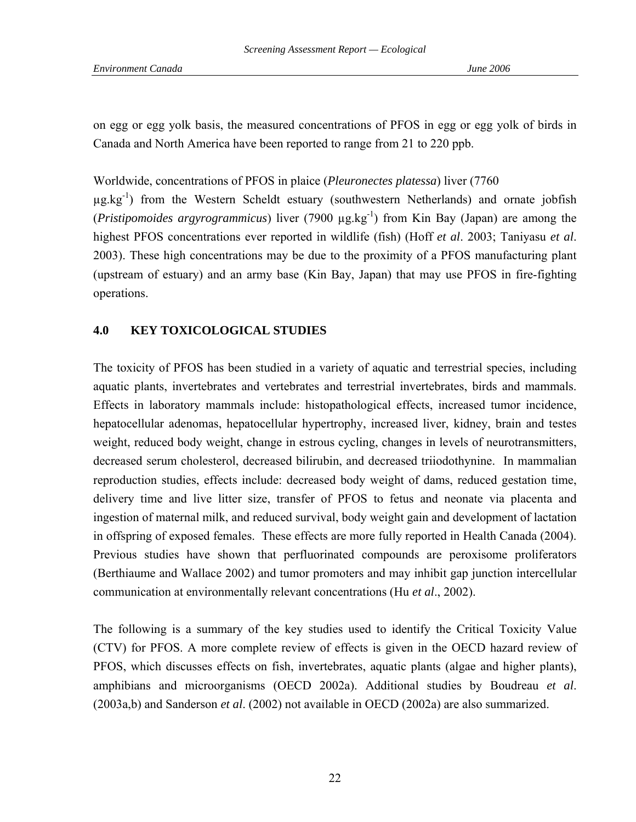on egg or egg yolk basis, the measured concentrations of PFOS in egg or egg yolk of birds in Canada and North America have been reported to range from 21 to 220 ppb.

## Worldwide, concentrations of PFOS in plaice (*Pleuronectes platessa*) liver (7760

 $\mu$ g.kg<sup>-1</sup>) from the Western Scheldt estuary (southwestern Netherlands) and ornate jobfish (*Pristipomoides argyrogrammicus*) liver (7900 µg.kg-1) from Kin Bay (Japan) are among the highest PFOS concentrations ever reported in wildlife (fish) (Hoff *et al*. 2003; Taniyasu *et al*. 2003). These high concentrations may be due to the proximity of a PFOS manufacturing plant (upstream of estuary) and an army base (Kin Bay, Japan) that may use PFOS in fire-fighting operations.

## **4.0 KEY TOXICOLOGICAL STUDIES**

The toxicity of PFOS has been studied in a variety of aquatic and terrestrial species, including aquatic plants, invertebrates and vertebrates and terrestrial invertebrates, birds and mammals. Effects in laboratory mammals include: histopathological effects, increased tumor incidence, hepatocellular adenomas, hepatocellular hypertrophy, increased liver, kidney, brain and testes weight, reduced body weight, change in estrous cycling, changes in levels of neurotransmitters, decreased serum cholesterol, decreased bilirubin, and decreased triiodothynine. In mammalian reproduction studies, effects include: decreased body weight of dams, reduced gestation time, delivery time and live litter size, transfer of PFOS to fetus and neonate via placenta and ingestion of maternal milk, and reduced survival, body weight gain and development of lactation in offspring of exposed females. These effects are more fully reported in Health Canada (2004). Previous studies have shown that perfluorinated compounds are peroxisome proliferators (Berthiaume and Wallace 2002) and tumor promoters and may inhibit gap junction intercellular communication at environmentally relevant concentrations (Hu *et al*., 2002).

The following is a summary of the key studies used to identify the Critical Toxicity Value (CTV) for PFOS. A more complete review of effects is given in the OECD hazard review of PFOS, which discusses effects on fish, invertebrates, aquatic plants (algae and higher plants), amphibians and microorganisms (OECD 2002a). Additional studies by Boudreau *et al*. (2003a,b) and Sanderson *et al*. (2002) not available in OECD (2002a) are also summarized.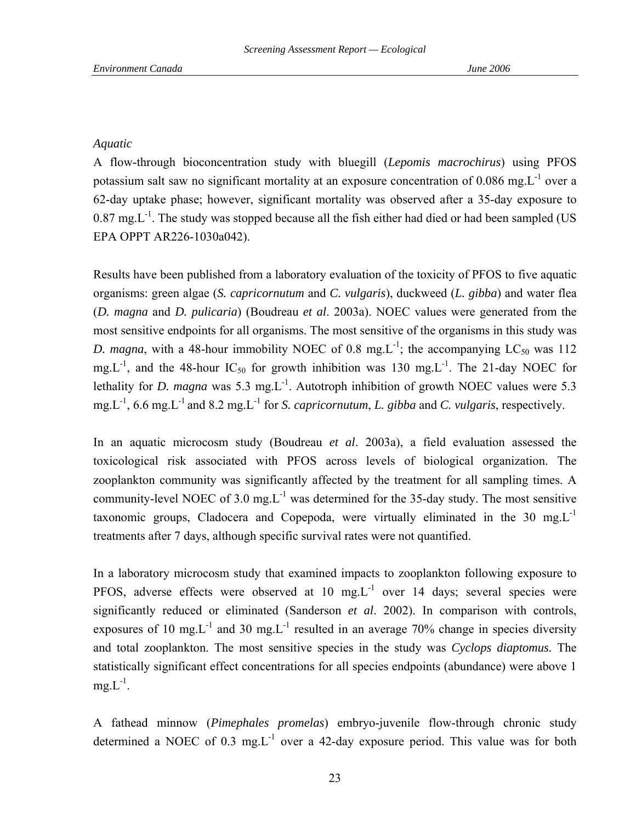## *Aquatic*

A flow-through bioconcentration study with bluegill (*Lepomis macrochirus*) using PFOS potassium salt saw no significant mortality at an exposure concentration of  $0.086$  mg. $L^{-1}$  over a 62-day uptake phase; however, significant mortality was observed after a 35-day exposure to  $0.87 \text{ mg.L}^{-1}$ . The study was stopped because all the fish either had died or had been sampled (US EPA OPPT AR226-1030a042).

Results have been published from a laboratory evaluation of the toxicity of PFOS to five aquatic organisms: green algae (*S. capricornutum* and *C. vulgaris*), duckweed (*L. gibba*) and water flea (*D. magna* and *D. pulicaria*) (Boudreau *et al*. 2003a). NOEC values were generated from the most sensitive endpoints for all organisms. The most sensitive of the organisms in this study was *D. magna*, with a 48-hour immobility NOEC of 0.8 mg.  $L^{-1}$ ; the accompanying  $LC_{50}$  was 112 mg.  $L^{-1}$ , and the 48-hour IC<sub>50</sub> for growth inhibition was 130 mg.  $L^{-1}$ . The 21-day NOEC for lethality for *D. magna* was 5.3 mg<sub>.</sub>L<sup>-1</sup>. Autotroph inhibition of growth NOEC values were 5.3 mg.L-1, 6.6 mg.L-1 and 8.2 mg.L-1 for *S. capricornutum*, *L. gibba* and *C. vulgaris*, respectively.

In an aquatic microcosm study (Boudreau *et al*. 2003a), a field evaluation assessed the toxicological risk associated with PFOS across levels of biological organization. The zooplankton community was significantly affected by the treatment for all sampling times. A community-level NOEC of 3.0 mg. $L^{-1}$  was determined for the 35-day study. The most sensitive taxonomic groups, Cladocera and Copepoda, were virtually eliminated in the 30 mg. $L^{-1}$ treatments after 7 days, although specific survival rates were not quantified.

In a laboratory microcosm study that examined impacts to zooplankton following exposure to PFOS, adverse effects were observed at 10 mg.L<sup>-1</sup> over 14 days; several species were significantly reduced or eliminated (Sanderson *et al*. 2002). In comparison with controls, exposures of 10 mg. $L^{-1}$  and 30 mg. $L^{-1}$  resulted in an average 70% change in species diversity and total zooplankton. The most sensitive species in the study was *Cyclops diaptomus.* The statistically significant effect concentrations for all species endpoints (abundance) were above 1  $mg.L^{-1}$ .

A fathead minnow (*Pimephales promelas*) embryo-juvenile flow-through chronic study determined a NOEC of  $0.3 \text{ mg}$ . L<sup>-1</sup> over a 42-day exposure period. This value was for both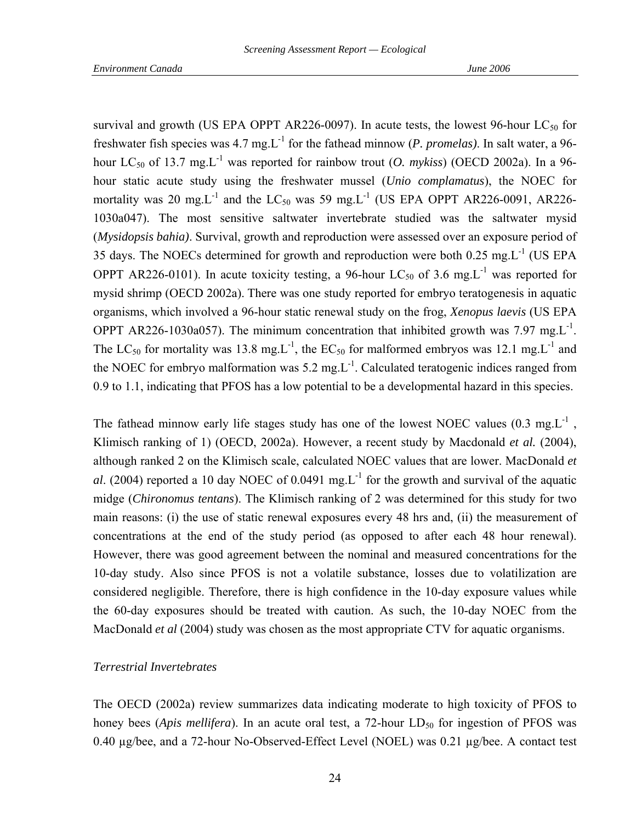survival and growth (US EPA OPPT AR226-0097). In acute tests, the lowest 96-hour  $LC_{50}$  for freshwater fish species was 4.7 mg.L-1 for the fathead minnow (*P. promelas)*. In salt water, a 96 hour LC<sub>50</sub> of 13.7 mg.L<sup>-1</sup> was reported for rainbow trout (*O. mykiss*) (OECD 2002a). In a 96hour static acute study using the freshwater mussel (*Unio complamatus*), the NOEC for mortality was 20 mg.L<sup>-1</sup> and the LC<sub>50</sub> was 59 mg.L<sup>-1</sup> (US EPA OPPT AR226-0091, AR226-1030a047). The most sensitive saltwater invertebrate studied was the saltwater mysid (*Mysidopsis bahia)*. Survival, growth and reproduction were assessed over an exposure period of 35 days. The NOECs determined for growth and reproduction were both 0.25 mg.L-1 (US EPA OPPT AR226-0101). In acute toxicity testing, a 96-hour LC<sub>50</sub> of 3.6 mg.L<sup>-1</sup> was reported for mysid shrimp (OECD 2002a). There was one study reported for embryo teratogenesis in aquatic organisms, which involved a 96-hour static renewal study on the frog, *Xenopus laevis* (US EPA OPPT AR226-1030a057). The minimum concentration that inhibited growth was 7.97 mg.L<sup>-1</sup>. The LC<sub>50</sub> for mortality was 13.8 mg<sub>.</sub>L<sup>-1</sup>, the EC<sub>50</sub> for malformed embryos was 12.1 mg<sub>.</sub>L<sup>-1</sup> and the NOEC for embryo malformation was  $5.2 \text{ mg}$ . Calculated teratogenic indices ranged from 0.9 to 1.1, indicating that PFOS has a low potential to be a developmental hazard in this species.

The fathead minnow early life stages study has one of the lowest NOEC values  $(0.3 \text{ mg} \cdot \text{L}^{-1})$ , Klimisch ranking of 1) (OECD, 2002a). However, a recent study by Macdonald *et al.* (2004), although ranked 2 on the Klimisch scale, calculated NOEC values that are lower. MacDonald *et al.* (2004) reported a 10 day NOEC of 0.0491 mg. L<sup>-1</sup> for the growth and survival of the aquatic midge (*Chironomus tentans*). The Klimisch ranking of 2 was determined for this study for two main reasons: (i) the use of static renewal exposures every 48 hrs and, (ii) the measurement of concentrations at the end of the study period (as opposed to after each 48 hour renewal). However, there was good agreement between the nominal and measured concentrations for the 10-day study. Also since PFOS is not a volatile substance, losses due to volatilization are considered negligible. Therefore, there is high confidence in the 10-day exposure values while the 60-day exposures should be treated with caution. As such, the 10-day NOEC from the MacDonald *et al* (2004) study was chosen as the most appropriate CTV for aquatic organisms.

### *Terrestrial Invertebrates*

The OECD (2002a) review summarizes data indicating moderate to high toxicity of PFOS to honey bees (*Apis mellifera*). In an acute oral test, a 72-hour LD<sub>50</sub> for ingestion of PFOS was 0.40 µg/bee, and a 72-hour No-Observed-Effect Level (NOEL) was 0.21 µg/bee. A contact test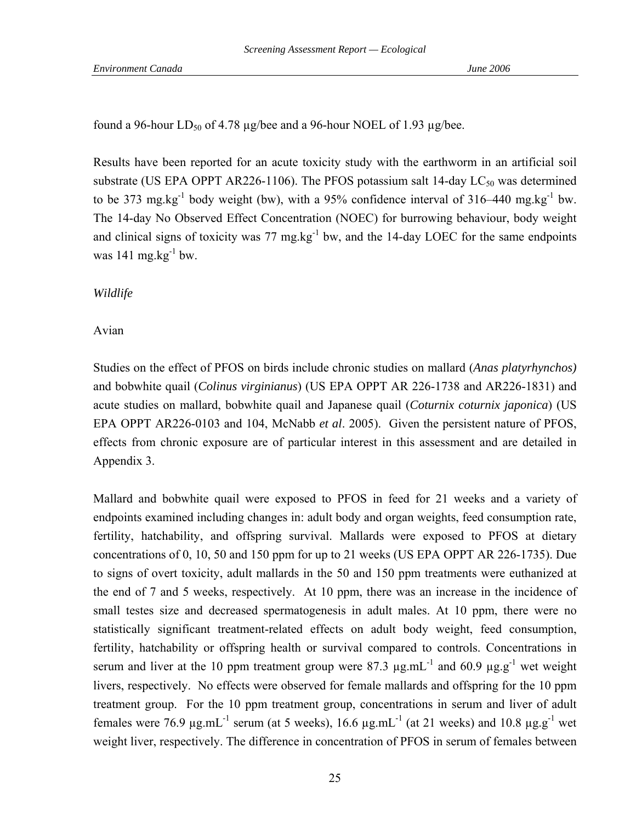found a 96-hour  $LD_{50}$  of 4.78  $\mu$ g/bee and a 96-hour NOEL of 1.93  $\mu$ g/bee.

Results have been reported for an acute toxicity study with the earthworm in an artificial soil substrate (US EPA OPPT AR226-1106). The PFOS potassium salt 14-day  $LC_{50}$  was determined to be 373 mg.kg<sup>-1</sup> body weight (bw), with a 95% confidence interval of 316–440 mg.kg<sup>-1</sup> bw. The 14-day No Observed Effect Concentration (NOEC) for burrowing behaviour, body weight and clinical signs of toxicity was  $77 \text{ mg} \cdot \text{kg}^{-1}$  bw, and the 14-day LOEC for the same endpoints was 141 mg.kg $^{-1}$  bw.

## *Wildlife*

## Avian

Studies on the effect of PFOS on birds include chronic studies on mallard (*Anas platyrhynchos)* and bobwhite quail (*Colinus virginianus*) (US EPA OPPT AR 226-1738 and AR226-1831) and acute studies on mallard, bobwhite quail and Japanese quail (*Coturnix coturnix japonica*) (US EPA OPPT AR226-0103 and 104, McNabb *et al*. 2005). Given the persistent nature of PFOS, effects from chronic exposure are of particular interest in this assessment and are detailed in Appendix 3.

Mallard and bobwhite quail were exposed to PFOS in feed for 21 weeks and a variety of endpoints examined including changes in: adult body and organ weights, feed consumption rate, fertility, hatchability, and offspring survival. Mallards were exposed to PFOS at dietary concentrations of 0, 10, 50 and 150 ppm for up to 21 weeks (US EPA OPPT AR 226-1735). Due to signs of overt toxicity, adult mallards in the 50 and 150 ppm treatments were euthanized at the end of 7 and 5 weeks, respectively. At 10 ppm, there was an increase in the incidence of small testes size and decreased spermatogenesis in adult males. At 10 ppm, there were no statistically significant treatment-related effects on adult body weight, feed consumption, fertility, hatchability or offspring health or survival compared to controls. Concentrations in serum and liver at the 10 ppm treatment group were 87.3  $\mu$ g.mL<sup>-1</sup> and 60.9  $\mu$ g.g<sup>-1</sup> wet weight livers, respectively. No effects were observed for female mallards and offspring for the 10 ppm treatment group. For the 10 ppm treatment group, concentrations in serum and liver of adult females were 76.9  $\mu$ g.mL<sup>-1</sup> serum (at 5 weeks), 16.6  $\mu$ g.mL<sup>-1</sup> (at 21 weeks) and 10.8  $\mu$ g.g<sup>-1</sup> wet weight liver, respectively. The difference in concentration of PFOS in serum of females between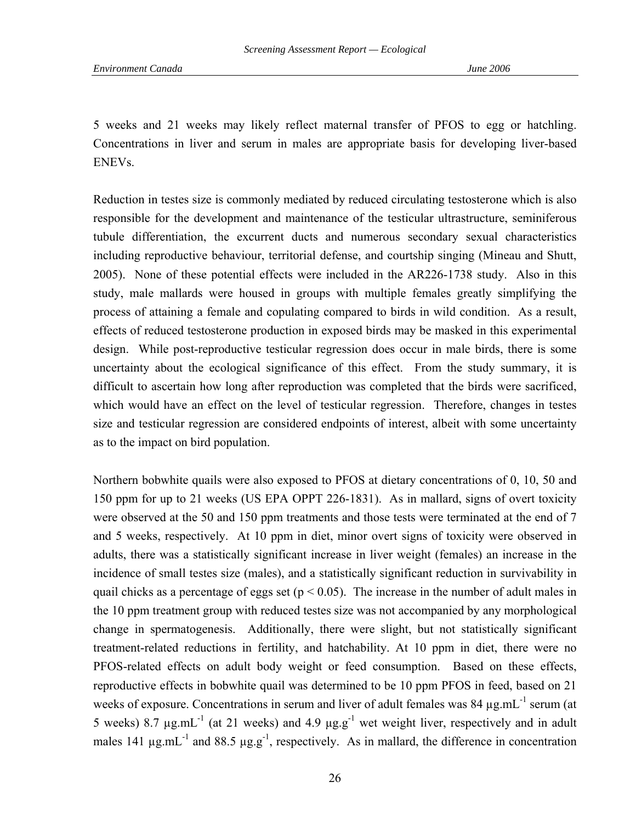5 weeks and 21 weeks may likely reflect maternal transfer of PFOS to egg or hatchling. Concentrations in liver and serum in males are appropriate basis for developing liver-based ENEVs.

Reduction in testes size is commonly mediated by reduced circulating testosterone which is also responsible for the development and maintenance of the testicular ultrastructure, seminiferous tubule differentiation, the excurrent ducts and numerous secondary sexual characteristics including reproductive behaviour, territorial defense, and courtship singing (Mineau and Shutt, 2005). None of these potential effects were included in the AR226-1738 study. Also in this study, male mallards were housed in groups with multiple females greatly simplifying the process of attaining a female and copulating compared to birds in wild condition. As a result, effects of reduced testosterone production in exposed birds may be masked in this experimental design. While post-reproductive testicular regression does occur in male birds, there is some uncertainty about the ecological significance of this effect. From the study summary, it is difficult to ascertain how long after reproduction was completed that the birds were sacrificed, which would have an effect on the level of testicular regression. Therefore, changes in testes size and testicular regression are considered endpoints of interest, albeit with some uncertainty as to the impact on bird population.

Northern bobwhite quails were also exposed to PFOS at dietary concentrations of 0, 10, 50 and 150 ppm for up to 21 weeks (US EPA OPPT 226-1831). As in mallard, signs of overt toxicity were observed at the 50 and 150 ppm treatments and those tests were terminated at the end of 7 and 5 weeks, respectively. At 10 ppm in diet, minor overt signs of toxicity were observed in adults, there was a statistically significant increase in liver weight (females) an increase in the incidence of small testes size (males), and a statistically significant reduction in survivability in quail chicks as a percentage of eggs set ( $p < 0.05$ ). The increase in the number of adult males in the 10 ppm treatment group with reduced testes size was not accompanied by any morphological change in spermatogenesis. Additionally, there were slight, but not statistically significant treatment-related reductions in fertility, and hatchability. At 10 ppm in diet, there were no PFOS-related effects on adult body weight or feed consumption. Based on these effects, reproductive effects in bobwhite quail was determined to be 10 ppm PFOS in feed, based on 21 weeks of exposure. Concentrations in serum and liver of adult females was 84  $\mu$ g.mL<sup>-1</sup> serum (at 5 weeks) 8.7  $\mu$ g.mL<sup>-1</sup> (at 21 weeks) and 4.9  $\mu$ g.g<sup>-1</sup> wet weight liver, respectively and in adult males 141  $\mu$ g.mL<sup>-1</sup> and 88.5  $\mu$ g.g<sup>-1</sup>, respectively. As in mallard, the difference in concentration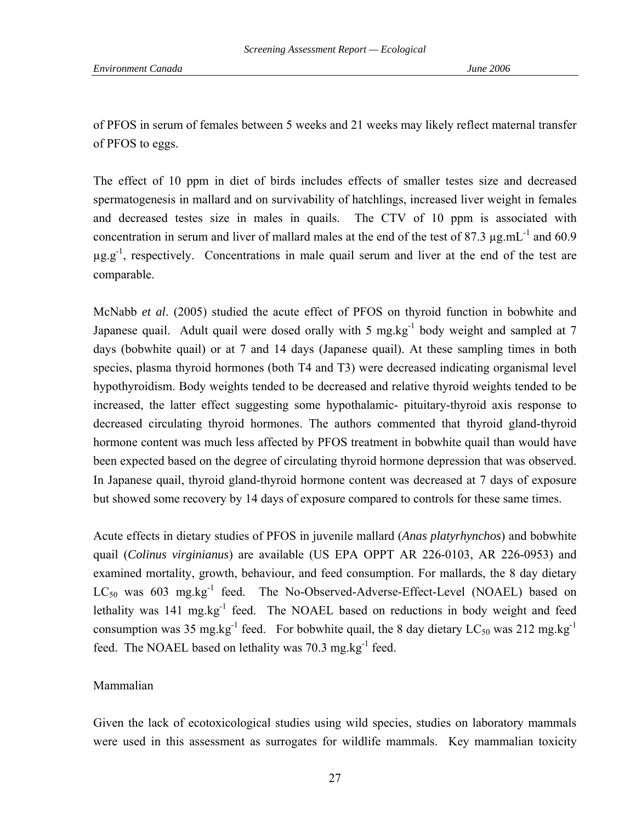of PFOS in serum of females between 5 weeks and 21 weeks may likely reflect maternal transfer of PFOS to eggs.

The effect of 10 ppm in diet of birds includes effects of smaller testes size and decreased spermatogenesis in mallard and on survivability of hatchlings, increased liver weight in females and decreased testes size in males in quails. The CTV of 10 ppm is associated with concentration in serum and liver of mallard males at the end of the test of 87.3  $\mu$ g.mL<sup>-1</sup> and 60.9  $\mu$ g.g<sup>-1</sup>, respectively. Concentrations in male quail serum and liver at the end of the test are comparable.

McNabb *et al*. (2005) studied the acute effect of PFOS on thyroid function in bobwhite and Japanese quail. Adult quail were dosed orally with 5 mg.kg<sup>-1</sup> body weight and sampled at 7 days (bobwhite quail) or at 7 and 14 days (Japanese quail). At these sampling times in both species, plasma thyroid hormones (both T4 and T3) were decreased indicating organismal level hypothyroidism. Body weights tended to be decreased and relative thyroid weights tended to be increased, the latter effect suggesting some hypothalamic- pituitary-thyroid axis response to decreased circulating thyroid hormones. The authors commented that thyroid gland-thyroid hormone content was much less affected by PFOS treatment in bobwhite quail than would have been expected based on the degree of circulating thyroid hormone depression that was observed. In Japanese quail, thyroid gland-thyroid hormone content was decreased at 7 days of exposure but showed some recovery by 14 days of exposure compared to controls for these same times.

Acute effects in dietary studies of PFOS in juvenile mallard (*Anas platyrhynchos*) and bobwhite quail (*Colinus virginianus*) are available (US EPA OPPT AR 226-0103, AR 226-0953) and examined mortality, growth, behaviour, and feed consumption. For mallards, the 8 day dietary LC<sub>50</sub> was 603 mg.kg<sup>-1</sup> feed. The No-Observed-Adverse-Effect-Level (NOAEL) based on lethality was  $141 \text{ mg} \cdot \text{kg}^{-1}$  feed. The NOAEL based on reductions in body weight and feed consumption was 35 mg.kg<sup>-1</sup> feed. For bobwhite quail, the 8 day dietary LC<sub>50</sub> was 212 mg.kg<sup>-1</sup> feed. The NOAEL based on lethality was 70.3 mg.kg-1 feed.

## Mammalian

Given the lack of ecotoxicological studies using wild species, studies on laboratory mammals were used in this assessment as surrogates for wildlife mammals. Key mammalian toxicity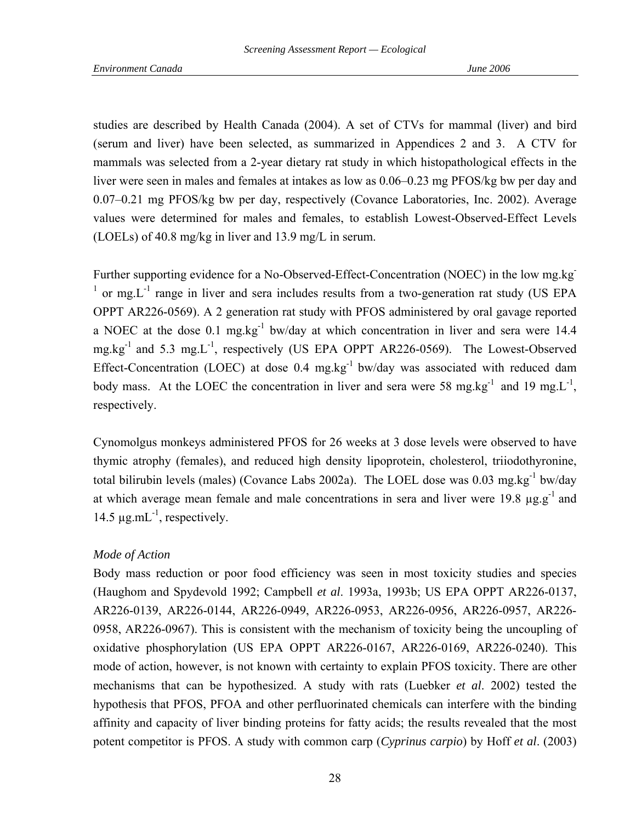studies are described by Health Canada (2004). A set of CTVs for mammal (liver) and bird (serum and liver) have been selected, as summarized in Appendices 2 and 3. A CTV for mammals was selected from a 2-year dietary rat study in which histopathological effects in the liver were seen in males and females at intakes as low as 0.06–0.23 mg PFOS/kg bw per day and 0.07–0.21 mg PFOS/kg bw per day, respectively (Covance Laboratories, Inc. 2002). Average values were determined for males and females, to establish Lowest-Observed-Effect Levels (LOELs) of 40.8 mg/kg in liver and 13.9 mg/L in serum.

Further supporting evidence for a No-Observed-Effect-Concentration (NOEC) in the low mg.kg- $<sup>1</sup>$  or mg. L<sup>-1</sup> range in liver and sera includes results from a two-generation rat study (US EPA</sup> OPPT AR226-0569). A 2 generation rat study with PFOS administered by oral gavage reported a NOEC at the dose  $0.1 \text{ mg} \cdot \text{kg}^{-1}$  bw/day at which concentration in liver and sera were 14.4 mg.kg-1 and 5.3 mg.L-1, respectively (US EPA OPPT AR226-0569). The Lowest-Observed Effect-Concentration (LOEC) at dose 0.4 mg.kg<sup>-1</sup> bw/day was associated with reduced dam body mass. At the LOEC the concentration in liver and sera were 58 mg.kg<sup>-1</sup> and 19 mg.L<sup>-1</sup>, respectively.

Cynomolgus monkeys administered PFOS for 26 weeks at 3 dose levels were observed to have thymic atrophy (females), and reduced high density lipoprotein, cholesterol, triiodothyronine, total bilirubin levels (males) (Covance Labs 2002a). The LOEL dose was 0.03 mg.kg<sup>-1</sup> bw/day at which average mean female and male concentrations in sera and liver were  $19.8 \text{ µg.g}^{-1}$  and 14.5  $\mu$ g.mL<sup>-1</sup>, respectively.

### *Mode of Action*

Body mass reduction or poor food efficiency was seen in most toxicity studies and species (Haughom and Spydevold 1992; Campbell *et al*. 1993a, 1993b; US EPA OPPT AR226-0137, AR226-0139, AR226-0144, AR226-0949, AR226-0953, AR226-0956, AR226-0957, AR226- 0958, AR226-0967). This is consistent with the mechanism of toxicity being the uncoupling of oxidative phosphorylation (US EPA OPPT AR226-0167, AR226-0169, AR226-0240). This mode of action, however, is not known with certainty to explain PFOS toxicity. There are other mechanisms that can be hypothesized. A study with rats (Luebker *et al*. 2002) tested the hypothesis that PFOS, PFOA and other perfluorinated chemicals can interfere with the binding affinity and capacity of liver binding proteins for fatty acids; the results revealed that the most potent competitor is PFOS. A study with common carp (*Cyprinus carpio*) by Hoff *et al*. (2003)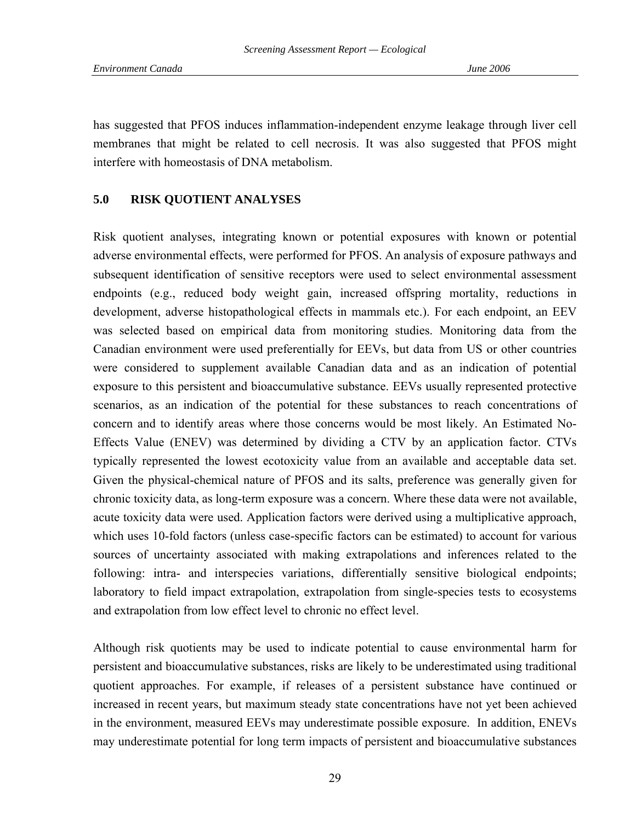has suggested that PFOS induces inflammation-independent enzyme leakage through liver cell membranes that might be related to cell necrosis. It was also suggested that PFOS might interfere with homeostasis of DNA metabolism.

## **5.0 RISK QUOTIENT ANALYSES**

Risk quotient analyses, integrating known or potential exposures with known or potential adverse environmental effects, were performed for PFOS. An analysis of exposure pathways and subsequent identification of sensitive receptors were used to select environmental assessment endpoints (e.g., reduced body weight gain, increased offspring mortality, reductions in development, adverse histopathological effects in mammals etc.). For each endpoint, an EEV was selected based on empirical data from monitoring studies. Monitoring data from the Canadian environment were used preferentially for EEVs, but data from US or other countries were considered to supplement available Canadian data and as an indication of potential exposure to this persistent and bioaccumulative substance. EEVs usually represented protective scenarios, as an indication of the potential for these substances to reach concentrations of concern and to identify areas where those concerns would be most likely. An Estimated No-Effects Value (ENEV) was determined by dividing a CTV by an application factor. CTVs typically represented the lowest ecotoxicity value from an available and acceptable data set. Given the physical-chemical nature of PFOS and its salts, preference was generally given for chronic toxicity data, as long-term exposure was a concern. Where these data were not available, acute toxicity data were used. Application factors were derived using a multiplicative approach, which uses 10-fold factors (unless case-specific factors can be estimated) to account for various sources of uncertainty associated with making extrapolations and inferences related to the following: intra- and interspecies variations, differentially sensitive biological endpoints; laboratory to field impact extrapolation, extrapolation from single-species tests to ecosystems and extrapolation from low effect level to chronic no effect level.

Although risk quotients may be used to indicate potential to cause environmental harm for persistent and bioaccumulative substances, risks are likely to be underestimated using traditional quotient approaches. For example, if releases of a persistent substance have continued or increased in recent years, but maximum steady state concentrations have not yet been achieved in the environment, measured EEVs may underestimate possible exposure. In addition, ENEVs may underestimate potential for long term impacts of persistent and bioaccumulative substances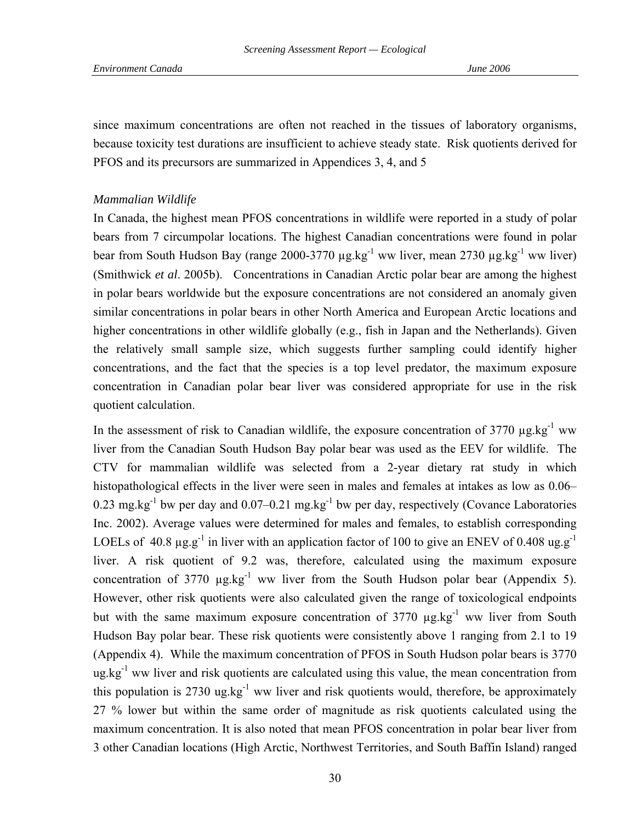since maximum concentrations are often not reached in the tissues of laboratory organisms, because toxicity test durations are insufficient to achieve steady state. Risk quotients derived for PFOS and its precursors are summarized in Appendices 3, 4, and 5

### *Mammalian Wildlife*

In Canada, the highest mean PFOS concentrations in wildlife were reported in a study of polar bears from 7 circumpolar locations. The highest Canadian concentrations were found in polar bear from South Hudson Bay (range 2000-3770  $\mu$ g.kg<sup>-1</sup> ww liver, mean 2730  $\mu$ g.kg<sup>-1</sup> ww liver) (Smithwick *et al*. 2005b). Concentrations in Canadian Arctic polar bear are among the highest in polar bears worldwide but the exposure concentrations are not considered an anomaly given similar concentrations in polar bears in other North America and European Arctic locations and higher concentrations in other wildlife globally (e.g., fish in Japan and the Netherlands). Given the relatively small sample size, which suggests further sampling could identify higher concentrations, and the fact that the species is a top level predator, the maximum exposure concentration in Canadian polar bear liver was considered appropriate for use in the risk quotient calculation.

In the assessment of risk to Canadian wildlife, the exposure concentration of 3770  $\mu$ g.kg<sup>-1</sup> ww liver from the Canadian South Hudson Bay polar bear was used as the EEV for wildlife. The CTV for mammalian wildlife was selected from a 2-year dietary rat study in which histopathological effects in the liver were seen in males and females at intakes as low as 0.06– 0.23 mg.kg<sup>-1</sup> bw per day and 0.07–0.21 mg.kg<sup>-1</sup> bw per day, respectively (Covance Laboratories Inc. 2002). Average values were determined for males and females, to establish corresponding LOELs of 40.8  $\mu$ g.g<sup>-1</sup> in liver with an application factor of 100 to give an ENEV of 0.408 ug.g<sup>-1</sup> liver. A risk quotient of 9.2 was, therefore, calculated using the maximum exposure concentration of 3770  $\mu$ g.kg<sup>-1</sup> ww liver from the South Hudson polar bear (Appendix 5). However, other risk quotients were also calculated given the range of toxicological endpoints but with the same maximum exposure concentration of  $3770 \mu g/kg^{-1}$  ww liver from South Hudson Bay polar bear. These risk quotients were consistently above 1 ranging from 2.1 to 19 (Appendix 4). While the maximum concentration of PFOS in South Hudson polar bears is 3770  $ug.kg^{-1}$  ww liver and risk quotients are calculated using this value, the mean concentration from this population is 2730 ug.kg<sup>-1</sup> ww liver and risk quotients would, therefore, be approximately 27 % lower but within the same order of magnitude as risk quotients calculated using the maximum concentration. It is also noted that mean PFOS concentration in polar bear liver from 3 other Canadian locations (High Arctic, Northwest Territories, and South Baffin Island) ranged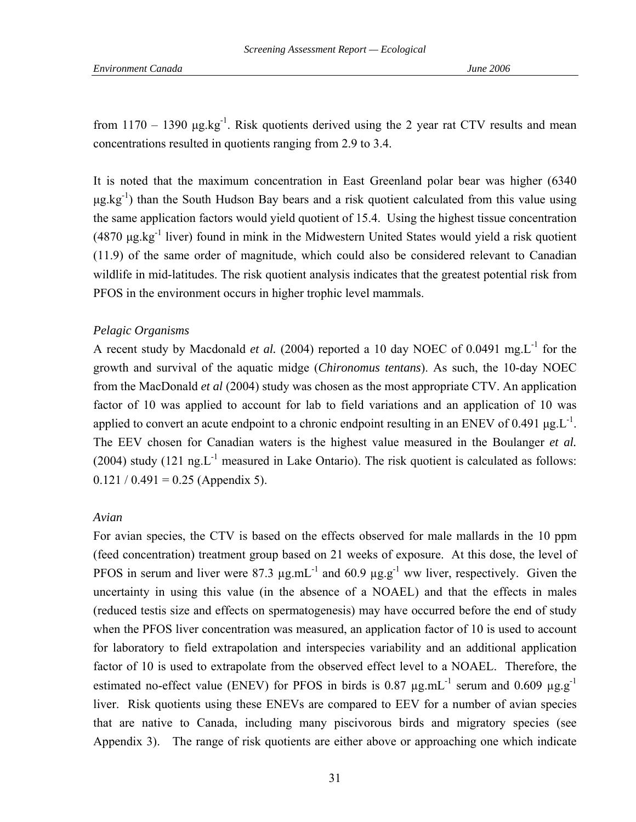from  $1170 - 1390$   $\mu$ g.kg<sup>-1</sup>. Risk quotients derived using the 2 year rat CTV results and mean concentrations resulted in quotients ranging from 2.9 to 3.4.

It is noted that the maximum concentration in East Greenland polar bear was higher (6340  $\mu$ g.kg<sup>-1</sup>) than the South Hudson Bay bears and a risk quotient calculated from this value using the same application factors would yield quotient of 15.4. Using the highest tissue concentration (4870  $\mu$ g.kg<sup>-1</sup> liver) found in mink in the Midwestern United States would yield a risk quotient (11.9) of the same order of magnitude, which could also be considered relevant to Canadian wildlife in mid-latitudes. The risk quotient analysis indicates that the greatest potential risk from PFOS in the environment occurs in higher trophic level mammals.

### *Pelagic Organisms*

A recent study by Macdonald *et al.* (2004) reported a 10 day NOEC of 0.0491 mg.L-1 for the growth and survival of the aquatic midge (*Chironomus tentans*). As such, the 10-day NOEC from the MacDonald *et al* (2004) study was chosen as the most appropriate CTV. An application factor of 10 was applied to account for lab to field variations and an application of 10 was applied to convert an acute endpoint to a chronic endpoint resulting in an ENEV of 0.491  $\mu$ g.L<sup>-1</sup>. The EEV chosen for Canadian waters is the highest value measured in the Boulanger *et al.* (2004) study (121 ng. $L^{-1}$  measured in Lake Ontario). The risk quotient is calculated as follows:  $0.121 / 0.491 = 0.25$  (Appendix 5).

### *Avian*

For avian species, the CTV is based on the effects observed for male mallards in the 10 ppm (feed concentration) treatment group based on 21 weeks of exposure. At this dose, the level of PFOS in serum and liver were 87.3  $\mu$ g.mL<sup>-1</sup> and 60.9  $\mu$ g.g<sup>-1</sup> ww liver, respectively. Given the uncertainty in using this value (in the absence of a NOAEL) and that the effects in males (reduced testis size and effects on spermatogenesis) may have occurred before the end of study when the PFOS liver concentration was measured, an application factor of 10 is used to account for laboratory to field extrapolation and interspecies variability and an additional application factor of 10 is used to extrapolate from the observed effect level to a NOAEL. Therefore, the estimated no-effect value (ENEV) for PFOS in birds is 0.87  $\mu$ g.mL<sup>-1</sup> serum and 0.609  $\mu$ g.g<sup>-1</sup> liver. Risk quotients using these ENEVs are compared to EEV for a number of avian species that are native to Canada, including many piscivorous birds and migratory species (see Appendix 3). The range of risk quotients are either above or approaching one which indicate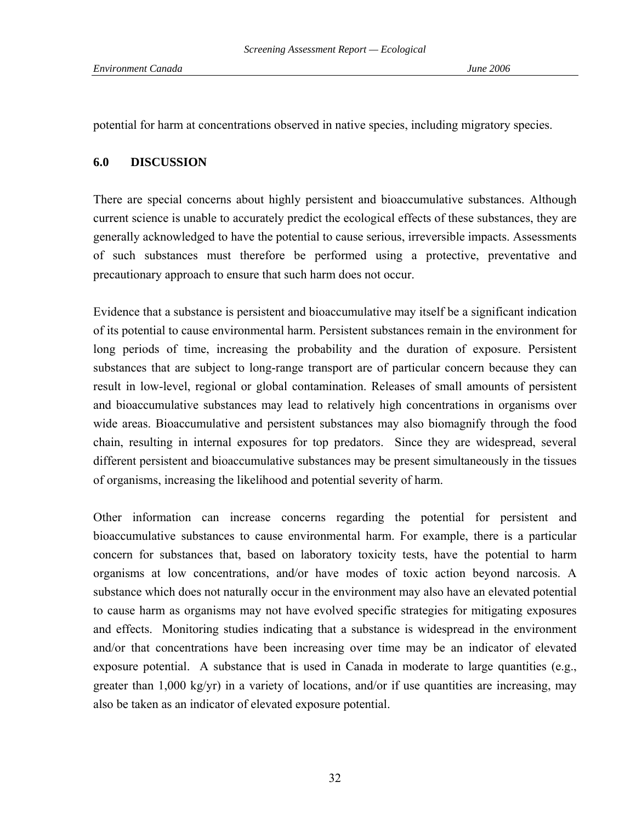potential for harm at concentrations observed in native species, including migratory species.

## **6.0 DISCUSSION**

There are special concerns about highly persistent and bioaccumulative substances. Although current science is unable to accurately predict the ecological effects of these substances, they are generally acknowledged to have the potential to cause serious, irreversible impacts. Assessments of such substances must therefore be performed using a protective, preventative and precautionary approach to ensure that such harm does not occur.

Evidence that a substance is persistent and bioaccumulative may itself be a significant indication of its potential to cause environmental harm. Persistent substances remain in the environment for long periods of time, increasing the probability and the duration of exposure. Persistent substances that are subject to long-range transport are of particular concern because they can result in low-level, regional or global contamination. Releases of small amounts of persistent and bioaccumulative substances may lead to relatively high concentrations in organisms over wide areas. Bioaccumulative and persistent substances may also biomagnify through the food chain, resulting in internal exposures for top predators. Since they are widespread, several different persistent and bioaccumulative substances may be present simultaneously in the tissues of organisms, increasing the likelihood and potential severity of harm.

Other information can increase concerns regarding the potential for persistent and bioaccumulative substances to cause environmental harm. For example, there is a particular concern for substances that, based on laboratory toxicity tests, have the potential to harm organisms at low concentrations, and/or have modes of toxic action beyond narcosis. A substance which does not naturally occur in the environment may also have an elevated potential to cause harm as organisms may not have evolved specific strategies for mitigating exposures and effects. Monitoring studies indicating that a substance is widespread in the environment and/or that concentrations have been increasing over time may be an indicator of elevated exposure potential. A substance that is used in Canada in moderate to large quantities (e.g., greater than  $1,000 \text{ kg/yr}$  in a variety of locations, and/or if use quantities are increasing, may also be taken as an indicator of elevated exposure potential.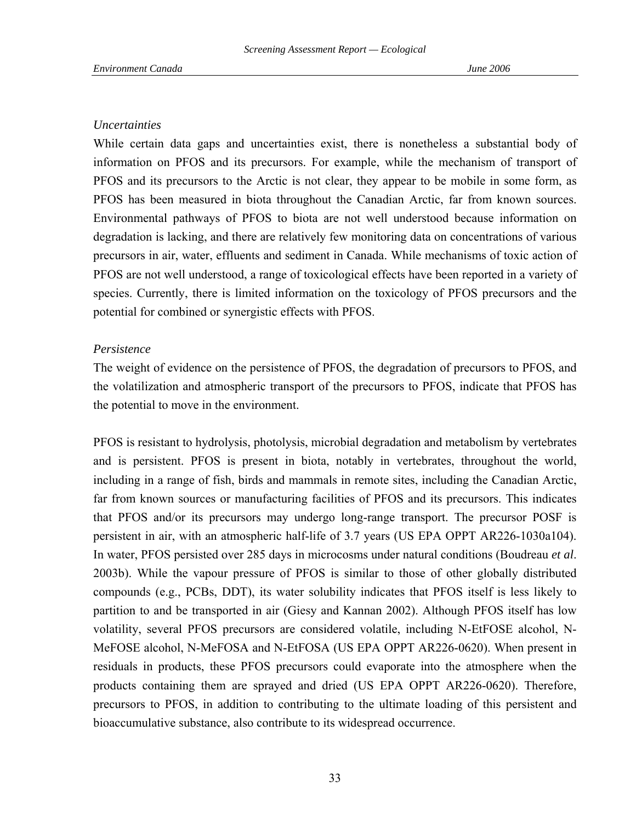## *Uncertainties*

While certain data gaps and uncertainties exist, there is nonetheless a substantial body of information on PFOS and its precursors. For example, while the mechanism of transport of PFOS and its precursors to the Arctic is not clear, they appear to be mobile in some form, as PFOS has been measured in biota throughout the Canadian Arctic, far from known sources. Environmental pathways of PFOS to biota are not well understood because information on degradation is lacking, and there are relatively few monitoring data on concentrations of various precursors in air, water, effluents and sediment in Canada. While mechanisms of toxic action of PFOS are not well understood, a range of toxicological effects have been reported in a variety of species. Currently, there is limited information on the toxicology of PFOS precursors and the potential for combined or synergistic effects with PFOS.

### *Persistence*

The weight of evidence on the persistence of PFOS, the degradation of precursors to PFOS, and the volatilization and atmospheric transport of the precursors to PFOS, indicate that PFOS has the potential to move in the environment.

PFOS is resistant to hydrolysis, photolysis, microbial degradation and metabolism by vertebrates and is persistent. PFOS is present in biota, notably in vertebrates, throughout the world, including in a range of fish, birds and mammals in remote sites, including the Canadian Arctic, far from known sources or manufacturing facilities of PFOS and its precursors. This indicates that PFOS and/or its precursors may undergo long-range transport. The precursor POSF is persistent in air, with an atmospheric half-life of 3.7 years (US EPA OPPT AR226-1030a104). In water, PFOS persisted over 285 days in microcosms under natural conditions (Boudreau *et al*. 2003b). While the vapour pressure of PFOS is similar to those of other globally distributed compounds (e.g., PCBs, DDT), its water solubility indicates that PFOS itself is less likely to partition to and be transported in air (Giesy and Kannan 2002). Although PFOS itself has low volatility, several PFOS precursors are considered volatile, including N-EtFOSE alcohol, N-MeFOSE alcohol, N-MeFOSA and N-EtFOSA (US EPA OPPT AR226-0620). When present in residuals in products, these PFOS precursors could evaporate into the atmosphere when the products containing them are sprayed and dried (US EPA OPPT AR226-0620). Therefore, precursors to PFOS, in addition to contributing to the ultimate loading of this persistent and bioaccumulative substance, also contribute to its widespread occurrence.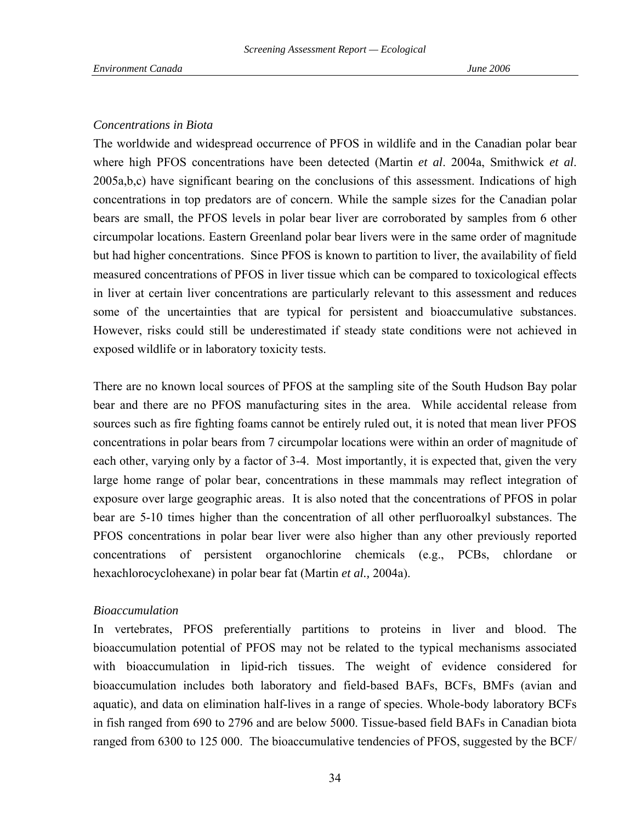### *Concentrations in Biota*

The worldwide and widespread occurrence of PFOS in wildlife and in the Canadian polar bear where high PFOS concentrations have been detected (Martin *et al*. 2004a, Smithwick *et al*. 2005a,b,c) have significant bearing on the conclusions of this assessment. Indications of high concentrations in top predators are of concern. While the sample sizes for the Canadian polar bears are small, the PFOS levels in polar bear liver are corroborated by samples from 6 other circumpolar locations. Eastern Greenland polar bear livers were in the same order of magnitude but had higher concentrations. Since PFOS is known to partition to liver, the availability of field measured concentrations of PFOS in liver tissue which can be compared to toxicological effects in liver at certain liver concentrations are particularly relevant to this assessment and reduces some of the uncertainties that are typical for persistent and bioaccumulative substances. However, risks could still be underestimated if steady state conditions were not achieved in exposed wildlife or in laboratory toxicity tests.

There are no known local sources of PFOS at the sampling site of the South Hudson Bay polar bear and there are no PFOS manufacturing sites in the area. While accidental release from sources such as fire fighting foams cannot be entirely ruled out, it is noted that mean liver PFOS concentrations in polar bears from 7 circumpolar locations were within an order of magnitude of each other, varying only by a factor of 3-4. Most importantly, it is expected that, given the very large home range of polar bear, concentrations in these mammals may reflect integration of exposure over large geographic areas. It is also noted that the concentrations of PFOS in polar bear are 5-10 times higher than the concentration of all other perfluoroalkyl substances. The PFOS concentrations in polar bear liver were also higher than any other previously reported concentrations of persistent organochlorine chemicals (e.g., PCBs, chlordane or hexachlorocyclohexane) in polar bear fat (Martin *et al.,* 2004a).

### *Bioaccumulation*

In vertebrates, PFOS preferentially partitions to proteins in liver and blood. The bioaccumulation potential of PFOS may not be related to the typical mechanisms associated with bioaccumulation in lipid-rich tissues. The weight of evidence considered for bioaccumulation includes both laboratory and field-based BAFs, BCFs, BMFs (avian and aquatic), and data on elimination half-lives in a range of species. Whole-body laboratory BCFs in fish ranged from 690 to 2796 and are below 5000. Tissue-based field BAFs in Canadian biota ranged from 6300 to 125 000. The bioaccumulative tendencies of PFOS, suggested by the BCF/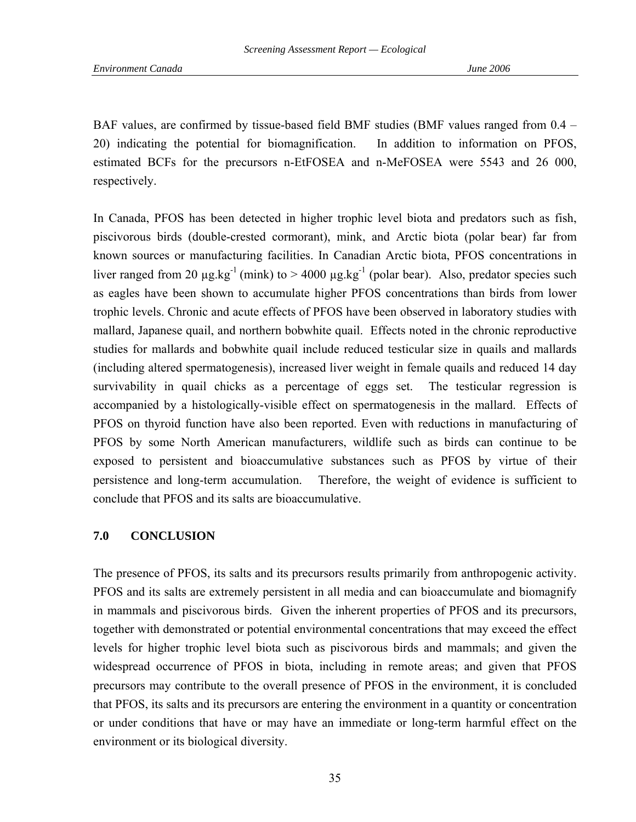BAF values, are confirmed by tissue-based field BMF studies (BMF values ranged from 0.4 – 20) indicating the potential for biomagnification. In addition to information on PFOS, estimated BCFs for the precursors n-EtFOSEA and n-MeFOSEA were 5543 and 26 000, respectively.

In Canada, PFOS has been detected in higher trophic level biota and predators such as fish, piscivorous birds (double-crested cormorant), mink, and Arctic biota (polar bear) far from known sources or manufacturing facilities. In Canadian Arctic biota, PFOS concentrations in liver ranged from 20  $\mu$ g.kg<sup>-1</sup> (mink) to > 4000  $\mu$ g.kg<sup>-1</sup> (polar bear). Also, predator species such as eagles have been shown to accumulate higher PFOS concentrations than birds from lower trophic levels. Chronic and acute effects of PFOS have been observed in laboratory studies with mallard, Japanese quail, and northern bobwhite quail. Effects noted in the chronic reproductive studies for mallards and bobwhite quail include reduced testicular size in quails and mallards (including altered spermatogenesis), increased liver weight in female quails and reduced 14 day survivability in quail chicks as a percentage of eggs set. The testicular regression is accompanied by a histologically-visible effect on spermatogenesis in the mallard. Effects of PFOS on thyroid function have also been reported. Even with reductions in manufacturing of PFOS by some North American manufacturers, wildlife such as birds can continue to be exposed to persistent and bioaccumulative substances such as PFOS by virtue of their persistence and long-term accumulation. Therefore, the weight of evidence is sufficient to conclude that PFOS and its salts are bioaccumulative.

## **7.0 CONCLUSION**

The presence of PFOS, its salts and its precursors results primarily from anthropogenic activity. PFOS and its salts are extremely persistent in all media and can bioaccumulate and biomagnify in mammals and piscivorous birds. Given the inherent properties of PFOS and its precursors, together with demonstrated or potential environmental concentrations that may exceed the effect levels for higher trophic level biota such as piscivorous birds and mammals; and given the widespread occurrence of PFOS in biota, including in remote areas; and given that PFOS precursors may contribute to the overall presence of PFOS in the environment, it is concluded that PFOS, its salts and its precursors are entering the environment in a quantity or concentration or under conditions that have or may have an immediate or long-term harmful effect on the environment or its biological diversity.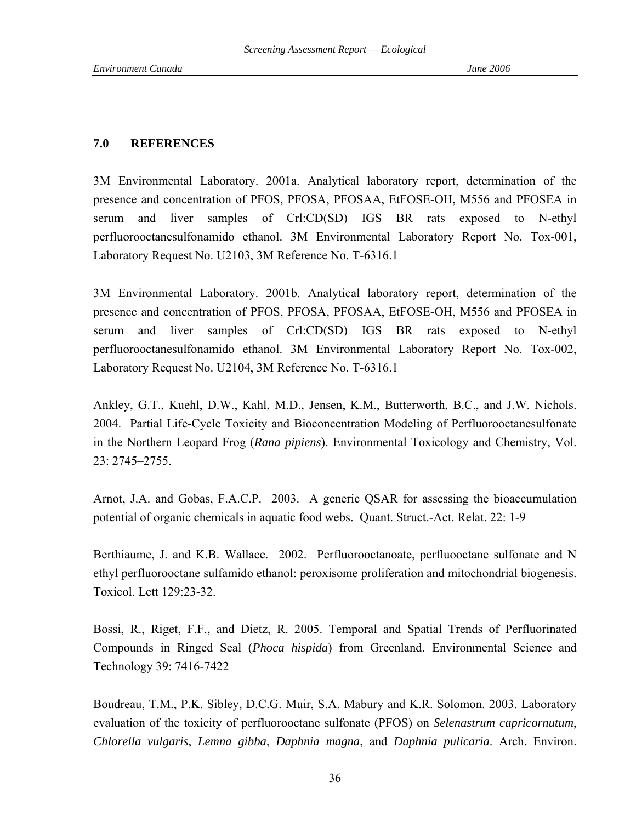### **7.0 REFERENCES**

3M Environmental Laboratory. 2001a. Analytical laboratory report, determination of the presence and concentration of PFOS, PFOSA, PFOSAA, EtFOSE-OH, M556 and PFOSEA in serum and liver samples of Crl:CD(SD) IGS BR rats exposed to N-ethyl perfluorooctanesulfonamido ethanol. 3M Environmental Laboratory Report No. Tox-001, Laboratory Request No. U2103, 3M Reference No. T-6316.1

3M Environmental Laboratory. 2001b. Analytical laboratory report, determination of the presence and concentration of PFOS, PFOSA, PFOSAA, EtFOSE-OH, M556 and PFOSEA in serum and liver samples of Crl:CD(SD) IGS BR rats exposed to N-ethyl perfluorooctanesulfonamido ethanol. 3M Environmental Laboratory Report No. Tox-002, Laboratory Request No. U2104, 3M Reference No. T-6316.1

Ankley, G.T., Kuehl, D.W., Kahl, M.D., Jensen, K.M., Butterworth, B.C., and J.W. Nichols. 2004. Partial Life-Cycle Toxicity and Bioconcentration Modeling of Perfluorooctanesulfonate in the Northern Leopard Frog (*Rana pipiens*). Environmental Toxicology and Chemistry, Vol. 23: 2745–2755.

Arnot, J.A. and Gobas, F.A.C.P. 2003. A generic QSAR for assessing the bioaccumulation potential of organic chemicals in aquatic food webs. Quant. Struct.-Act. Relat. 22: 1-9

Berthiaume, J. and K.B. Wallace. 2002. Perfluorooctanoate, perfluooctane sulfonate and N ethyl perfluorooctane sulfamido ethanol: peroxisome proliferation and mitochondrial biogenesis. Toxicol. Lett 129:23-32.

Bossi, R., Riget, F.F., and Dietz, R. 2005. Temporal and Spatial Trends of Perfluorinated Compounds in Ringed Seal (*Phoca hispida*) from Greenland. Environmental Science and Technology 39: 7416-7422

Boudreau, T.M., P.K. Sibley, D.C.G. Muir, S.A. Mabury and K.R. Solomon. 2003. Laboratory evaluation of the toxicity of perfluorooctane sulfonate (PFOS) on *Selenastrum capricornutum*, *Chlorella vulgaris*, *Lemna gibba*, *Daphnia magna*, and *Daphnia pulicaria*. Arch. Environ.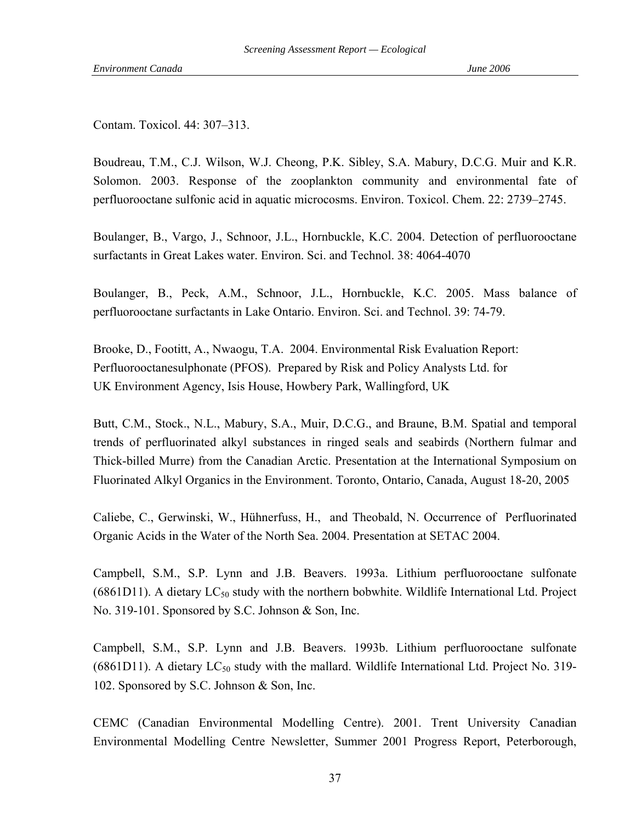Contam. Toxicol. 44: 307–313.

Boudreau, T.M., C.J. Wilson, W.J. Cheong, P.K. Sibley, S.A. Mabury, D.C.G. Muir and K.R. Solomon. 2003. Response of the zooplankton community and environmental fate of perfluorooctane sulfonic acid in aquatic microcosms. Environ. Toxicol. Chem. 22: 2739–2745.

Boulanger, B., Vargo, J., Schnoor, J.L., Hornbuckle, K.C. 2004. Detection of perfluorooctane surfactants in Great Lakes water. Environ. Sci. and Technol. 38: 4064-4070

Boulanger, B., Peck, A.M., Schnoor, J.L., Hornbuckle, K.C. 2005. Mass balance of perfluorooctane surfactants in Lake Ontario. Environ. Sci. and Technol. 39: 74-79.

Brooke, D., Footitt, A., Nwaogu, T.A. 2004. Environmental Risk Evaluation Report: Perfluorooctanesulphonate (PFOS). Prepared by Risk and Policy Analysts Ltd. for UK Environment Agency, Isis House, Howbery Park, Wallingford, UK

Butt, C.M., Stock., N.L., Mabury, S.A., Muir, D.C.G., and Braune, B.M. Spatial and temporal trends of perfluorinated alkyl substances in ringed seals and seabirds (Northern fulmar and Thick-billed Murre) from the Canadian Arctic. Presentation at the International Symposium on Fluorinated Alkyl Organics in the Environment. Toronto, Ontario, Canada, August 18-20, 2005

Caliebe, C., Gerwinski, W., Hühnerfuss, H., and Theobald, N. Occurrence of Perfluorinated Organic Acids in the Water of the North Sea. 2004. Presentation at SETAC 2004.

Campbell, S.M., S.P. Lynn and J.B. Beavers. 1993a. Lithium perfluorooctane sulfonate  $(6861D11)$ . A dietary  $LC_{50}$  study with the northern bobwhite. Wildlife International Ltd. Project No. 319-101. Sponsored by S.C. Johnson & Son, Inc.

Campbell, S.M., S.P. Lynn and J.B. Beavers. 1993b. Lithium perfluorooctane sulfonate  $(6861D11)$ . A dietary  $LC_{50}$  study with the mallard. Wildlife International Ltd. Project No. 319-102. Sponsored by S.C. Johnson & Son, Inc.

CEMC (Canadian Environmental Modelling Centre). 2001. Trent University Canadian Environmental Modelling Centre Newsletter, Summer 2001 Progress Report, Peterborough,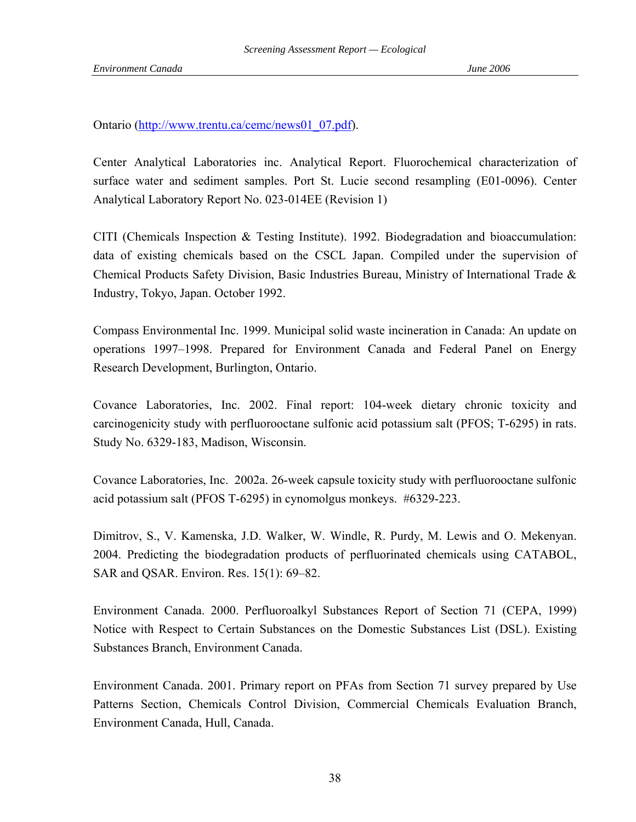Ontario ([http://www.trentu.ca/cemc/news01\\_07.pdf\)](http://www.trentu.ca/cemc/news01_07.pdf).

Center Analytical Laboratories inc. Analytical Report. Fluorochemical characterization of surface water and sediment samples. Port St. Lucie second resampling (E01-0096). Center Analytical Laboratory Report No. 023-014EE (Revision 1)

CITI (Chemicals Inspection & Testing Institute). 1992. Biodegradation and bioaccumulation: data of existing chemicals based on the CSCL Japan. Compiled under the supervision of Chemical Products Safety Division, Basic Industries Bureau, Ministry of International Trade  $\&$ Industry, Tokyo, Japan. October 1992.

Compass Environmental Inc. 1999. Municipal solid waste incineration in Canada: An update on operations 1997–1998. Prepared for Environment Canada and Federal Panel on Energy Research Development, Burlington, Ontario.

Covance Laboratories, Inc. 2002. Final report: 104-week dietary chronic toxicity and carcinogenicity study with perfluorooctane sulfonic acid potassium salt (PFOS; T-6295) in rats. Study No. 6329-183, Madison, Wisconsin.

Covance Laboratories, Inc. 2002a. 26-week capsule toxicity study with perfluorooctane sulfonic acid potassium salt (PFOS T-6295) in cynomolgus monkeys. #6329-223.

Dimitrov, S., V. Kamenska, J.D. Walker, W. Windle, R. Purdy, M. Lewis and O. Mekenyan. 2004. Predicting the biodegradation products of perfluorinated chemicals using CATABOL, SAR and QSAR. Environ. Res. 15(1): 69–82.

Environment Canada. 2000. Perfluoroalkyl Substances Report of Section 71 (CEPA, 1999) Notice with Respect to Certain Substances on the Domestic Substances List (DSL). Existing Substances Branch, Environment Canada.

Environment Canada. 2001. Primary report on PFAs from Section 71 survey prepared by Use Patterns Section, Chemicals Control Division, Commercial Chemicals Evaluation Branch, Environment Canada, Hull, Canada.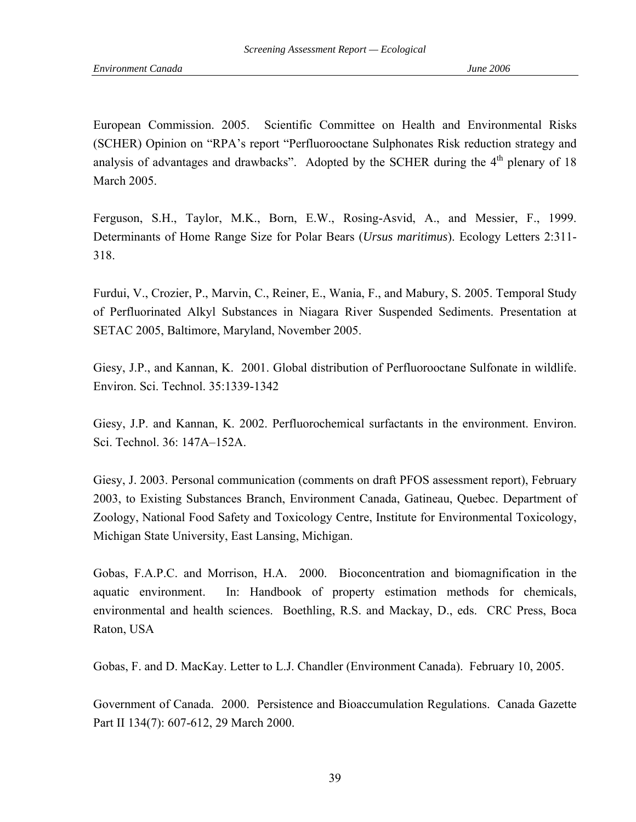European Commission. 2005. Scientific Committee on Health and Environmental Risks (SCHER) Opinion on "RPA's report "Perfluorooctane Sulphonates Risk reduction strategy and analysis of advantages and drawbacks". Adopted by the SCHER during the  $4<sup>th</sup>$  plenary of 18 March 2005.

Ferguson, S.H., Taylor, M.K., Born, E.W., Rosing-Asvid, A., and Messier, F., 1999. Determinants of Home Range Size for Polar Bears (*Ursus maritimus*). Ecology Letters 2:311- 318.

Furdui, V., Crozier, P., Marvin, C., Reiner, E., Wania, F., and Mabury, S. 2005. Temporal Study of Perfluorinated Alkyl Substances in Niagara River Suspended Sediments. Presentation at SETAC 2005, Baltimore, Maryland, November 2005.

Giesy, J.P., and Kannan, K. 2001. Global distribution of Perfluorooctane Sulfonate in wildlife. Environ. Sci. Technol. 35:1339-1342

Giesy, J.P. and Kannan, K. 2002. Perfluorochemical surfactants in the environment. Environ. Sci. Technol. 36: 147A–152A.

Giesy, J. 2003. Personal communication (comments on draft PFOS assessment report), February 2003, to Existing Substances Branch, Environment Canada, Gatineau, Quebec. Department of Zoology, National Food Safety and Toxicology Centre, Institute for Environmental Toxicology, Michigan State University, East Lansing, Michigan.

Gobas, F.A.P.C. and Morrison, H.A. 2000. Bioconcentration and biomagnification in the aquatic environment. In: Handbook of property estimation methods for chemicals, environmental and health sciences. Boethling, R.S. and Mackay, D., eds. CRC Press, Boca Raton, USA

Gobas, F. and D. MacKay. Letter to L.J. Chandler (Environment Canada). February 10, 2005.

Government of Canada. 2000. Persistence and Bioaccumulation Regulations. Canada Gazette Part II 134(7): 607-612, 29 March 2000.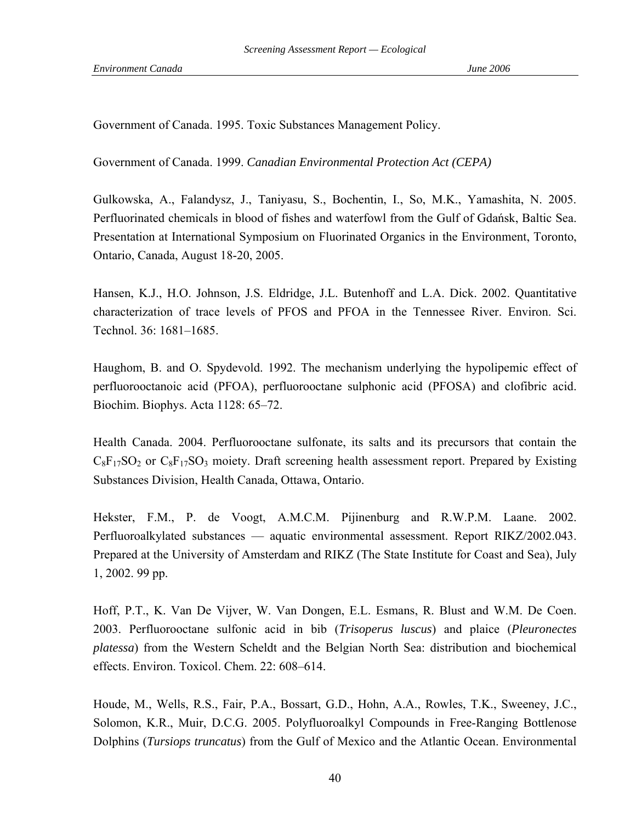Government of Canada. 1995. Toxic Substances Management Policy.

Government of Canada. 1999. *Canadian Environmental Protection Act (CEPA)*

Gulkowska, A., Falandysz, J., Taniyasu, S., Bochentin, I., So, M.K., Yamashita, N. 2005. Perfluorinated chemicals in blood of fishes and waterfowl from the Gulf of Gdańsk, Baltic Sea. Presentation at International Symposium on Fluorinated Organics in the Environment, Toronto, Ontario, Canada, August 18-20, 2005.

Hansen, K.J., H.O. Johnson, J.S. Eldridge, J.L. Butenhoff and L.A. Dick. 2002. Quantitative characterization of trace levels of PFOS and PFOA in the Tennessee River. Environ. Sci. Technol. 36: 1681–1685.

Haughom, B. and O. Spydevold. 1992. The mechanism underlying the hypolipemic effect of perfluorooctanoic acid (PFOA), perfluorooctane sulphonic acid (PFOSA) and clofibric acid. Biochim. Biophys. Acta 1128: 65–72.

Health Canada. 2004. Perfluorooctane sulfonate, its salts and its precursors that contain the  $C_8F_{17}SO_2$  or  $C_8F_{17}SO_3$  moiety. Draft screening health assessment report. Prepared by Existing Substances Division, Health Canada, Ottawa, Ontario.

Hekster, F.M., P. de Voogt, A.M.C.M. Pijinenburg and R.W.P.M. Laane. 2002. Perfluoroalkylated substances — aquatic environmental assessment. Report RIKZ/2002.043. Prepared at the University of Amsterdam and RIKZ (The State Institute for Coast and Sea), July 1, 2002. 99 pp.

Hoff, P.T., K. Van De Vijver, W. Van Dongen, E.L. Esmans, R. Blust and W.M. De Coen. 2003. Perfluorooctane sulfonic acid in bib (*Trisoperus luscus*) and plaice (*Pleuronectes platessa*) from the Western Scheldt and the Belgian North Sea: distribution and biochemical effects. Environ. Toxicol. Chem. 22: 608–614.

Houde, M., Wells, R.S., Fair, P.A., Bossart, G.D., Hohn, A.A., Rowles, T.K., Sweeney, J.C., Solomon, K.R., Muir, D.C.G. 2005. Polyfluoroalkyl Compounds in Free-Ranging Bottlenose Dolphins (*Tursiops truncatus*) from the Gulf of Mexico and the Atlantic Ocean. Environmental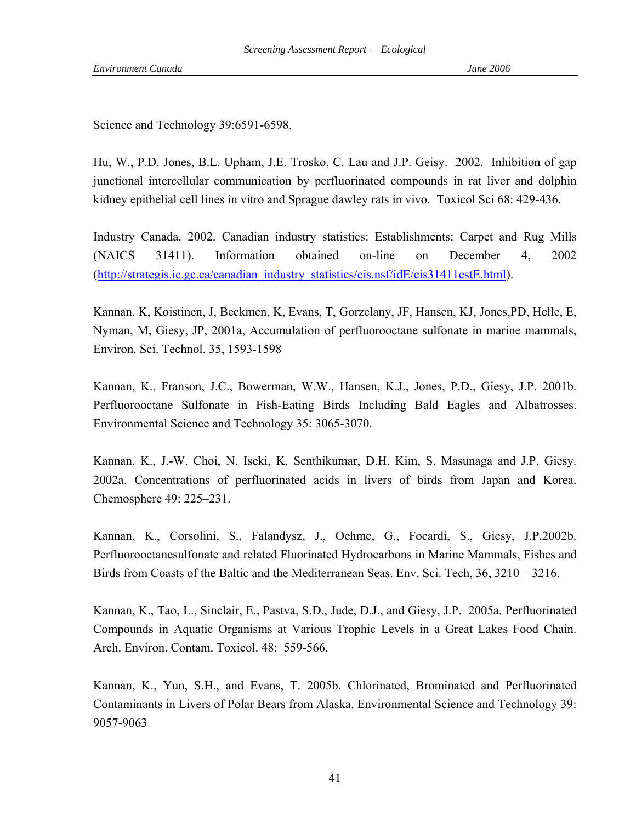Science and Technology 39:6591-6598.

Hu, W., P.D. Jones, B.L. Upham, J.E. Trosko, C. Lau and J.P. Geisy. 2002. Inhibition of gap junctional intercellular communication by perfluorinated compounds in rat liver and dolphin kidney epithelial cell lines in vitro and Sprague dawley rats in vivo. Toxicol Sci 68: 429-436.

Industry Canada. 2002. Canadian industry statistics: Establishments: Carpet and Rug Mills (NAICS 31411). Information obtained on-line on December 4, 2002 ([http://strategis.ic.gc.ca/canadian\\_industry\\_statistics/cis.nsf/idE/cis31411estE.html\)](http://strategis.ic.gc.ca/canadian_industry_statistics/cis.nsf/idE/cis31411estE.html).

Kannan, K, Koistinen, J, Beckmen, K, Evans, T, Gorzelany, JF, Hansen, KJ, Jones,PD, Helle, E, Nyman, M, Giesy, JP, 2001a, Accumulation of perfluorooctane sulfonate in marine mammals, Environ. Sci. Technol. 35, 1593-1598

Kannan, K., Franson, J.C., Bowerman, W.W., Hansen, K.J., Jones, P.D., Giesy, J.P. 2001b. Perfluorooctane Sulfonate in Fish-Eating Birds Including Bald Eagles and Albatrosses. Environmental Science and Technology 35: 3065-3070.

Kannan, K., J.-W. Choi, N. Iseki, K. Senthikumar, D.H. Kim, S. Masunaga and J.P. Giesy. 2002a. Concentrations of perfluorinated acids in livers of birds from Japan and Korea. Chemosphere 49: 225–231.

Kannan, K., Corsolini, S., Falandysz, J., Oehme, G., Focardi, S., Giesy, J.P.2002b. Perfluorooctanesulfonate and related Fluorinated Hydrocarbons in Marine Mammals, Fishes and Birds from Coasts of the Baltic and the Mediterranean Seas. Env. Sci. Tech, 36, 3210 – 3216.

Kannan, K., Tao, L., Sinclair, E., Pastva, S.D., Jude, D.J., and Giesy, J.P. 2005a. Perfluorinated Compounds in Aquatic Organisms at Various Trophic Levels in a Great Lakes Food Chain. Arch. Environ. Contam. Toxicol. 48: 559-566.

Kannan, K., Yun, S.H., and Evans, T. 2005b. Chlorinated, Brominated and Perfluorinated Contaminants in Livers of Polar Bears from Alaska. Environmental Science and Technology 39: 9057-9063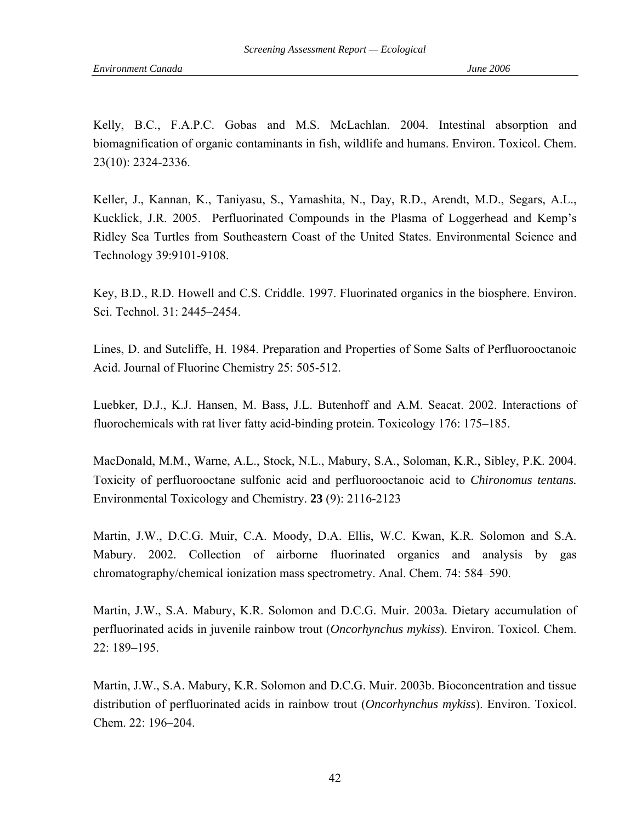Kelly, B.C., F.A.P.C. Gobas and M.S. McLachlan. 2004. Intestinal absorption and biomagnification of organic contaminants in fish, wildlife and humans. Environ. Toxicol. Chem. 23(10): 2324-2336.

Keller, J., Kannan, K., Taniyasu, S., Yamashita, N., Day, R.D., Arendt, M.D., Segars, A.L., Kucklick, J.R. 2005. Perfluorinated Compounds in the Plasma of Loggerhead and Kemp's Ridley Sea Turtles from Southeastern Coast of the United States. Environmental Science and Technology 39:9101-9108.

Key, B.D., R.D. Howell and C.S. Criddle. 1997. Fluorinated organics in the biosphere. Environ. Sci. Technol. 31: 2445–2454.

Lines, D. and Sutcliffe, H. 1984. Preparation and Properties of Some Salts of Perfluorooctanoic Acid. Journal of Fluorine Chemistry 25: 505-512.

Luebker, D.J., K.J. Hansen, M. Bass, J.L. Butenhoff and A.M. Seacat. 2002. Interactions of fluorochemicals with rat liver fatty acid-binding protein. Toxicology 176: 175–185.

MacDonald, M.M., Warne, A.L., Stock, N.L., Mabury, S.A., Soloman, K.R., Sibley, P.K. 2004. Toxicity of perfluorooctane sulfonic acid and perfluorooctanoic acid to *Chironomus tentans.* Environmental Toxicology and Chemistry. **23** (9): 2116-2123

Martin, J.W., D.C.G. Muir, C.A. Moody, D.A. Ellis, W.C. Kwan, K.R. Solomon and S.A. Mabury. 2002. Collection of airborne fluorinated organics and analysis by gas chromatography/chemical ionization mass spectrometry. Anal. Chem. 74: 584–590.

Martin, J.W., S.A. Mabury, K.R. Solomon and D.C.G. Muir. 2003a. Dietary accumulation of perfluorinated acids in juvenile rainbow trout (*Oncorhynchus mykiss*). Environ. Toxicol. Chem. 22: 189–195.

Martin, J.W., S.A. Mabury, K.R. Solomon and D.C.G. Muir. 2003b. Bioconcentration and tissue distribution of perfluorinated acids in rainbow trout (*Oncorhynchus mykiss*). Environ. Toxicol. Chem. 22: 196–204.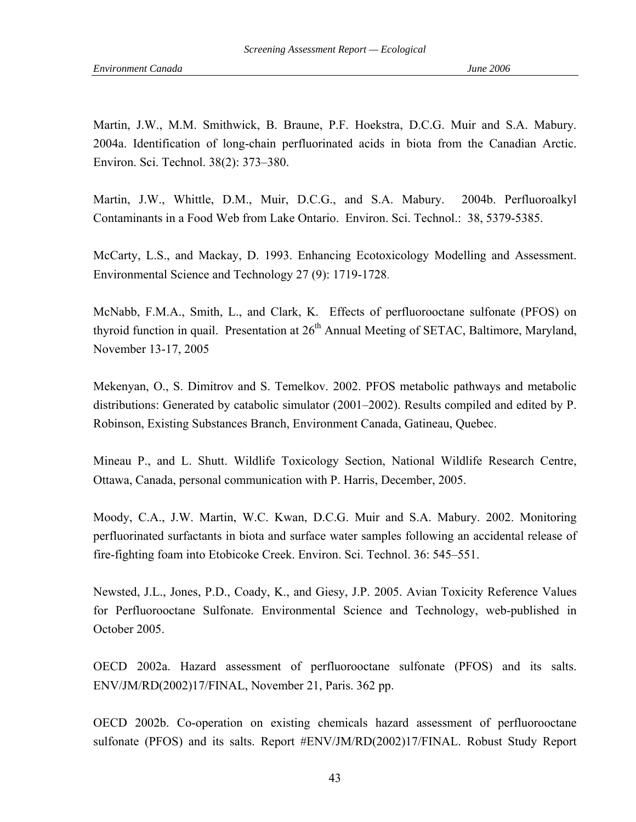Martin, J.W., M.M. Smithwick, B. Braune, P.F. Hoekstra, D.C.G. Muir and S.A. Mabury. 2004a. Identification of long-chain perfluorinated acids in biota from the Canadian Arctic. Environ. Sci. Technol. 38(2): 373–380.

Martin, J.W., Whittle, D.M., Muir, D.C.G., and S.A. Mabury. 2004b. Perfluoroalkyl Contaminants in a Food Web from Lake Ontario. Environ. Sci. Technol.: 38, 5379-5385.

McCarty, L.S., and Mackay, D. 1993. Enhancing Ecotoxicology Modelling and Assessment. Environmental Science and Technology 27 (9): 1719-1728.

McNabb, F.M.A., Smith, L., and Clark, K. Effects of perfluorooctane sulfonate (PFOS) on thyroid function in quail. Presentation at  $26<sup>th</sup>$  Annual Meeting of SETAC, Baltimore, Maryland, November 13-17, 2005

Mekenyan, O., S. Dimitrov and S. Temelkov. 2002. PFOS metabolic pathways and metabolic distributions: Generated by catabolic simulator (2001–2002). Results compiled and edited by P. Robinson, Existing Substances Branch, Environment Canada, Gatineau, Quebec.

Mineau P., and L. Shutt. Wildlife Toxicology Section, National Wildlife Research Centre, Ottawa, Canada, personal communication with P. Harris, December, 2005.

Moody, C.A., J.W. Martin, W.C. Kwan, D.C.G. Muir and S.A. Mabury. 2002. Monitoring perfluorinated surfactants in biota and surface water samples following an accidental release of fire-fighting foam into Etobicoke Creek. Environ. Sci. Technol. 36: 545–551.

Newsted, J.L., Jones, P.D., Coady, K., and Giesy, J.P. 2005. Avian Toxicity Reference Values for Perfluorooctane Sulfonate. Environmental Science and Technology, web-published in October 2005.

OECD 2002a. Hazard assessment of perfluorooctane sulfonate (PFOS) and its salts. ENV/JM/RD(2002)17/FINAL, November 21, Paris. 362 pp.

OECD 2002b. Co-operation on existing chemicals hazard assessment of perfluorooctane sulfonate (PFOS) and its salts. Report #ENV/JM/RD(2002)17/FINAL. Robust Study Report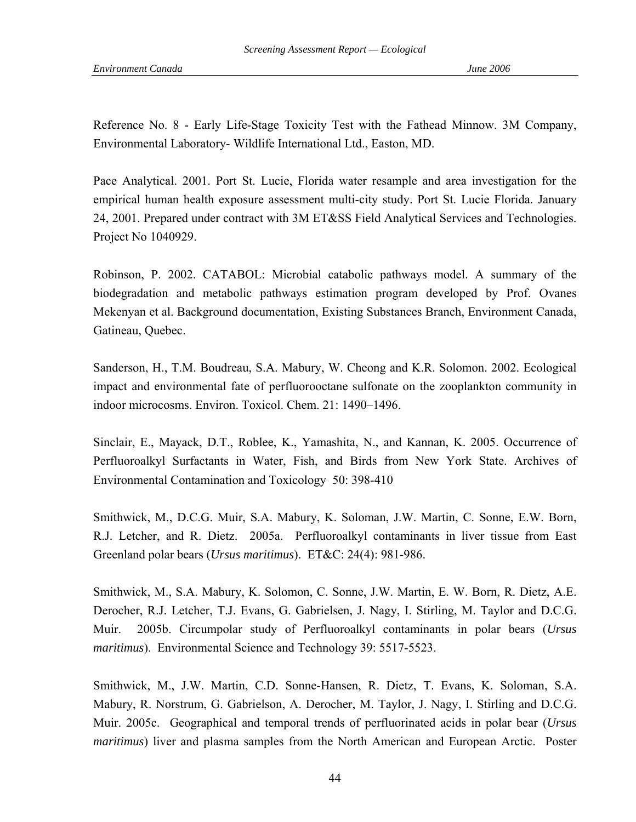Reference No. 8 - Early Life-Stage Toxicity Test with the Fathead Minnow. 3M Company, Environmental Laboratory- Wildlife International Ltd., Easton, MD.

Pace Analytical. 2001. Port St. Lucie, Florida water resample and area investigation for the empirical human health exposure assessment multi-city study. Port St. Lucie Florida. January 24, 2001. Prepared under contract with 3M ET&SS Field Analytical Services and Technologies. Project No 1040929.

Robinson, P. 2002. CATABOL: Microbial catabolic pathways model. A summary of the biodegradation and metabolic pathways estimation program developed by Prof. Ovanes Mekenyan et al. Background documentation, Existing Substances Branch, Environment Canada, Gatineau, Quebec.

Sanderson, H., T.M. Boudreau, S.A. Mabury, W. Cheong and K.R. Solomon. 2002. Ecological impact and environmental fate of perfluorooctane sulfonate on the zooplankton community in indoor microcosms. Environ. Toxicol. Chem. 21: 1490–1496.

Sinclair, E., Mayack, D.T., Roblee, K., Yamashita, N., and Kannan, K. 2005. Occurrence of Perfluoroalkyl Surfactants in Water, Fish, and Birds from New York State. Archives of Environmental Contamination and Toxicology 50: 398-410

Smithwick, M., D.C.G. Muir, S.A. Mabury, K. Soloman, J.W. Martin, C. Sonne, E.W. Born, R.J. Letcher, and R. Dietz. 2005a. Perfluoroalkyl contaminants in liver tissue from East Greenland polar bears (*Ursus maritimus*). ET&C: 24(4): 981-986.

Smithwick, M., S.A. Mabury, K. Solomon, C. Sonne, J.W. Martin, E. W. Born, R. Dietz, A.E. Derocher, R.J. Letcher, T.J. Evans, G. Gabrielsen, J. Nagy, I. Stirling, M. Taylor and D.C.G. Muir. 2005b. Circumpolar study of Perfluoroalkyl contaminants in polar bears (*Ursus maritimus*). Environmental Science and Technology 39: 5517-5523.

Smithwick, M., J.W. Martin, C.D. Sonne-Hansen, R. Dietz, T. Evans, K. Soloman, S.A. Mabury, R. Norstrum, G. Gabrielson, A. Derocher, M. Taylor, J. Nagy, I. Stirling and D.C.G. Muir. 2005c. Geographical and temporal trends of perfluorinated acids in polar bear (*Ursus maritimus*) liver and plasma samples from the North American and European Arctic. Poster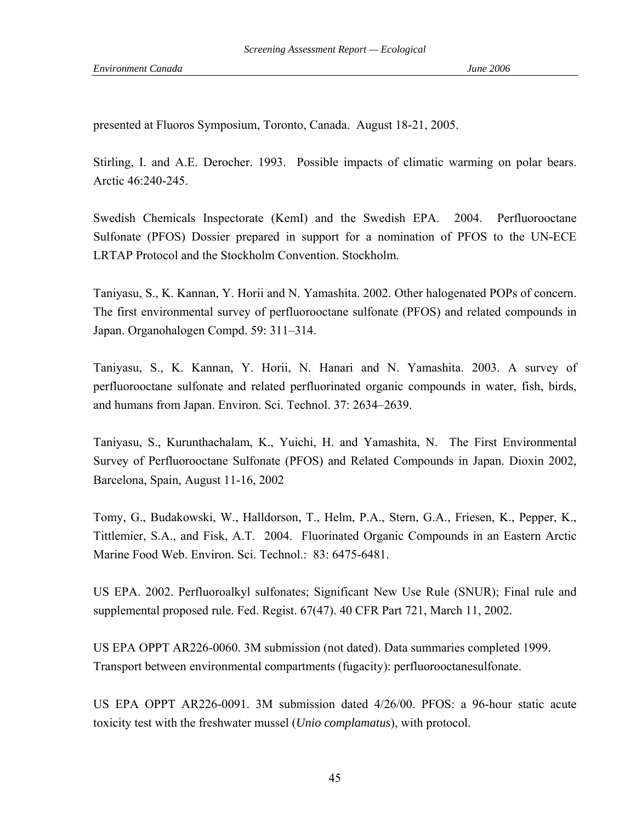presented at Fluoros Symposium, Toronto, Canada. August 18-21, 2005.

Stirling, I. and A.E. Derocher. 1993. Possible impacts of climatic warming on polar bears. Arctic 46:240-245.

Swedish Chemicals Inspectorate (KemI) and the Swedish EPA. 2004. Perfluorooctane Sulfonate (PFOS) Dossier prepared in support for a nomination of PFOS to the UN-ECE LRTAP Protocol and the Stockholm Convention. Stockholm.

Taniyasu, S., K. Kannan, Y. Horii and N. Yamashita. 2002. Other halogenated POPs of concern. The first environmental survey of perfluorooctane sulfonate (PFOS) and related compounds in Japan. Organohalogen Compd. 59: 311–314.

Taniyasu, S., K. Kannan, Y. Horii, N. Hanari and N. Yamashita. 2003. A survey of perfluorooctane sulfonate and related perfluorinated organic compounds in water, fish, birds, and humans from Japan. Environ. Sci. Technol. 37: 2634–2639.

Taniyasu, S., Kurunthachalam, K., Yuichi, H. and Yamashita, N. The First Environmental Survey of Perfluorooctane Sulfonate (PFOS) and Related Compounds in Japan. Dioxin 2002, Barcelona, Spain, August 11-16, 2002

Tomy, G., Budakowski, W., Halldorson, T., Helm, P.A., Stern, G.A., Friesen, K., Pepper, K., Tittlemier, S.A., and Fisk, A.T. 2004. Fluorinated Organic Compounds in an Eastern Arctic Marine Food Web. Environ. Sci. Technol.: 83: 6475-6481.

US EPA. 2002. Perfluoroalkyl sulfonates; Significant New Use Rule (SNUR); Final rule and supplemental proposed rule. Fed. Regist. 67(47). 40 CFR Part 721, March 11, 2002.

US EPA OPPT AR226-0060. 3M submission (not dated). Data summaries completed 1999. Transport between environmental compartments (fugacity): perfluorooctanesulfonate.

US EPA OPPT AR226-0091. 3M submission dated 4/26/00. PFOS: a 96-hour static acute toxicity test with the freshwater mussel (*Unio complamatus*), with protocol.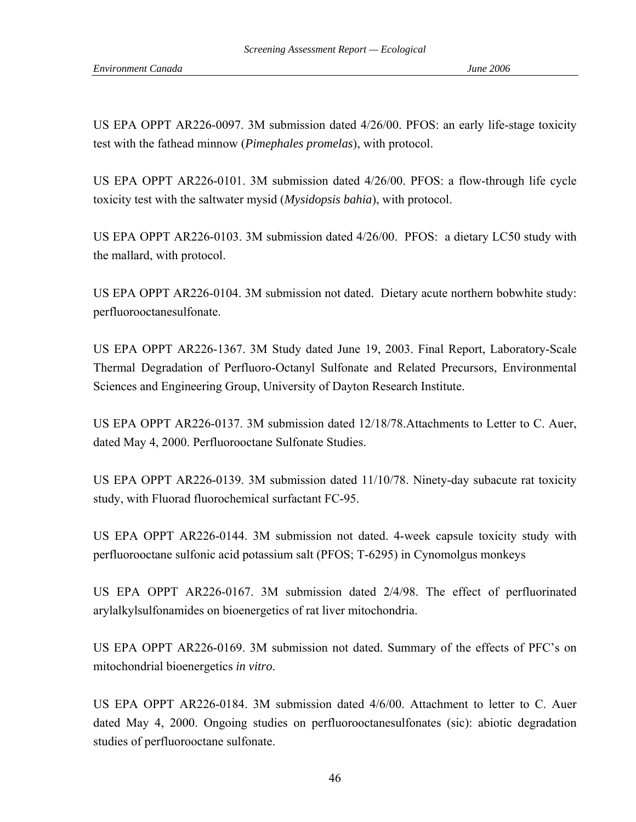US EPA OPPT AR226-0097. 3M submission dated 4/26/00. PFOS: an early life-stage toxicity test with the fathead minnow (*Pimephales promelas*), with protocol.

US EPA OPPT AR226-0101. 3M submission dated 4/26/00. PFOS: a flow-through life cycle toxicity test with the saltwater mysid (*Mysidopsis bahia*), with protocol.

US EPA OPPT AR226-0103. 3M submission dated 4/26/00. PFOS: a dietary LC50 study with the mallard, with protocol.

US EPA OPPT AR226-0104. 3M submission not dated. Dietary acute northern bobwhite study: perfluorooctanesulfonate.

US EPA OPPT AR226-1367. 3M Study dated June 19, 2003. Final Report, Laboratory-Scale Thermal Degradation of Perfluoro-Octanyl Sulfonate and Related Precursors, Environmental Sciences and Engineering Group, University of Dayton Research Institute.

US EPA OPPT AR226-0137. 3M submission dated 12/18/78.Attachments to Letter to C. Auer, dated May 4, 2000. Perfluorooctane Sulfonate Studies.

US EPA OPPT AR226-0139. 3M submission dated 11/10/78. Ninety-day subacute rat toxicity study, with Fluorad fluorochemical surfactant FC-95.

US EPA OPPT AR226-0144. 3M submission not dated. 4-week capsule toxicity study with perfluorooctane sulfonic acid potassium salt (PFOS; T-6295) in Cynomolgus monkeys

US EPA OPPT AR226-0167. 3M submission dated 2/4/98. The effect of perfluorinated arylalkylsulfonamides on bioenergetics of rat liver mitochondria.

US EPA OPPT AR226-0169. 3M submission not dated. Summary of the effects of PFC's on mitochondrial bioenergetics *in vitro*.

US EPA OPPT AR226-0184. 3M submission dated 4/6/00. Attachment to letter to C. Auer dated May 4, 2000. Ongoing studies on perfluorooctanesulfonates (sic): abiotic degradation studies of perfluorooctane sulfonate.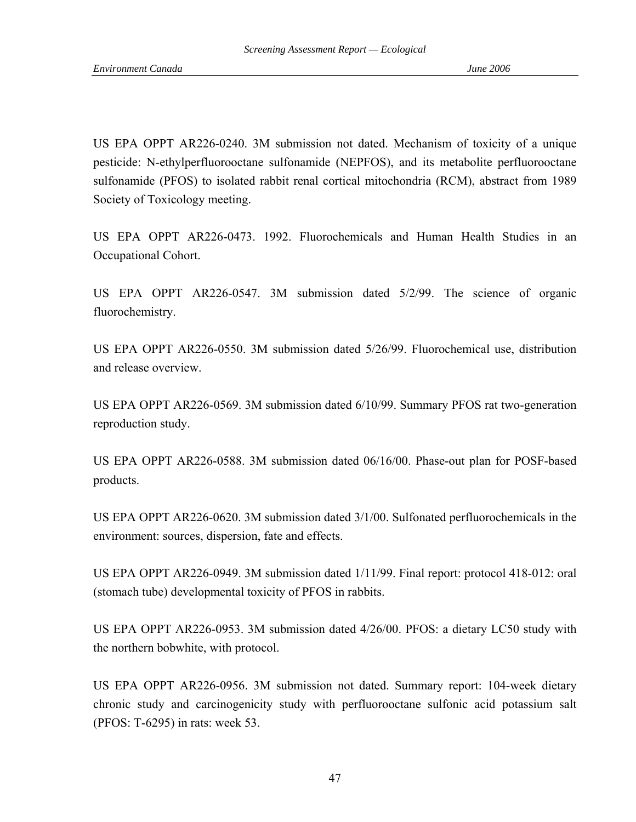US EPA OPPT AR226-0240. 3M submission not dated. Mechanism of toxicity of a unique pesticide: N-ethylperfluorooctane sulfonamide (NEPFOS), and its metabolite perfluorooctane sulfonamide (PFOS) to isolated rabbit renal cortical mitochondria (RCM), abstract from 1989 Society of Toxicology meeting.

US EPA OPPT AR226-0473. 1992. Fluorochemicals and Human Health Studies in an Occupational Cohort.

US EPA OPPT AR226-0547. 3M submission dated 5/2/99. The science of organic fluorochemistry.

US EPA OPPT AR226-0550. 3M submission dated 5/26/99. Fluorochemical use, distribution and release overview.

US EPA OPPT AR226-0569. 3M submission dated 6/10/99. Summary PFOS rat two-generation reproduction study.

US EPA OPPT AR226-0588. 3M submission dated 06/16/00. Phase-out plan for POSF-based products.

US EPA OPPT AR226-0620. 3M submission dated 3/1/00. Sulfonated perfluorochemicals in the environment: sources, dispersion, fate and effects.

US EPA OPPT AR226-0949. 3M submission dated 1/11/99. Final report: protocol 418-012: oral (stomach tube) developmental toxicity of PFOS in rabbits.

US EPA OPPT AR226-0953. 3M submission dated 4/26/00. PFOS: a dietary LC50 study with the northern bobwhite, with protocol.

US EPA OPPT AR226-0956. 3M submission not dated. Summary report: 104-week dietary chronic study and carcinogenicity study with perfluorooctane sulfonic acid potassium salt (PFOS: T-6295) in rats: week 53.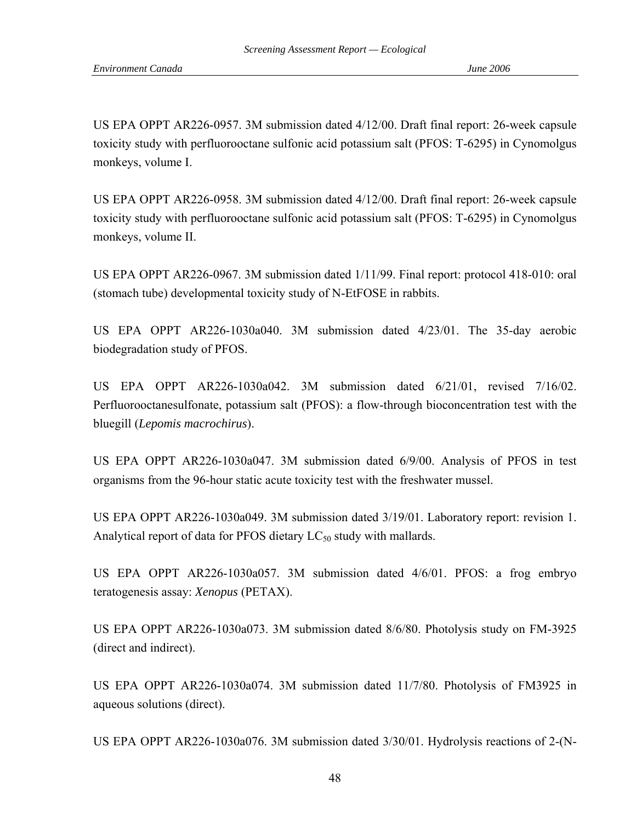US EPA OPPT AR226-0957. 3M submission dated 4/12/00. Draft final report: 26-week capsule toxicity study with perfluorooctane sulfonic acid potassium salt (PFOS: T-6295) in Cynomolgus monkeys, volume I.

US EPA OPPT AR226-0958. 3M submission dated 4/12/00. Draft final report: 26-week capsule toxicity study with perfluorooctane sulfonic acid potassium salt (PFOS: T-6295) in Cynomolgus monkeys, volume II.

US EPA OPPT AR226-0967. 3M submission dated 1/11/99. Final report: protocol 418-010: oral (stomach tube) developmental toxicity study of N-EtFOSE in rabbits.

US EPA OPPT AR226-1030a040. 3M submission dated 4/23/01. The 35-day aerobic biodegradation study of PFOS.

US EPA OPPT AR226-1030a042. 3M submission dated 6/21/01, revised 7/16/02. Perfluorooctanesulfonate, potassium salt (PFOS): a flow-through bioconcentration test with the bluegill (*Lepomis macrochirus*).

US EPA OPPT AR226-1030a047. 3M submission dated 6/9/00. Analysis of PFOS in test organisms from the 96-hour static acute toxicity test with the freshwater mussel.

US EPA OPPT AR226-1030a049. 3M submission dated 3/19/01. Laboratory report: revision 1. Analytical report of data for PFOS dietary  $LC_{50}$  study with mallards.

US EPA OPPT AR226-1030a057. 3M submission dated 4/6/01. PFOS: a frog embryo teratogenesis assay: *Xenopus* (PETAX).

US EPA OPPT AR226-1030a073. 3M submission dated 8/6/80. Photolysis study on FM-3925 (direct and indirect).

US EPA OPPT AR226-1030a074. 3M submission dated 11/7/80. Photolysis of FM3925 in aqueous solutions (direct).

US EPA OPPT AR226-1030a076. 3M submission dated 3/30/01. Hydrolysis reactions of 2-(N-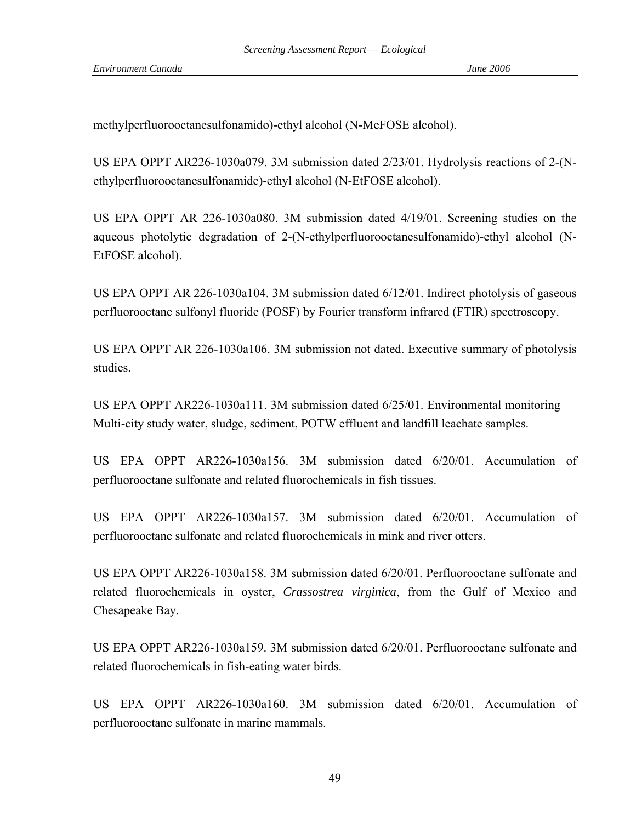methylperfluorooctanesulfonamido)-ethyl alcohol (N-MeFOSE alcohol).

US EPA OPPT AR226-1030a079. 3M submission dated 2/23/01. Hydrolysis reactions of 2-(Nethylperfluorooctanesulfonamide)-ethyl alcohol (N-EtFOSE alcohol).

US EPA OPPT AR 226-1030a080. 3M submission dated 4/19/01. Screening studies on the aqueous photolytic degradation of 2-(N-ethylperfluorooctanesulfonamido)-ethyl alcohol (N-EtFOSE alcohol).

US EPA OPPT AR 226-1030a104. 3M submission dated 6/12/01. Indirect photolysis of gaseous perfluorooctane sulfonyl fluoride (POSF) by Fourier transform infrared (FTIR) spectroscopy.

US EPA OPPT AR 226-1030a106. 3M submission not dated. Executive summary of photolysis studies.

US EPA OPPT AR226-1030a111. 3M submission dated 6/25/01. Environmental monitoring — Multi-city study water, sludge, sediment, POTW effluent and landfill leachate samples.

US EPA OPPT AR226-1030a156. 3M submission dated 6/20/01. Accumulation of perfluorooctane sulfonate and related fluorochemicals in fish tissues.

US EPA OPPT AR226-1030a157. 3M submission dated 6/20/01. Accumulation of perfluorooctane sulfonate and related fluorochemicals in mink and river otters.

US EPA OPPT AR226-1030a158. 3M submission dated 6/20/01. Perfluorooctane sulfonate and related fluorochemicals in oyster, *Crassostrea virginica*, from the Gulf of Mexico and Chesapeake Bay.

US EPA OPPT AR226-1030a159. 3M submission dated 6/20/01. Perfluorooctane sulfonate and related fluorochemicals in fish-eating water birds.

US EPA OPPT AR226-1030a160. 3M submission dated 6/20/01. Accumulation of perfluorooctane sulfonate in marine mammals.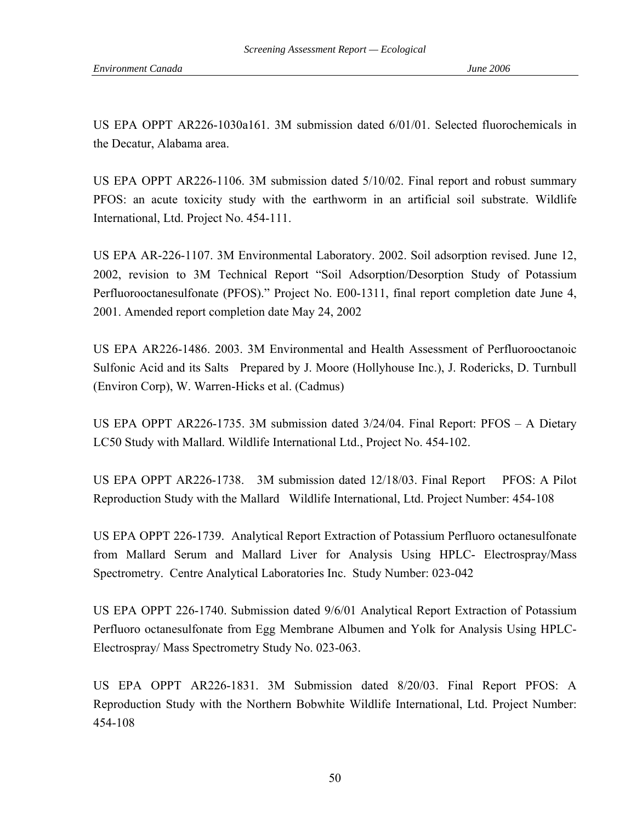US EPA OPPT AR226-1030a161. 3M submission dated 6/01/01. Selected fluorochemicals in the Decatur, Alabama area.

US EPA OPPT AR226-1106. 3M submission dated 5/10/02. Final report and robust summary PFOS: an acute toxicity study with the earthworm in an artificial soil substrate. Wildlife International, Ltd. Project No. 454-111.

US EPA AR-226-1107. 3M Environmental Laboratory. 2002. Soil adsorption revised. June 12, 2002, revision to 3M Technical Report "Soil Adsorption/Desorption Study of Potassium Perfluorooctanesulfonate (PFOS)." Project No. E00-1311, final report completion date June 4, 2001. Amended report completion date May 24, 2002

US EPA AR226-1486. 2003. 3M Environmental and Health Assessment of Perfluorooctanoic Sulfonic Acid and its Salts Prepared by J. Moore (Hollyhouse Inc.), J. Rodericks, D. Turnbull (Environ Corp), W. Warren-Hicks et al. (Cadmus)

US EPA OPPT AR226-1735. 3M submission dated 3/24/04. Final Report: PFOS – A Dietary LC50 Study with Mallard. Wildlife International Ltd., Project No. 454-102.

US EPA OPPT AR226-1738. 3M submission dated 12/18/03. Final Report PFOS: A Pilot Reproduction Study with the Mallard Wildlife International, Ltd. Project Number: 454-108

US EPA OPPT 226-1739. Analytical Report Extraction of Potassium Perfluoro octanesulfonate from Mallard Serum and Mallard Liver for Analysis Using HPLC- Electrospray/Mass Spectrometry. Centre Analytical Laboratories Inc. Study Number: 023-042

US EPA OPPT 226-1740. Submission dated 9/6/01 Analytical Report Extraction of Potassium Perfluoro octanesulfonate from Egg Membrane Albumen and Yolk for Analysis Using HPLC-Electrospray/ Mass Spectrometry Study No. 023-063.

US EPA OPPT AR226-1831. 3M Submission dated 8/20/03. Final Report PFOS: A Reproduction Study with the Northern Bobwhite Wildlife International, Ltd. Project Number: 454-108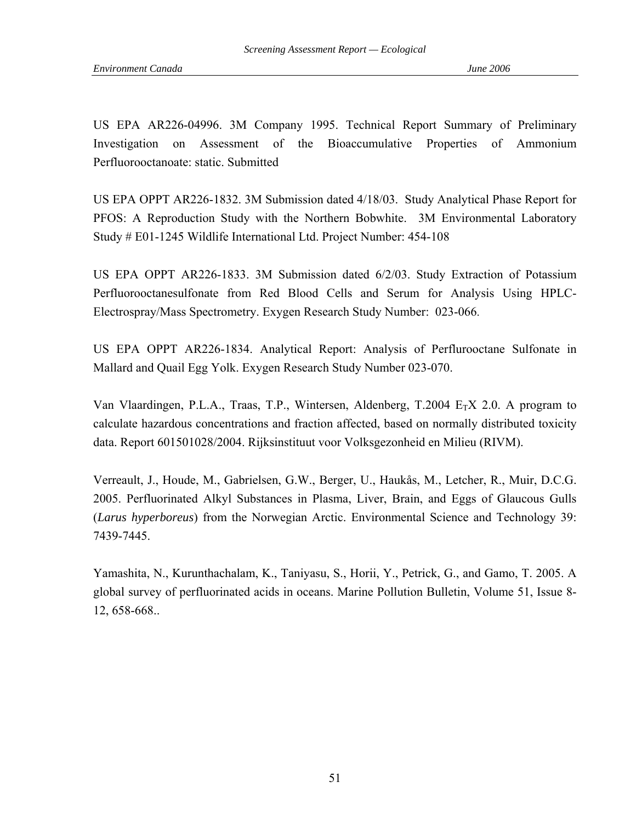US EPA AR226-04996. 3M Company 1995. Technical Report Summary of Preliminary Investigation on Assessment of the Bioaccumulative Properties of Ammonium Perfluorooctanoate: static. Submitted

US EPA OPPT AR226-1832. 3M Submission dated 4/18/03. Study Analytical Phase Report for PFOS: A Reproduction Study with the Northern Bobwhite. 3M Environmental Laboratory Study # E01-1245 Wildlife International Ltd. Project Number: 454-108

US EPA OPPT AR226-1833. 3M Submission dated 6/2/03. Study Extraction of Potassium Perfluorooctanesulfonate from Red Blood Cells and Serum for Analysis Using HPLC-Electrospray/Mass Spectrometry. Exygen Research Study Number: 023-066.

US EPA OPPT AR226-1834. Analytical Report: Analysis of Perflurooctane Sulfonate in Mallard and Quail Egg Yolk. Exygen Research Study Number 023-070.

Van Vlaardingen, P.L.A., Traas, T.P., Wintersen, Aldenberg, T.2004  $E_T X$  2.0. A program to calculate hazardous concentrations and fraction affected, based on normally distributed toxicity data. Report 601501028/2004. Rijksinstituut voor Volksgezonheid en Milieu (RIVM).

Verreault, J., Houde, M., Gabrielsen, G.W., Berger, U., Haukås, M., Letcher, R., Muir, D.C.G. 2005. Perfluorinated Alkyl Substances in Plasma, Liver, Brain, and Eggs of Glaucous Gulls (*Larus hyperboreus*) from the Norwegian Arctic. Environmental Science and Technology 39: 7439-7445.

Yamashita, N., Kurunthachalam, K., Taniyasu, S., Horii, Y., Petrick, G., and Gamo, T. 2005. A global survey of perfluorinated acids in oceans. Marine Pollution Bulletin, Volume 51, Issue 8- 12, 658-668..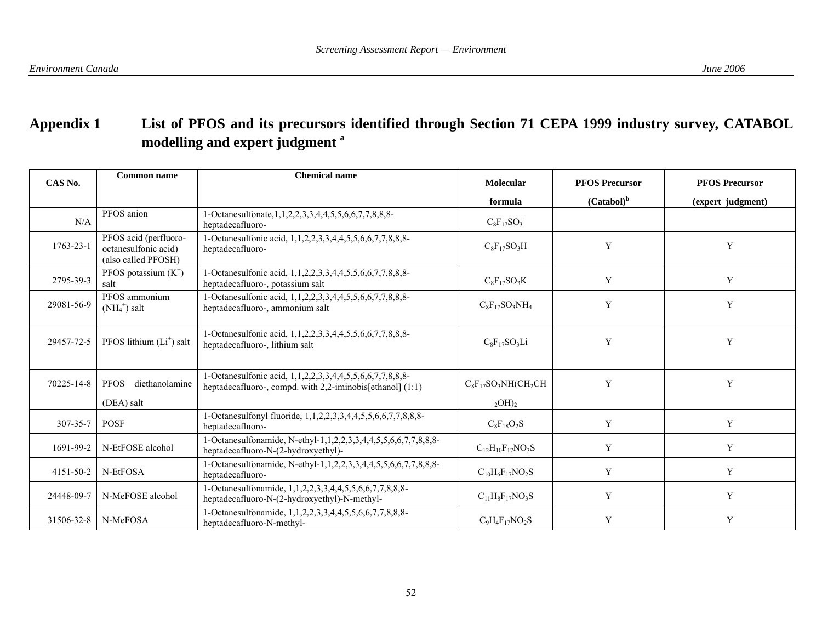# **Appendix 1 List of PFOS and its precursors identified through Section 71 CEPA 1999 industry survey, CATABOL modelling and expert judgment a**

| CAS No.         | <b>Common name</b>                                                   | <b>Chemical name</b>                                                                                                        | Molecular                 | <b>PFOS Precursor</b> | <b>PFOS Precursor</b> |
|-----------------|----------------------------------------------------------------------|-----------------------------------------------------------------------------------------------------------------------------|---------------------------|-----------------------|-----------------------|
|                 |                                                                      |                                                                                                                             | formula                   | $(Catabol)^b$         | (expert judgment)     |
| N/A             | PFOS anion                                                           | 1-Octanesulfonate, 1, 1, 2, 2, 3, 3, 4, 4, 5, 5, 6, 6, 7, 7, 8, 8, 8-<br>heptadecafluoro-                                   | $C_8F_{17}SO_3$           |                       |                       |
| $1763 - 23 - 1$ | PFOS acid (perfluoro-<br>octanesulfonic acid)<br>(also called PFOSH) | 1-Octanesulfonic acid, 1,1,2,2,3,3,4,4,5,5,6,6,7,7,8,8,8-<br>heptadecafluoro-                                               | $C_8F_{17}SO_3H$          | Y                     | Y                     |
| 2795-39-3       | PFOS potassium $(K^+)$<br>salt                                       | 1-Octanesulfonic acid, 1,1,2,2,3,3,4,4,5,5,6,6,7,7,8,8,8-<br>heptadecafluoro-, potassium salt                               | $C_8F_{17}SO_3K$          | Y                     | Y                     |
| 29081-56-9      | PFOS ammonium<br>$(NH_4^+)$ salt                                     | 1-Octanesulfonic acid, 1,1,2,2,3,3,4,4,5,5,6,6,7,7,8,8,8-<br>heptadecafluoro-, ammonium salt                                | $C_8F_{17}SO_3NH_4$       | Y                     | Y                     |
| 29457-72-5      | PFOS lithium $(L+)$ salt                                             | 1-Octanesulfonic acid, 1,1,2,2,3,3,4,4,5,5,6,6,7,7,8,8,8-<br>heptadecafluoro-, lithium salt                                 | $C_8F_{17}SO_3Li$         | Y                     | Y                     |
| 70225-14-8      | <b>PFOS</b><br>diethanolamine                                        | 1-Octanesulfonic acid, 1,1,2,2,3,3,4,4,5,5,6,6,7,7,8,8,8-<br>heptadecafluoro-, compd. with $2,2$ -iminobis[ethanol] $(1:1)$ | $C_8F_{17}SO_3NH(CH_2CH$  | Y                     | Y                     |
|                 | (DEA) salt                                                           |                                                                                                                             | $_{2}$ OH) <sub>2</sub>   |                       |                       |
| 307-35-7        | <b>POSF</b>                                                          | 1-Octanesulfonyl fluoride, 1,1,2,2,3,3,4,4,5,5,6,6,7,7,8,8,8-<br>heptadecafluoro-                                           | $C_8F_{18}O_2S$           | Y                     | Y                     |
| 1691-99-2       | N-EtFOSE alcohol                                                     | 1-Octanesulfonamide, N-ethyl-1,1,2,2,3,3,4,4,5,5,6,6,7,7,8,8,8-<br>heptadecafluoro-N-(2-hydroxyethyl)-                      | $C_{12}H_{10}F_{17}NO_3S$ | Y                     | Y                     |
| 4151-50-2       | N-EtFOSA                                                             | 1-Octanesulfonamide, N-ethyl-1,1,2,2,3,3,4,4,5,5,6,6,7,7,8,8,8-<br>heptadecafluoro-                                         | $C_{10}H_6F_{17}NO_2S$    | Y                     | Y                     |
| 24448-09-7      | N-MeFOSE alcohol                                                     | 1-Octanesulfonamide, 1,1,2,2,3,3,4,4,5,5,6,6,7,7,8,8,8-<br>heptadecafluoro-N-(2-hydroxyethyl)-N-methyl-                     | $C_{11}H_8F_{17}NO_3S$    | Y                     | Y                     |
| 31506-32-8      | N-MeFOSA                                                             | 1-Octanesulfonamide, 1,1,2,2,3,3,4,4,5,5,6,6,7,7,8,8,8-<br>heptadecafluoro-N-methyl-                                        | $C_9H_4F_{17}NO_2S$       | Y                     | Y                     |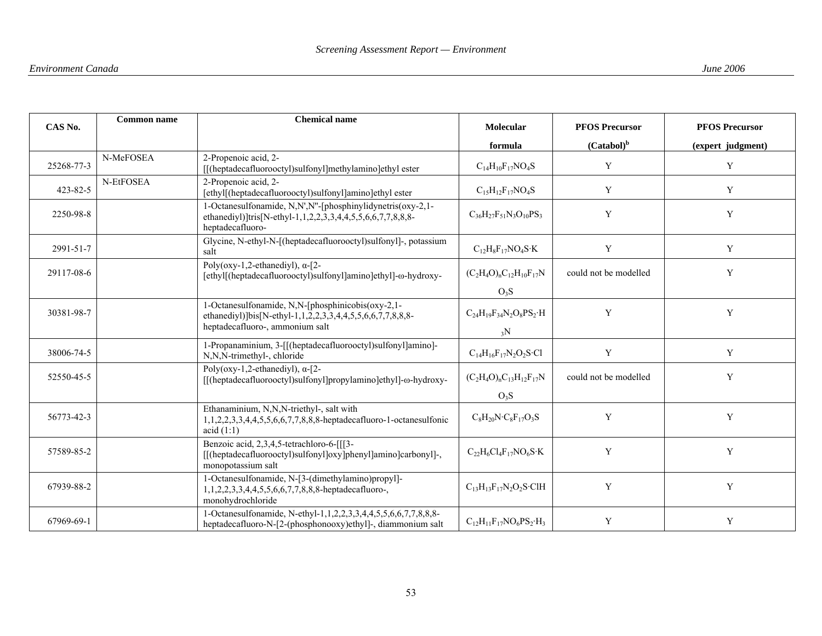| CAS No.    | <b>Common name</b> | <b>Chemical name</b>                                                                                                                          | Molecular                              | <b>PFOS Precursor</b> | <b>PFOS Precursor</b> |
|------------|--------------------|-----------------------------------------------------------------------------------------------------------------------------------------------|----------------------------------------|-----------------------|-----------------------|
|            |                    |                                                                                                                                               | formula                                | $(Catabol)^b$         | (expert judgment)     |
| 25268-77-3 | N-MeFOSEA          | 2-Propenoic acid, 2-<br>[[(heptadecafluorooctyl)sulfonyl]methylamino]ethyl ester                                                              | $C_{14}H_{10}F_{17}NO_4S$              | Y                     | Y                     |
| 423-82-5   | N-EtFOSEA          | 2-Propenoic acid, 2-<br>[ethyl](heptadecafluorooctyl)sulfonyl]amino]ethyl ester                                                               | $C_{15}H_{12}F_{17}NO_4S$              | Y                     | Y                     |
| 2250-98-8  |                    | 1-Octanesulfonamide, N,N',N"-[phosphinylidynetris(oxy-2,1-<br>ethanediyl)]tris[N-ethyl-1,1,2,2,3,3,4,4,5,5,6,6,7,7,8,8,8-<br>heptadecafluoro- | $C_{36}H_{27}F_{51}N_3O_{10}PS_3$      | Y                     | $\mathbf Y$           |
| 2991-51-7  |                    | Glycine, N-ethyl-N-[(heptadecafluorooctyl)sulfonyl]-, potassium<br>salt                                                                       | $C_{12}H_8F_{17}NO_4S$ · K             | Y                     | Y                     |
| 29117-08-6 |                    | Poly(oxy-1,2-ethanediyl), $\alpha$ -[2-<br>[ethyl](heptadecafluorooctyl)sulfonyl]amino]ethyl]-ω-hydroxy-                                      | $(C_2H_4O)_nC_{12}H_{10}F_{17}N$       | could not be modelled | Y                     |
|            |                    |                                                                                                                                               | O <sub>3</sub> S                       |                       |                       |
| 30381-98-7 |                    | 1-Octanesulfonamide, N,N-[phosphinicobis(oxy-2,1-<br>ethanediyl)]bis[N-ethyl-1,1,2,2,3,3,4,4,5,5,6,6,7,7,8,8,8-                               | $C_{24}H_{19}F_{34}N_2O_8PS_2 \cdot H$ | Y                     | Y                     |
|            |                    | heptadecafluoro-, ammonium salt                                                                                                               | $_3N$                                  |                       |                       |
| 38006-74-5 |                    | 1-Propanaminium, 3-[[(heptadecafluorooctyl)sulfonyl]amino]-<br>N,N,N-trimethyl-, chloride                                                     | $C_{14}H_{16}F_{17}N_2O_2S \cdot Cl$   | Y                     | $\mathbf Y$           |
| 52550-45-5 |                    | Poly(oxy-1,2-ethanediyl), $\alpha$ -[2-<br>[[(heptadecafluorooctyl)sulfonyl]propylamino]ethyl]-ω-hydroxy-                                     | $(C_2H_4O)_nC_{13}H_{12}F_{17}N$       | could not be modelled | Y                     |
|            |                    |                                                                                                                                               | O <sub>3</sub> S                       |                       |                       |
| 56773-42-3 |                    | Ethanaminium, N,N,N-triethyl-, salt with<br>1,1,2,2,3,3,4,4,5,5,6,6,7,7,8,8,8-heptadecafluoro-1-octanesulfonic<br>acid $(1:1)$                | $C_8H_{20}N\cdot C_8F_{17}O_3S$        | Y                     | Y                     |
| 57589-85-2 |                    | Benzoic acid, 2,3,4,5-tetrachloro-6-[[[3-<br>[[(heptadecafluorooctyl)sulfonyl]oxy]phenyl]amino]carbonyl]-,<br>monopotassium salt              | $C_{22}H_6Cl_4F_{17}NO_6S \cdot K$     | Y                     | Y                     |
| 67939-88-2 |                    | 1-Octanesulfonamide, N-[3-(dimethylamino)propyl]-<br>1,1,2,2,3,3,4,4,5,5,6,6,7,7,8,8,8-heptadecafluoro-,<br>monohydrochloride                 | $C_{13}H_{13}F_{17}N_2O_2S$ ·ClH       | Y                     | $\mathbf Y$           |
| 67969-69-1 |                    | 1-Octanesulfonamide, N-ethyl-1,1,2,2,3,3,4,4,5,5,6,6,7,7,8,8,8-<br>heptadecafluoro-N-[2-(phosphonooxy)ethyl]-, diammonium salt                | $C_{12}H_{11}F_{17}NO_6PS_2 \cdot H_3$ | $\mathbf Y$           | $\mathbf Y$           |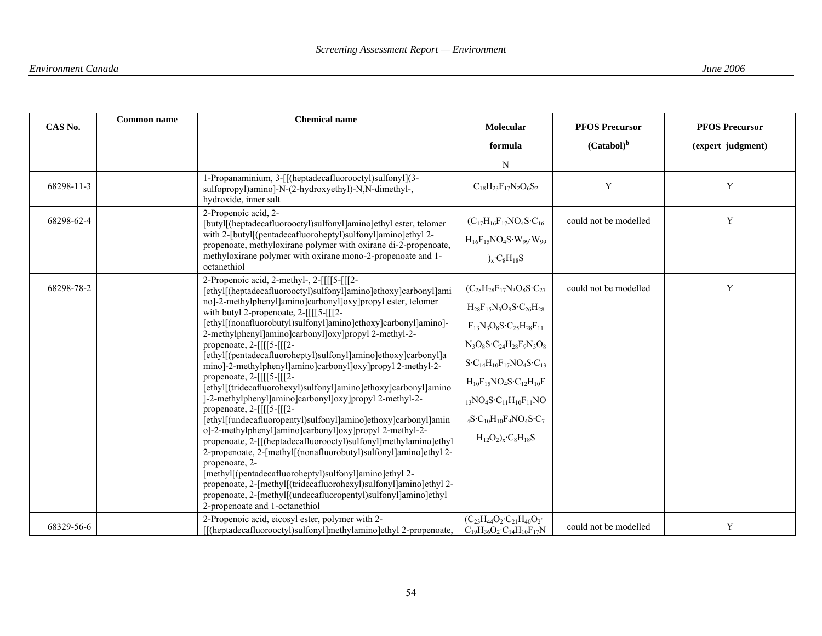| CAS No.    | <b>Common name</b> | <b>Chemical name</b>                                                                                                                     | Molecular                                                                              | <b>PFOS Precursor</b> | <b>PFOS Precursor</b> |
|------------|--------------------|------------------------------------------------------------------------------------------------------------------------------------------|----------------------------------------------------------------------------------------|-----------------------|-----------------------|
|            |                    |                                                                                                                                          | formula                                                                                | $(Catabol)^b$         | (expert judgment)     |
|            |                    |                                                                                                                                          | N                                                                                      |                       |                       |
| 68298-11-3 |                    | 1-Propanaminium, 3-[[(heptadecafluorooctyl)sulfonyl](3-<br>sulfopropyl)amino]-N-(2-hydroxyethyl)-N,N-dimethyl-,<br>hydroxide, inner salt | $C_{18}H_{23}F_{17}N_2O_6S_2$                                                          | Y                     | $\mathbf Y$           |
| 68298-62-4 |                    | 2-Propenoic acid, 2-<br>[butyl[(heptadecafluorooctyl)sulfonyl]amino]ethyl ester, telomer                                                 | $(C_{17}H_{16}F_{17}NO_4S \cdot C_{16}$                                                | could not be modelled | $\mathbf Y$           |
|            |                    | with 2-[butyl[(pentadecafluoroheptyl)sulfonyl]amino]ethyl 2-<br>propenoate, methyloxirane polymer with oxirane di-2-propenoate,          | $H_{16}F_{15}NO_4S \cdot W_{99} \cdot W_{99}$                                          |                       |                       |
|            |                    | methyloxirane polymer with oxirane mono-2-propenoate and 1-<br>octanethiol                                                               | $x$ ·C <sub>8</sub> H <sub>18</sub> S                                                  |                       |                       |
| 68298-78-2 |                    | 2-Propenoic acid, 2-methyl-, 2-[[[[5-[[[2-<br>[ethyl[(heptadecafluorooctyl)sulfonyl]amino]ethoxy]carbonyl]ami                            | $(C_{28}H_{28}F_{17}N_3O_8S \cdot C_{27})$                                             | could not be modelled | Y                     |
|            |                    | no]-2-methylphenyl]amino]carbonyl]oxy]propyl ester, telomer<br>with butyl 2-properoate, $2 - [[[[5-[[[2-$                                | $H_{28}F_{15}N_3O_8S \cdot C_{26}H_{28}$                                               |                       |                       |
|            |                    | [ethyl[(nonafluorobutyl)sulfonyl]amino]ethoxy]carbonyl]amino]-<br>2-methylphenyl]amino]carbonyl]oxy]propyl 2-methyl-2-                   | $F_{13}N_3O_8S \cdot C_{25}H_{28}F_{11}$                                               |                       |                       |
|            |                    | propenoate, 2-[[[[5-[[[2-<br>[ethyl](pentadecafluoroheptyl)sulfonyl]amino]ethoxy]carbonyl]a                                              | $N_3O_8S \cdot C_{24}H_{28}F_9N_3O_8$                                                  |                       |                       |
|            |                    | mino]-2-methylphenyl]amino]carbonyl]oxy]propyl 2-methyl-2-                                                                               | $S \cdot C_{14} H_{10} F_{17} NO_4 S \cdot C_{13}$                                     |                       |                       |
|            |                    | propenoate, $2 - [[[[5-[[[2-$<br>[ethyl](tridecafluorohexyl)sulfonyl]amino]ethoxy]carbonyl]amino                                         | $H_{10}F_{15}NO_4S \cdot C_{12}H_{10}F$                                                |                       |                       |
|            |                    | ]-2-methylphenyl]amino]carbonyl]oxy]propyl 2-methyl-2-<br>propenoate, $2 - [[[[5-[[[2-$                                                  | $_{13}NO_{4}S \cdot C_{11}H_{10}F_{11}NO$                                              |                       |                       |
|            |                    | [ethyl](undecafluoropentyl)sulfonyl]amino]ethoxy]carbonyl]amin<br>o]-2-methylphenyl]amino]carbonyl]oxy]propyl 2-methyl-2-                | $_4$ S·C <sub>10</sub> H <sub>10</sub> F <sub>9</sub> NO <sub>4</sub> S·C <sub>7</sub> |                       |                       |
|            |                    | propenoate, 2-[[(heptadecafluorooctyl)sulfonyl]methylamino]ethyl                                                                         | $H_{12}O_2$ <sub>x</sub> ·C <sub>8</sub> H <sub>18</sub> S                             |                       |                       |
|            |                    | 2-propenoate, 2-[methyl[(nonafluorobutyl)sulfonyl]amino]ethyl 2-<br>propenoate, 2-                                                       |                                                                                        |                       |                       |
|            |                    | [methyl](pentadecafluoroheptyl)sulfonyl]amino]ethyl 2-<br>propenoate, 2-[methyl[(tridecafluorohexyl)sulfonyl]amino]ethyl 2-              |                                                                                        |                       |                       |
|            |                    | propenoate, 2-[methyl[(undecafluoropentyl)sulfonyl]amino]ethyl                                                                           |                                                                                        |                       |                       |
|            |                    | 2-propenoate and 1-octanethiol<br>2-Propenoic acid, eicosyl ester, polymer with 2-                                                       | $(C_{23}H_{44}O_2 \cdot C_{21}H_{40}O_2 \cdot$                                         |                       |                       |
| 68329-56-6 |                    | [[(heptadecafluorooctyl)sulfonyl]methylamino]ethyl 2-propenoate,                                                                         | $C_{19}H_{36}O_2 \cdot C_{14}H_{10}F_{17}N$                                            | could not be modelled | $\mathbf Y$           |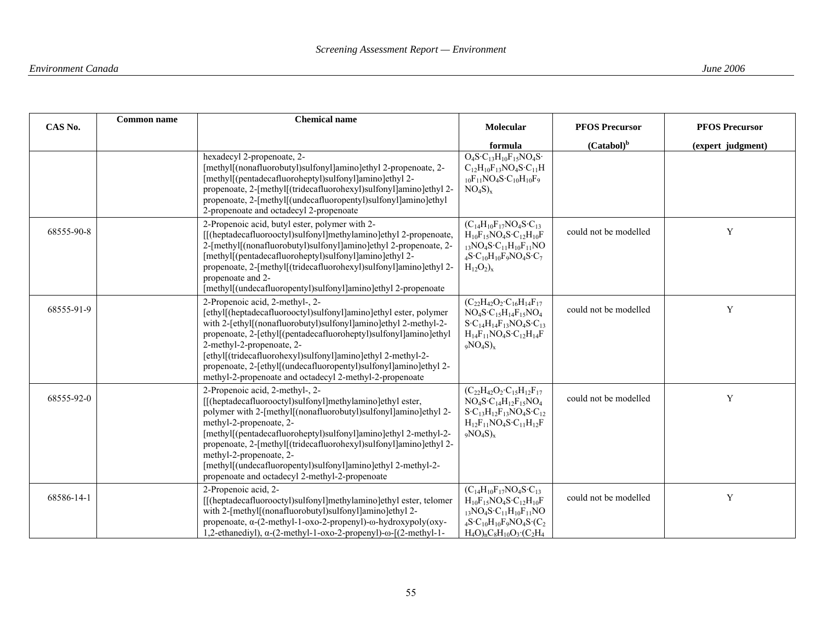| CAS No.    | <b>Common name</b> | <b>Chemical name</b>                                                                                                                                                                                                                                                                                                                                                                                                                                                            | Molecular                                                                                                                                                                                                                                                                    | <b>PFOS Precursor</b> | <b>PFOS Precursor</b> |
|------------|--------------------|---------------------------------------------------------------------------------------------------------------------------------------------------------------------------------------------------------------------------------------------------------------------------------------------------------------------------------------------------------------------------------------------------------------------------------------------------------------------------------|------------------------------------------------------------------------------------------------------------------------------------------------------------------------------------------------------------------------------------------------------------------------------|-----------------------|-----------------------|
|            |                    |                                                                                                                                                                                                                                                                                                                                                                                                                                                                                 | formula                                                                                                                                                                                                                                                                      | $(Catabol)^b$         | (expert judgment)     |
|            |                    | hexadecyl 2-propenoate, 2-<br>[methyl[(nonafluorobutyl)sulfonyl]amino]ethyl 2-propenoate, 2-<br>[methyl](pentadecafluoroheptyl)sulfonyl]amino]ethyl 2-<br>propenoate, 2-[methyl[(tridecafluorohexyl)sulfonyl]amino]ethyl 2-<br>propenoate, 2-[methyl](undecafluoropentyl)sulfonyl]amino]ethyl<br>2-propenoate and octadecyl 2-propenoate                                                                                                                                        | $O_4S \cdot C_{13}H_{10}F_{15}NO_4S \cdot$<br>$C_{12}H_{10}F_{13}NO_4S \cdot C_{11}H$<br>$_{10}F_{11}NO_4S \cdot C_{10}H_{10}F_9$<br>$NO_4S)_x$                                                                                                                              |                       |                       |
| 68555-90-8 |                    | 2-Propenoic acid, butyl ester, polymer with 2-<br>[[(heptadecafluorooctyl)sulfonyl]methylamino]ethyl 2-propenoate,<br>2-[methyl](nonafluorobutyl)sulfonyl]amino]ethyl 2-propenoate, 2-<br>[methyl](pentadecafluoroheptyl)sulfonyl]amino]ethyl 2-<br>propenoate, 2-[methyl[(tridecafluorohexyl)sulfonyl]amino]ethyl 2-<br>propenoate and 2-<br>[methyl](undecafluoropentyl)sulfonyl]amino]ethyl 2-propenoate                                                                     | $(C_{14}H_{10}F_{17}NO_4S \cdot C_{13}$<br>$H_{10}F_{15}NO_4S \cdot C_{12}H_{10}F$<br>$_{13}NO_{4}S \cdot C_{11}H_{10}F_{11}NO$<br>$_4$ S·C <sub>10</sub> H <sub>10</sub> F <sub>9</sub> NO <sub>4</sub> S·C <sub>7</sub><br>$H_{12}O_2$ <sub>x</sub>                        | could not be modelled | Y                     |
| 68555-91-9 |                    | 2-Propenoic acid, 2-methyl-, 2-<br>[ethyl](heptadecafluorooctyl)sulfonyl]amino]ethyl ester, polymer<br>with 2-[ethyl[(nonafluorobutyl)sulfonyl]amino]ethyl 2-methyl-2-<br>propenoate, 2-[ethyl[(pentadecafluoroheptyl)sulfonyl]amino]ethyl<br>2-methyl-2-propenoate, 2-<br>[ethyl](tridecafluorohexyl)sulfonyl]amino]ethyl 2-methyl-2-<br>propenoate, 2-[ethyl[(undecafluoropentyl)sulfonyl]amino]ethyl 2-<br>methyl-2-propenoate and octadecyl 2-methyl-2-propenoate           | $(C_{22}H_{42}O_2 \cdot C_{16}H_{14}F_{17})$<br>$NO_4S \cdot C_{15}H_{14}F_{15}NO_4$<br>$S \cdot C_{14} H_{14} F_{13} NO_4 S \cdot C_{13}$<br>$H_{14}F_{11}NO_4S \cdot C_{12}H_{14}F$<br>$_9NO_4S)_x$                                                                        | could not be modelled | Y                     |
| 68555-92-0 |                    | 2-Propenoic acid, 2-methyl-, 2-<br>[[(heptadecafluorooctyl)sulfonyl]methylamino]ethyl ester,<br>polymer with 2-[methyl[(nonafluorobutyl)sulfonyl]amino]ethyl 2-<br>methyl-2-propenoate, 2-<br>[methyl](pentadecafluoroheptyl)sulfonyl]amino]ethyl 2-methyl-2-<br>propenoate, 2-[methyl[(tridecafluorohexyl)sulfonyl]amino]ethyl 2-<br>methyl-2-propenoate, 2-<br>[methyl](undecafluoropentyl)sulfonyl]amino]ethyl 2-methyl-2-<br>propenoate and octadecyl 2-methyl-2-propenoate | $(C_{22}H_{42}O_2 \cdot C_{15}H_{12}F_{17})$<br>$NO_4S \cdot C_{14}H_{12}F_{15}NO_4$<br>$S-C_{13}H_{12}F_{13}NO_4S-C_{12}$<br>$H_{12}F_{11}NO_4S \cdot C_{11}H_{12}F$<br>$_9NO_4S)_x$                                                                                        | could not be modelled | Y                     |
| 68586-14-1 |                    | 2-Propenoic acid, 2-<br>[[(heptadecafluorooctyl)sulfonyl]methylamino]ethyl ester, telomer<br>with 2-[methyl[(nonafluorobutyl)sulfonyl]amino]ethyl 2-<br>propenoate, $\alpha$ -(2-methyl-1-oxo-2-propenyl)- $\omega$ -hydroxypoly(oxy-<br>1,2-ethanediyl), $\alpha$ -(2-methyl-1-oxo-2-propenyl)- $\omega$ -[(2-methyl-1-                                                                                                                                                        | $(C_{14}H_{10}F_{17}NO_4S \cdot C_{13}$<br>$H_{10}F_{15}NO_4S \cdot C_{12}H_{10}F$<br>$_{13}NO_{4}S \cdot C_{11}H_{10}F_{11}NO$<br>$_4$ S·C <sub>10</sub> H <sub>10</sub> F <sub>9</sub> NO <sub>4</sub> S·(C <sub>2</sub><br>$H_4O$ <sub>n</sub> $C_8H_{10}O_3$ · $(C_2H_4$ | could not be modelled | Y                     |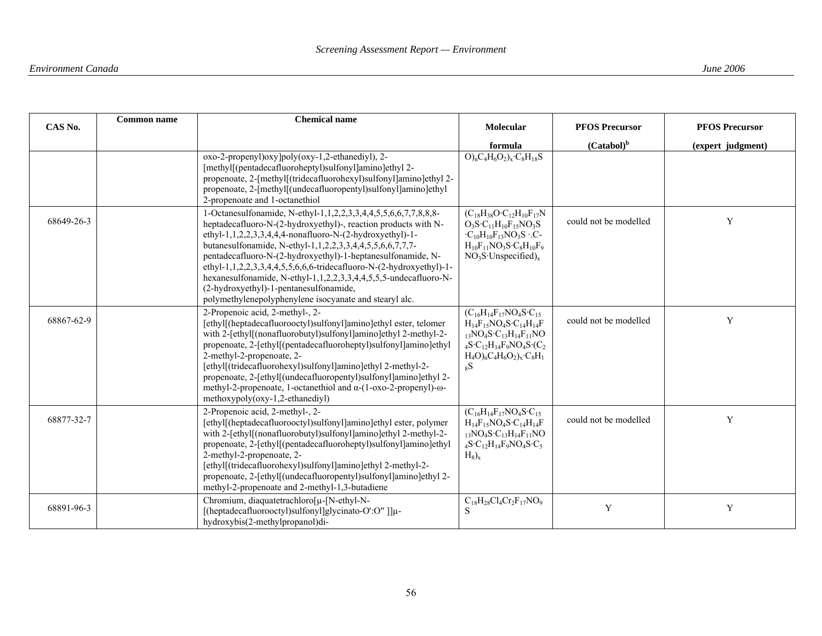| CAS No.    | <b>Common name</b> | <b>Chemical name</b>                                                                                                                                                                                                                                                                                                                                                                                                                                                                                                                                                     | Molecular                                                                                                                                                                                                                                        | <b>PFOS Precursor</b> | <b>PFOS Precursor</b> |
|------------|--------------------|--------------------------------------------------------------------------------------------------------------------------------------------------------------------------------------------------------------------------------------------------------------------------------------------------------------------------------------------------------------------------------------------------------------------------------------------------------------------------------------------------------------------------------------------------------------------------|--------------------------------------------------------------------------------------------------------------------------------------------------------------------------------------------------------------------------------------------------|-----------------------|-----------------------|
|            |                    |                                                                                                                                                                                                                                                                                                                                                                                                                                                                                                                                                                          | formula                                                                                                                                                                                                                                          | $(Catabol)^b$         | (expert judgment)     |
|            |                    | oxo-2-propenyl)oxy]poly(oxy-1,2-ethanediyl), 2-<br>[methyl](pentadecafluoroheptyl)sulfonyl]amino]ethyl 2-<br>propenoate, 2-[methyl](tridecafluorohexyl)sulfonyl]amino]ethyl 2-<br>propenoate, 2-[methyl[(undecafluoropentyl)sulfonyl]amino]ethyl<br>2-propenoate and 1-octanethiol                                                                                                                                                                                                                                                                                       | $\overline{O_{n}C_{4}H_{6}O_{2}}$ <sub>x</sub> · $C_{8}H_{18}S$                                                                                                                                                                                  |                       |                       |
| 68649-26-3 |                    | 1-Octanesulfonamide, N-ethyl-1,1,2,2,3,3,4,4,5,5,6,6,7,7,8,8,8-<br>heptadecafluoro-N-(2-hydroxyethyl)-, reaction products with N-<br>ethyl-1,1,2,2,3,3,4,4,4-nonafluoro-N-(2-hydroxyethyl)-1-<br>butanesulfonamide, N-ethyl-1,1,2,2,3,3,4,4,5,5,6,6,7,7,7-<br>pentadecafluoro-N-(2-hydroxyethyl)-1-heptanesulfonamide, N-<br>ethyl-1,1,2,2,3,3,4,4,5,5,6,6,6-tridecafluoro-N-(2-hydroxyethyl)-1-<br>hexanesulfonamide, N-ethyl-1,1,2,2,3,3,4,4,5,5,5-undecafluoro-N-<br>(2-hydroxyethyl)-1-pentanesulfonamide,<br>polymethylenepolyphenylene isocyanate and stearyl alc. | $(C_{18}H_{38}O \cdot C_{12}H_{10}F_{17}N$<br>$O_3S \cdot C_{11}H_{10}F_{15}NO_3S$<br>$\cdot C_{10}H_{10}F_{13}NO_3S \cdot C$ -<br>$H_{10}F_{11}NO_3S \cdot C_8H_{10}F_9$<br>$NO3S$ ·Unspecified) <sub>x</sub>                                   | could not be modelled | Y                     |
| 68867-62-9 |                    | 2-Propenoic acid, 2-methyl-, 2-<br>[ethyl](heptadecafluorooctyl)sulfonyl]amino]ethyl ester, telomer<br>with 2-[ethyl[(nonafluorobutyl)sulfonyl]amino]ethyl 2-methyl-2-<br>propenoate, 2-[ethyl[(pentadecafluoroheptyl)sulfonyl]amino]ethyl<br>2-methyl-2-propenoate, 2-<br>[ethyl](tridecafluorohexyl)sulfonyl]amino]ethyl 2-methyl-2-<br>propenoate, 2-[ethyl](undecafluoropentyl)sulfonyl]amino]ethyl 2-<br>methyl-2-propenoate, 1-octanethiol and $\alpha$ -(1-oxo-2-propenyl)- $\omega$ -<br>$methoxypoly(oxy-1,2-ethanediyl)$                                       | $(C_{16}H_{14}F_{17}NO_4S \cdot C_{15}$<br>$H_{14}F_{15}NO_4S \cdot C_{14}H_{14}F$<br>$_{13}NO_{4}S \cdot C_{13}H_{14}F_{11}NO$<br>$_4S \cdot C_{12}H_{14}F_9NO_4S \cdot (C_2)$<br>$H_4O$ <sub>n</sub> $C_4H_6O_2$ <sub>x</sub> · $C_8H_1$<br>8S | could not be modelled | Y                     |
| 68877-32-7 |                    | 2-Propenoic acid, 2-methyl-, 2-<br>[ethyl](heptadecafluorooctyl)sulfonyl]amino]ethyl ester, polymer<br>with 2-[ethyl[(nonafluorobutyl)sulfonyl]amino]ethyl 2-methyl-2-<br>propenoate, 2-[ethyl](pentadecafluoroheptyl)sulfonyl]amino]ethyl<br>2-methyl-2-propenoate, 2-<br>[ethyl](tridecafluorohexyl)sulfonyl]amino]ethyl 2-methyl-2-<br>propenoate, 2-[ethyl](undecafluoropentyl)sulfonyl]amino]ethyl 2-<br>methyl-2-properoate and 2-methyl-1,3-butadiene                                                                                                             | $(C_{16}H_{14}F_{17}NO_4S \cdot C_{15}$<br>$H_{14}F_{15}NO_4S \cdot C_{14}H_{14}F$<br>$_{13}NO_{4}S \cdot C_{13}H_{14}F_{11}NO$<br>$_4S \cdot C_{12}H_{14}F_9NO_4S \cdot C_5$<br>$H_8$ <sub>x</sub>                                              | could not be modelled | Y                     |
| 68891-96-3 |                    | Chromium, diaquatetrachloro[µ-[N-ethyl-N-<br>[(heptadecafluorooctyl)sulfonyl]glycinato-O':O"]]µ-<br>hydroxybis(2-methylpropanol)di-                                                                                                                                                                                                                                                                                                                                                                                                                                      | $C_{18}H_{28}Cl_4Cr_2F_{17}NO_9$<br>S                                                                                                                                                                                                            | Y                     | $\mathbf Y$           |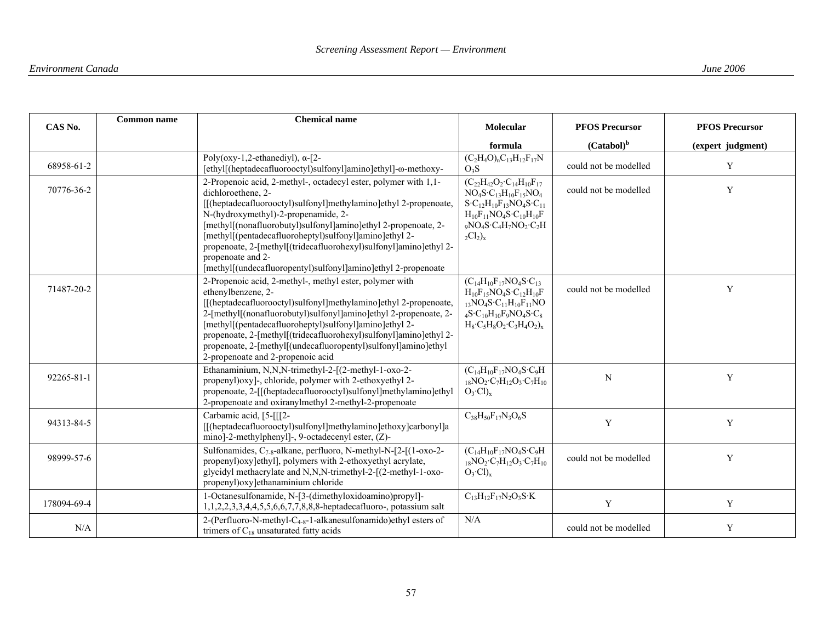| CAS No.     | <b>Common name</b> | <b>Chemical name</b>                                                                                                                                                                                                                                                                                                                                                                                                                                                                    | Molecular                                                                                                                                                                                                                                                                   | <b>PFOS Precursor</b> | <b>PFOS Precursor</b> |
|-------------|--------------------|-----------------------------------------------------------------------------------------------------------------------------------------------------------------------------------------------------------------------------------------------------------------------------------------------------------------------------------------------------------------------------------------------------------------------------------------------------------------------------------------|-----------------------------------------------------------------------------------------------------------------------------------------------------------------------------------------------------------------------------------------------------------------------------|-----------------------|-----------------------|
|             |                    |                                                                                                                                                                                                                                                                                                                                                                                                                                                                                         | formula                                                                                                                                                                                                                                                                     | $(Catabol)^b$         | (expert judgment)     |
| 68958-61-2  |                    | Poly(oxy-1,2-ethanediyl), $\alpha$ -[2-<br>[ethyl[(heptadecafluorooctyl)sulfonyl]amino]ethyl]-ω-methoxy-                                                                                                                                                                                                                                                                                                                                                                                | $(C_2H_4O)_{n}C_{13}H_{12}F_{17}N$<br>O <sub>3</sub> S                                                                                                                                                                                                                      | could not be modelled | Y                     |
| 70776-36-2  |                    | 2-Propenoic acid, 2-methyl-, octadecyl ester, polymer with 1,1-<br>dichloroethene, 2-<br>[[(heptadecafluorooctyl)sulfonyl]methylamino]ethyl 2-propenoate,<br>N-(hydroxymethyl)-2-propenamide, 2-<br>[methyl](nonafluorobutyl)sulfonyl]amino]ethyl 2-propenoate, 2-<br>[methyl](pentadecafluoroheptyl)sulfonyl]amino]ethyl 2-<br>propenoate, 2-[methyl[(tridecafluorohexyl)sulfonyl]amino]ethyl 2-<br>propenoate and 2-<br>[methyl](undecafluoropentyl)sulfonyl]amino]ethyl 2-propenoate | $(C_{22}H_{42}O_2 \cdot C_{14}H_{10}F_{17})$<br>$NO_4S \cdot C_{13}H_{10}F_{15}NO_4$<br>$S-C_{12}H_{10}F_{13}NO_4S-C_{11}$<br>$H_{10}F_{11}NO_4S \cdot C_{10}H_{10}F$<br>$_9NO_4S \cdot C_4H_7NO_2 \cdot C_2H$<br>$_2Cl_2$ <sub>x</sub>                                     | could not be modelled | Y                     |
| 71487-20-2  |                    | 2-Propenoic acid, 2-methyl-, methyl ester, polymer with<br>ethenylbenzene, 2-<br>[[(heptadecafluorooctyl)sulfonyl]methylamino]ethyl 2-propenoate,<br>2-[methyl](nonafluorobutyl)sulfonyl]amino]ethyl 2-propenoate, 2-<br>[methyl](pentadecafluoroheptyl)sulfonyl]amino]ethyl 2-<br>propenoate, 2-[methyl[(tridecafluorohexyl)sulfonyl]amino]ethyl 2-<br>propenoate, 2-[methyl[(undecafluoropentyl)sulfonyl]amino]ethyl<br>2-propenoate and 2-propenoic acid                             | $(C_{14}H_{10}F_{17}NO_4S \cdot C_{13}$<br>$H_{10}F_{15}NO_4S \cdot C_{12}H_{10}F$<br>$_{13}NO_{4}S \cdot C_{11}H_{10}F_{11}NO$<br>$_4$ S·C <sub>10</sub> H <sub>10</sub> F <sub>9</sub> NO <sub>4</sub> S·C <sub>8</sub><br>$H_8$ · $C_5H_8O_2$ · $C_3H_4O_2$ <sub>r</sub> | could not be modelled | Y                     |
| 92265-81-1  |                    | Ethanaminium, N,N,N-trimethyl-2-[(2-methyl-1-oxo-2-<br>propenyl) oxyl-, chloride, polymer with 2-ethoxyethyl 2-<br>propenoate, 2-[[(heptadecafluorooctyl)sulfonyl]methylamino]ethyl<br>2-propenoate and oxiranylmethyl 2-methyl-2-propenoate                                                                                                                                                                                                                                            | $(C_{14}H_{10}F_{17}NO_4S \cdot C_9H$<br>$_{18}NO_2 \cdot C_7H_{12}O_3 \cdot C_7H_{10}$<br>$O_3$ ·Cl) <sub>x</sub>                                                                                                                                                          | N                     | Y                     |
| 94313-84-5  |                    | Carbamic acid, [5-[[[2-<br>[[(heptadecafluorooctyl)sulfonyl]methylamino]ethoxy]carbonyl]a<br>mino]-2-methylphenyl]-, 9-octadecenyl ester, (Z)-                                                                                                                                                                                                                                                                                                                                          | $C_{38}H_{50}F_{17}N_3O_6S$                                                                                                                                                                                                                                                 | Y                     | Y                     |
| 98999-57-6  |                    | Sulfonamides, $C_{7.8}$ -alkane, perfluoro, N-methyl-N-[2-[(1-oxo-2-<br>propenyl) oxy lethyll, polymers with 2-ethoxyethyl acrylate,<br>glycidyl methacrylate and N,N,N-trimethyl-2-[(2-methyl-1-oxo-<br>propenyl) oxy lethanaminium chloride                                                                                                                                                                                                                                           | $(C_{14}H_{10}F_{17}NO_4S \cdot C_9H$<br>$_{18}NO_2 \cdot C_7H_{12}O_3 \cdot C_7H_{10}$<br>$O_3$ ·Cl) <sub>x</sub>                                                                                                                                                          | could not be modelled | Y                     |
| 178094-69-4 |                    | 1-Octanesulfonamide, N-[3-(dimethyloxidoamino)propyl]-<br>1,1,2,2,3,3,4,4,5,5,6,6,7,7,8,8,8-heptadecafluoro-, potassium salt                                                                                                                                                                                                                                                                                                                                                            | $C_{13}H_{12}F_{17}N_2O_3S$ · K                                                                                                                                                                                                                                             | Y                     | Y                     |
| N/A         |                    | 2-(Perfluoro-N-methyl- $C_{4-8}$ -1-alkanesulfonamido)ethyl esters of<br>trimers of $C_{18}$ unsaturated fatty acids                                                                                                                                                                                                                                                                                                                                                                    | N/A                                                                                                                                                                                                                                                                         | could not be modelled | Y                     |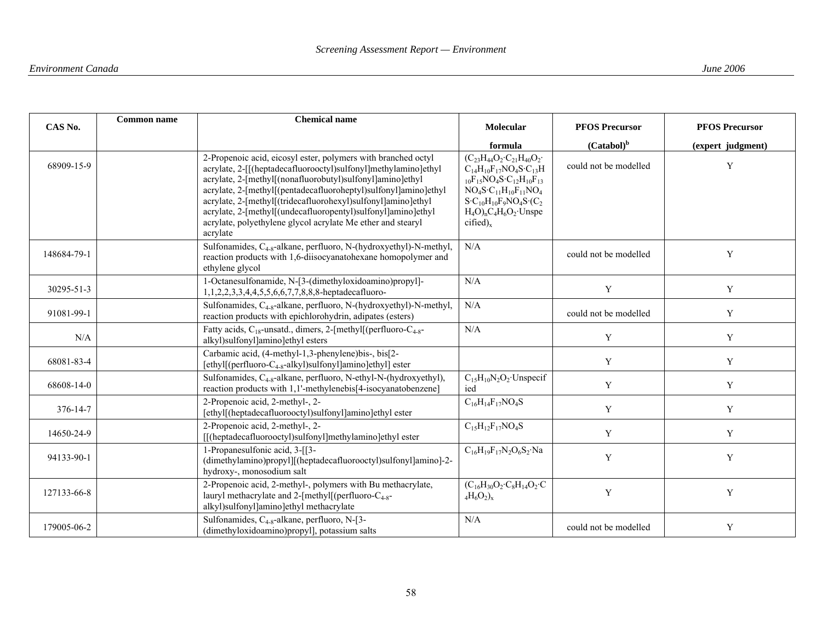| <b>Common name</b><br>CAS No. |  | <b>Chemical name</b>                                                                                                                                                                                                                                                                                                                                                                                                                                                       | Molecular                                                                                                                                                                                                                                                                                               | <b>PFOS Precursor</b> | <b>PFOS Precursor</b> |
|-------------------------------|--|----------------------------------------------------------------------------------------------------------------------------------------------------------------------------------------------------------------------------------------------------------------------------------------------------------------------------------------------------------------------------------------------------------------------------------------------------------------------------|---------------------------------------------------------------------------------------------------------------------------------------------------------------------------------------------------------------------------------------------------------------------------------------------------------|-----------------------|-----------------------|
|                               |  |                                                                                                                                                                                                                                                                                                                                                                                                                                                                            | formula                                                                                                                                                                                                                                                                                                 | $(Catabol)^b$         | (expert judgment)     |
| 68909-15-9                    |  | 2-Propenoic acid, eicosyl ester, polymers with branched octyl<br>acrylate, 2-[[(heptadecafluorooctyl)sulfonyl]methylamino]ethyl<br>acrylate, 2-[methyl[(nonafluorobutyl)sulfonyl]amino]ethyl<br>acrylate, 2-[methyl](pentadecafluoroheptyl)sulfonyl]amino]ethyl<br>acrylate, 2-[methyl[(tridecafluorohexyl)sulfonyl]amino]ethyl<br>acrylate, 2-[methyl[(undecafluoropentyl)sulfonyl]amino]ethyl<br>acrylate, polyethylene glycol acrylate Me ether and stearyl<br>acrylate | $(C_{23}H_{44}O_2 \cdot C_{21}H_{40}O_2 \cdot$<br>$C_{14}H_{10}F_{17}NO_4S \cdot C_{13}H$<br>$_{10}F_{15}NO_4S \cdot C_{12}H_{10}F_{13}$<br>$\rm NO_4S\text{-}C_{11}H_{10}F_{11}NO_4$<br>$S \cdot C_{10}H_{10}F_9NO_4S \cdot (C_2)$<br>$H_4O$ <sub>n</sub> $C_4H_6O_2$ ·Unspe<br>$cified)$ <sub>x</sub> | could not be modelled | Y                     |
| 148684-79-1                   |  | Sulfonamides, C <sub>4-8</sub> -alkane, perfluoro, N-(hydroxyethyl)-N-methyl,<br>reaction products with 1,6-diisocyanatohexane homopolymer and<br>ethylene glycol                                                                                                                                                                                                                                                                                                          | N/A                                                                                                                                                                                                                                                                                                     | could not be modelled | Y                     |
| 30295-51-3                    |  | 1-Octanesulfonamide, N-[3-(dimethyloxidoamino)propyl]-<br>1,1,2,2,3,3,4,4,5,5,6,6,7,7,8,8,8-heptadecafluoro-                                                                                                                                                                                                                                                                                                                                                               | N/A                                                                                                                                                                                                                                                                                                     | $\mathbf Y$           | Y                     |
| 91081-99-1                    |  | Sulfonamides, C <sub>4-8</sub> -alkane, perfluoro, N-(hydroxyethyl)-N-methyl,<br>reaction products with epichlorohydrin, adipates (esters)                                                                                                                                                                                                                                                                                                                                 | N/A                                                                                                                                                                                                                                                                                                     | could not be modelled | Y                     |
| N/A                           |  | Fatty acids, $C_{18}$ -unsatd., dimers, 2-[methyl] (perfluoro- $C_{4.8}$ -<br>alkyl)sulfonyl]amino]ethyl esters                                                                                                                                                                                                                                                                                                                                                            | N/A                                                                                                                                                                                                                                                                                                     | $\mathbf Y$           | $\mathbf Y$           |
| 68081-83-4                    |  | Carbamic acid, (4-methyl-1,3-phenylene)bis-, bis[2-<br>[ethyl](perfluoro-C <sub>4-8</sub> -alkyl)sulfonyl]amino]ethyl] ester                                                                                                                                                                                                                                                                                                                                               |                                                                                                                                                                                                                                                                                                         | Y                     | Y                     |
| 68608-14-0                    |  | Sulfonamides, C <sub>4-8</sub> -alkane, perfluoro, N-ethyl-N-(hydroxyethyl),<br>reaction products with 1,1'-methylenebis[4-isocyanatobenzene]                                                                                                                                                                                                                                                                                                                              | $C_{15}H_{10}N_2O_2$ Unspecif<br>ied                                                                                                                                                                                                                                                                    | Y                     | $\mathbf Y$           |
| 376-14-7                      |  | 2-Propenoic acid, 2-methyl-, 2-<br>[ethyl](heptadecafluorooctyl)sulfonyl]amino]ethyl ester                                                                                                                                                                                                                                                                                                                                                                                 | $C_{16}H_{14}F_{17}NO_4S$                                                                                                                                                                                                                                                                               | Y                     | Y                     |
| 14650-24-9                    |  | 2-Propenoic acid, 2-methyl-, 2-<br>[[(heptadecafluorooctyl)sulfonyl]methylamino]ethyl ester                                                                                                                                                                                                                                                                                                                                                                                | $C_{15}H_{12}F_{17}NO_4S$                                                                                                                                                                                                                                                                               | $\mathbf Y$           | Y                     |
| 94133-90-1                    |  | 1-Propanesulfonic acid, 3-[[3-<br>(dimethylamino)propyl][(heptadecafluorooctyl)sulfonyl]amino]-2-<br>hydroxy-, monosodium salt                                                                                                                                                                                                                                                                                                                                             | $C_{16}H_{19}F_{17}N_2O_6S_2$ ·Na                                                                                                                                                                                                                                                                       | Y                     | Y                     |
| 127133-66-8                   |  | 2-Propenoic acid, 2-methyl-, polymers with Bu methacrylate,<br>lauryl methacrylate and 2-[methyl](perfluoro- $C_{4-8}$ -<br>alkyl)sulfonyl]amino]ethyl methacrylate                                                                                                                                                                                                                                                                                                        | $(C_{16}H_{30}O_2 \cdot C_8H_{14}O_2 \cdot C$<br>$_4H_6O_2$ <sub>x</sub>                                                                                                                                                                                                                                | Y                     | Y                     |
| 179005-06-2                   |  | Sulfonamides, C <sub>4-8</sub> -alkane, perfluoro, N-[3-<br>(dimethyloxidoamino)propyl], potassium salts                                                                                                                                                                                                                                                                                                                                                                   | N/A                                                                                                                                                                                                                                                                                                     | could not be modelled | Y                     |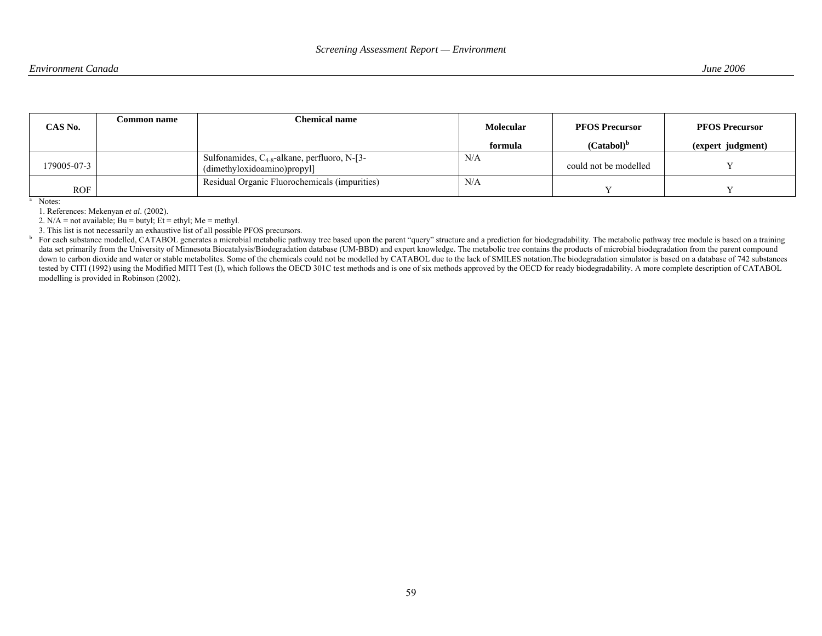| CAS No.     | <b>Common name</b> | Chemical name                                                                    | <b>Molecular</b><br>formula | <b>PFOS Precursor</b><br>$(Catabol)^b$ | <b>PFOS Precursor</b><br>(expert judgment) |
|-------------|--------------------|----------------------------------------------------------------------------------|-----------------------------|----------------------------------------|--------------------------------------------|
| 179005-07-3 |                    | Sulfonamides, $C_{4-8}$ -alkane, perfluoro, N-[3-<br>(dimethyloxidoamino)propyl] | N/A                         | could not be modelled                  |                                            |
| <b>ROF</b>  |                    | Residual Organic Fluorochemicals (impurities)                                    | N/A                         |                                        |                                            |

<sup>a</sup> Notes:

1. References: Mekenyan *et al*. (2002).

2.  $N/A$  = not available; Bu = butyl; Et = ethyl; Me = methyl.

3. This list is not necessarily an exhaustive list of all possible PFOS precursors.<br><sup>b</sup> For each substance modelled CATABOL generates a microbial metabolic path

For each substance modelled, CATABOL generates a microbial metabolic pathway tree based upon the parent "query" structure and a prediction for biodegradability. The metabolic pathway tree module is based on a training data set primarily from the University of Minnesota Biocatalysis/Biodegradation database (UM-BBD) and expert knowledge. The metabolic tree contains the products of microbial biodegradation from the parent compound down to carbon dioxide and water or stable metabolites. Some of the chemicals could not be modelled by CATABOL due to the lack of SMILES notation. The biodegradation simulator is based on a database of 742 substances tested by CITI (1992) using the Modified MITI Test (I), which follows the OECD 301C test methods and is one of six methods approved by the OECD for ready biodegradability. A more complete description of CATABOL modelling is provided in Robinson (2002).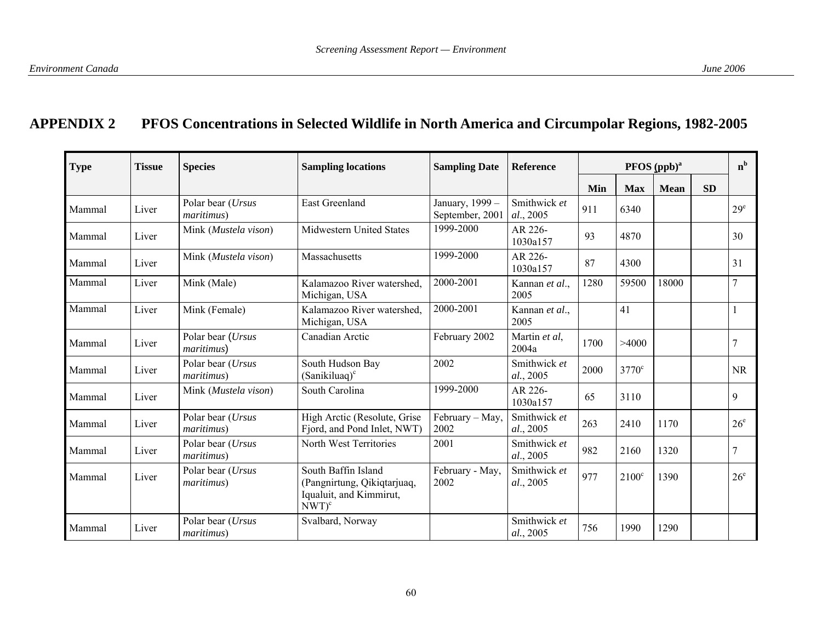# **APPENDIX 2 PFOS Concentrations in Selected Wildlife in North America and Circumpolar Regions, 1982-2005**

| <b>Type</b> | Tissue | <b>Species</b>                          | <b>Sampling locations</b>                                                                 | <b>Sampling Date</b>               | <b>Reference</b>          | PFOS (ppb) <sup>a</sup> |                |             | $n^{b}$   |                 |
|-------------|--------|-----------------------------------------|-------------------------------------------------------------------------------------------|------------------------------------|---------------------------|-------------------------|----------------|-------------|-----------|-----------------|
|             |        |                                         |                                                                                           |                                    |                           | Min                     | <b>Max</b>     | <b>Mean</b> | <b>SD</b> |                 |
| Mammal      | Liver  | Polar bear (Ursus<br><i>maritimus</i> ) | <b>East Greenland</b>                                                                     | January, 1999 -<br>September, 2001 | Smithwick et<br>al., 2005 | 911                     | 6340           |             |           | 29 <sup>e</sup> |
| Mammal      | Liver  | Mink (Mustela vison)                    | <b>Midwestern United States</b>                                                           | 1999-2000                          | AR 226-<br>1030a157       | 93                      | 4870           |             |           | 30              |
| Mammal      | Liver  | Mink (Mustela vison)                    | Massachusetts                                                                             | 1999-2000                          | AR 226-<br>1030a157       | 87                      | 4300           |             |           | 31              |
| Mammal      | Liver  | Mink (Male)                             | Kalamazoo River watershed,<br>Michigan, USA                                               | 2000-2001                          | Kannan et al.,<br>2005    | 1280                    | 59500          | 18000       |           | $\overline{ }$  |
| Mammal      | Liver  | Mink (Female)                           | Kalamazoo River watershed.<br>Michigan, USA                                               | 2000-2001                          | Kannan et al.,<br>2005    |                         | 41             |             |           |                 |
| Mammal      | Liver  | Polar bear (Ursus<br><i>maritimus</i> ) | Canadian Arctic                                                                           | February 2002                      | Martin et al.<br>2004a    | 1700                    | >4000          |             |           |                 |
| Mammal      | Liver  | Polar bear (Ursus<br><i>maritimus</i> ) | South Hudson Bay<br>$(Sanikiluaq)^c$                                                      | 2002                               | Smithwick et<br>al., 2005 | 2000                    | $3770^{\circ}$ |             |           | <b>NR</b>       |
| Mammal      | Liver  | Mink (Mustela vison)                    | South Carolina                                                                            | 1999-2000                          | AR 226-<br>1030a157       | 65                      | 3110           |             |           | 9               |
| Mammal      | Liver  | Polar bear (Ursus<br><i>maritimus</i> ) | High Arctic (Resolute, Grise)<br>Fjord, and Pond Inlet, NWT)                              | February - May,<br>2002            | Smithwick et<br>al., 2005 | 263                     | 2410           | 1170        |           | $26^{\circ}$    |
| Mammal      | Liver  | Polar bear ( <i>Ursus</i><br>maritimus) | North West Territories                                                                    | 2001                               | Smithwick et<br>al., 2005 | 982                     | 2160           | 1320        |           |                 |
| Mammal      | Liver  | Polar bear (Ursus<br><i>maritimus</i> ) | South Baffin Island<br>(Pangnirtung, Qikiqtarjuaq,<br>Iqualuit, and Kimmirut,<br>$NWT)^c$ | February - May,<br>2002            | Smithwick et<br>al., 2005 | 977                     | $2100^{\circ}$ | 1390        |           | 26 <sup>e</sup> |
| Mammal      | Liver  | Polar bear (Ursus<br><i>maritimus</i> ) | Svalbard, Norway                                                                          |                                    | Smithwick et<br>al., 2005 | 756                     | 1990           | 1290        |           |                 |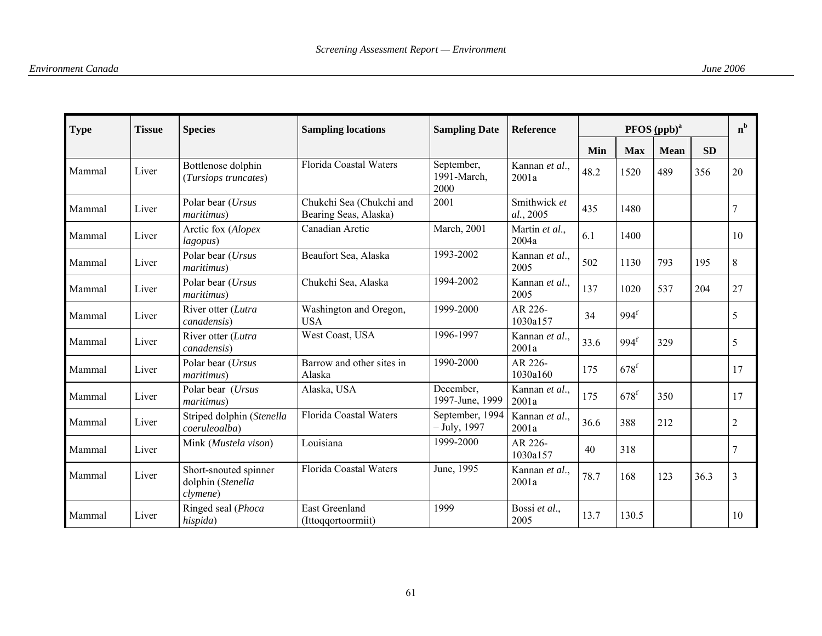| <b>Type</b><br>Tissue |       | <b>Species</b>                                         | <b>Sampling locations</b>                         | <b>Sampling Date</b>              | <b>Reference</b>          | PFOS (ppb) <sup>a</sup> |                    |             |           | $n^{b}$        |
|-----------------------|-------|--------------------------------------------------------|---------------------------------------------------|-----------------------------------|---------------------------|-------------------------|--------------------|-------------|-----------|----------------|
|                       |       |                                                        |                                                   |                                   |                           | Min                     | <b>Max</b>         | <b>Mean</b> | <b>SD</b> |                |
| Mammal                | Liver | Bottlenose dolphin<br>(Tursiops truncates)             | Florida Coastal Waters                            | September,<br>1991-March,<br>2000 | Kannan et al.,<br>2001a   | 48.2                    | 1520               | 489         | 356       | 20             |
| Mammal                | Liver | Polar bear (Ursus<br>maritimus)                        | Chukchi Sea (Chukchi and<br>Bearing Seas, Alaska) | 2001                              | Smithwick et<br>al., 2005 | 435                     | 1480               |             |           | 7              |
| Mammal                | Liver | Arctic fox (Alopex<br>lagopus)                         | Canadian Arctic                                   | <b>March</b> , 2001               | Martin et al.,<br>2004a   | 6.1                     | 1400               |             |           | 10             |
| Mammal                | Liver | Polar bear (Ursus<br>maritimus)                        | Beaufort Sea, Alaska                              | 1993-2002                         | Kannan et al.,<br>2005    | 502                     | 1130               | 793         | 195       | 8              |
| Mammal                | Liver | Polar bear (Ursus<br>maritimus)                        | Chukchi Sea, Alaska                               | 1994-2002                         | Kannan et al.,<br>2005    | 137                     | 1020               | 537         | 204       | 27             |
| Mammal                | Liver | River otter (Lutra<br>canadensis)                      | Washington and Oregon,<br><b>USA</b>              | 1999-2000                         | AR 226-<br>1030a157       | 34                      | 994 <sup>f</sup>   |             |           | 5              |
| Mammal                | Liver | River otter (Lutra<br>canadensis)                      | West Coast, USA                                   | 1996-1997                         | Kannan et al.,<br>2001a   | 33.6                    | 994 <sup>f</sup>   | 329         |           | 5              |
| Mammal                | Liver | Polar bear (Ursus<br>maritimus)                        | Barrow and other sites in<br>Alaska               | 1990-2000                         | AR 226-<br>1030a160       | 175                     | $678^{\mathrm{f}}$ |             |           | 17             |
| Mammal                | Liver | Polar bear (Ursus<br><i>maritimus</i> )                | Alaska, USA                                       | December,<br>1997-June, 1999      | Kannan et al.,<br>2001a   | 175                     | $678$ <sup>f</sup> | 350         |           | 17             |
| Mammal                | Liver | Striped dolphin (Stenella<br>coeruleoalba)             | Florida Coastal Waters                            | September, 1994<br>$-$ July, 1997 | Kannan et al.,<br>2001a   | 36.6                    | 388                | 212         |           | $\overline{c}$ |
| Mammal                | Liver | Mink (Mustela vison)                                   | Louisiana                                         | 1999-2000                         | AR 226-<br>1030a157       | 40                      | 318                |             |           | 7              |
| Mammal                | Liver | Short-snouted spinner<br>dolphin (Stenella<br>clymene) | Florida Coastal Waters                            | June, 1995                        | Kannan et al.,<br>2001a   | 78.7                    | 168                | 123         | 36.3      | 3              |
| Mammal                | Liver | Ringed seal (Phoca<br>hispida)                         | <b>East Greenland</b><br>(Ittoqqortoormiit)       | 1999                              | Bossi et al.,<br>2005     | 13.7                    | 130.5              |             |           | 10             |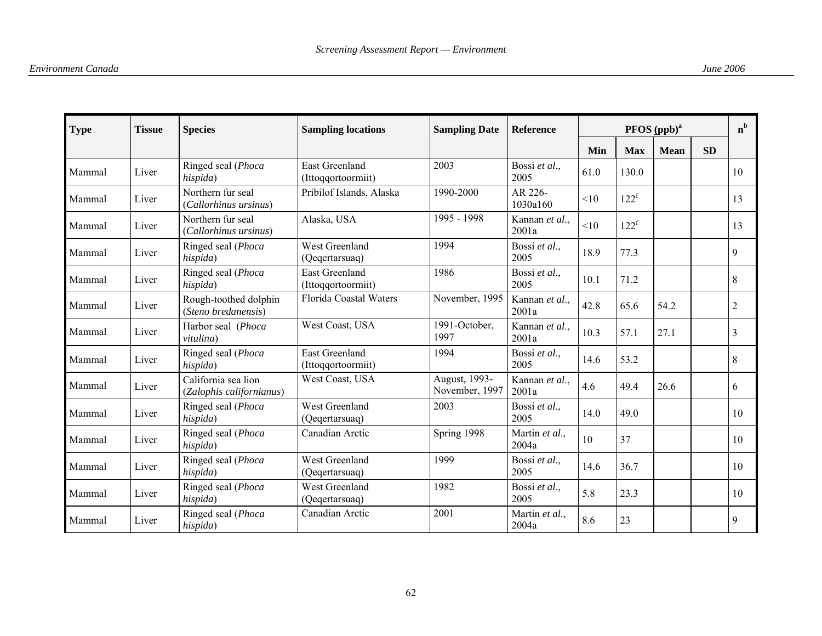| <b>Type</b><br><b>Tissue</b><br><b>Species</b><br><b>Sampling locations</b> |       | <b>Sampling Date</b>                            | <b>Reference</b>                            | PFOS (ppb) <sup>a</sup>             |                         |      |                  | $n^{b}$     |           |                |
|-----------------------------------------------------------------------------|-------|-------------------------------------------------|---------------------------------------------|-------------------------------------|-------------------------|------|------------------|-------------|-----------|----------------|
|                                                                             |       |                                                 |                                             |                                     |                         | Min  | <b>Max</b>       | <b>Mean</b> | <b>SD</b> |                |
| Mammal                                                                      | Liver | Ringed seal (Phoca<br>hispida)                  | <b>East Greenland</b><br>(Ittoqqortoormiit) | 2003                                | Bossi et al.,<br>2005   | 61.0 | 130.0            |             |           | 10             |
| Mammal                                                                      | Liver | Northern fur seal<br>(Callorhinus ursinus)      | Pribilof Islands, Alaska                    | 1990-2000                           | AR 226-<br>1030a160     | <10  | $122^f$          |             |           | 13             |
| Mammal                                                                      | Liver | Northern fur seal<br>(Callorhinus ursinus)      | Alaska, USA                                 | 1995 - 1998                         | Kannan et al.,<br>2001a | <10  | 122 <sup>f</sup> |             |           | 13             |
| Mammal                                                                      | Liver | Ringed seal (Phoca<br>hispida)                  | West Greenland<br>(Qeqertarsuaq)            | 1994                                | Bossi et al.,<br>2005   | 18.9 | 77.3             |             |           | $\mathbf Q$    |
| Mammal                                                                      | Liver | Ringed seal (Phoca<br>hispida)                  | <b>East Greenland</b><br>(Ittoqqortoormiit) | 1986                                | Bossi et al.,<br>2005   | 10.1 | 71.2             |             |           | 8              |
| Mammal                                                                      | Liver | Rough-toothed dolphin<br>(Steno bredanensis)    | Florida Coastal Waters                      | November, 1995                      | Kannan et al.,<br>2001a | 42.8 | 65.6             | 54.2        |           | $\overline{c}$ |
| Mammal                                                                      | Liver | Harbor seal (Phoca<br>vitulina)                 | West Coast, USA                             | $\overline{1991}$ -October,<br>1997 | Kannan et al.,<br>2001a | 10.3 | 57.1             | 27.1        |           | 3              |
| Mammal                                                                      | Liver | Ringed seal (Phoca<br>hispida)                  | <b>East Greenland</b><br>(Ittoqqortoormiit) | 1994                                | Bossi et al.,<br>2005   | 14.6 | 53.2             |             |           | 8              |
| Mammal                                                                      | Liver | California sea lion<br>(Zalophis californianus) | West Coast, USA                             | August, 1993-<br>November, 1997     | Kannan et al.,<br>2001a | 4.6  | 49.4             | 26.6        |           | 6              |
| Mammal                                                                      | Liver | Ringed seal (Phoca<br>hispida)                  | West Greenland<br>(Qegertarsuaq)            | 2003                                | Bossi et al.,<br>2005   | 14.0 | 49.0             |             |           | 10             |
| Mammal                                                                      | Liver | Ringed seal (Phoca<br>hispida)                  | Canadian Arctic                             | Spring 1998                         | Martin et al.,<br>2004a | 10   | 37               |             |           | 10             |
| Mammal                                                                      | Liver | Ringed seal (Phoca<br>hispida)                  | West Greenland<br>(Qegertarsuaq)            | 1999                                | Bossi et al.,<br>2005   | 14.6 | 36.7             |             |           | 10             |
| Mammal                                                                      | Liver | Ringed seal (Phoca<br>hispida)                  | West Greenland<br>(Qeqertarsuaq)            | 1982                                | Bossi et al.,<br>2005   | 5.8  | 23.3             |             |           | 10             |
| Mammal                                                                      | Liver | Ringed seal (Phoca<br>hispida)                  | Canadian Arctic                             | 2001                                | Martin et al.,<br>2004a | 8.6  | 23               |             |           | 9              |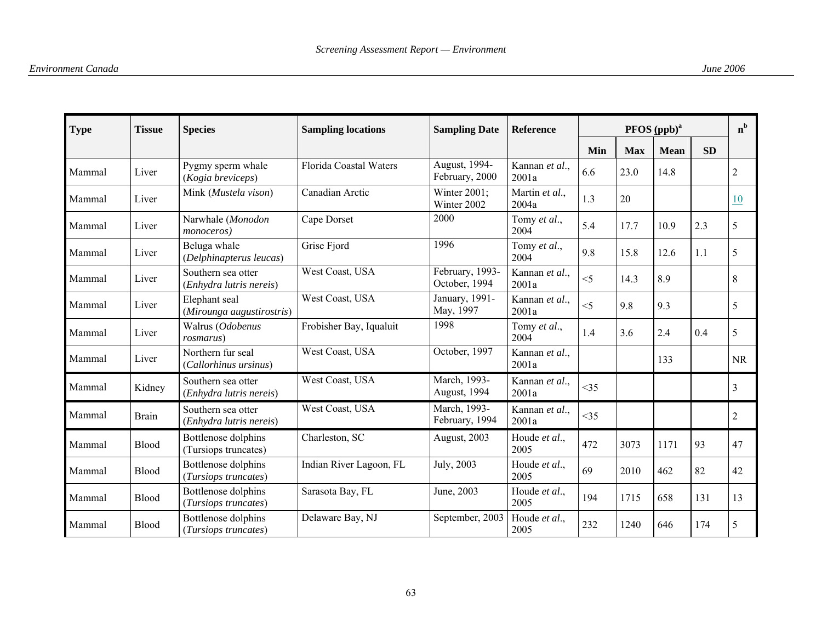| <b>Type</b> | <b>Tissue</b> | <b>Species</b>                                | <b>Sampling locations</b> | <b>Sampling Date</b>             | Reference               | PFOS (ppb) <sup>a</sup> |            |             |           | $n^{b}$        |
|-------------|---------------|-----------------------------------------------|---------------------------|----------------------------------|-------------------------|-------------------------|------------|-------------|-----------|----------------|
|             |               |                                               |                           |                                  |                         | Min                     | <b>Max</b> | <b>Mean</b> | <b>SD</b> |                |
| Mammal      | Liver         | Pygmy sperm whale<br>(Kogia breviceps)        | Florida Coastal Waters    | August, 1994-<br>February, 2000  | Kannan et al.,<br>2001a | 6.6                     | 23.0       | 14.8        |           | $\overline{2}$ |
| Mammal      | Liver         | Mink (Mustela vison)                          | Canadian Arctic           | Winter 2001;<br>Winter 2002      | Martin et al.,<br>2004a | 1.3                     | 20         |             |           | 10             |
| Mammal      | Liver         | Narwhale (Monodon<br><i>monoceros</i> )       | Cape Dorset               | 2000                             | Tomy et al.,<br>2004    | 5.4                     | 17.7       | 10.9        | 2.3       | 5              |
| Mammal      | Liver         | Beluga whale<br>(Delphinapterus leucas)       | Grise Fjord               | 1996                             | Tomy et al.,<br>2004    | 9.8                     | 15.8       | 12.6        | 1.1       | 5              |
| Mammal      | Liver         | Southern sea otter<br>(Enhydra lutris nereis) | West Coast, USA           | February, 1993-<br>October, 1994 | Kannan et al.,<br>2001a | $<$ 5                   | 14.3       | 8.9         |           | 8              |
| Mammal      | Liver         | Elephant seal<br>(Mirounga augustirostris)    | West Coast, USA           | January, 1991-<br>May, 1997      | Kannan et al.,<br>2001a | $<$ 5                   | 9.8        | 9.3         |           | 5              |
| Mammal      | Liver         | Walrus (Odobenus<br>rosmarus)                 | Frobisher Bay, Iqualuit   | 1998                             | Tomy et al.,<br>2004    | 1.4                     | 3.6        | 2.4         | 0.4       | 5              |
| Mammal      | Liver         | Northern fur seal<br>(Callorhinus ursinus)    | West Coast, USA           | October, 1997                    | Kannan et al.,<br>2001a |                         |            | 133         |           | <b>NR</b>      |
| Mammal      | Kidney        | Southern sea otter<br>(Enhydra lutris nereis) | West Coast, USA           | March, 1993-<br>August, 1994     | Kannan et al.,<br>2001a | <35                     |            |             |           | 3              |
| Mammal      | <b>Brain</b>  | Southern sea otter<br>(Enhydra lutris nereis) | West Coast, USA           | March, 1993-<br>February, 1994   | Kannan et al.,<br>2001a | <35                     |            |             |           | $\overline{c}$ |
| Mammal      | Blood         | Bottlenose dolphins<br>(Tursiops truncates)   | Charleston, SC            | August, 2003                     | Houde et al.,<br>2005   | 472                     | 3073       | 1171        | 93        | 47             |
| Mammal      | <b>Blood</b>  | Bottlenose dolphins<br>(Tursiops truncates)   | Indian River Lagoon, FL   | July, 2003                       | Houde et al.,<br>2005   | 69                      | 2010       | 462         | 82        | 42             |
| Mammal      | Blood         | Bottlenose dolphins<br>(Tursiops truncates)   | Sarasota Bay, FL          | June, 2003                       | Houde et al.,<br>2005   | 194                     | 1715       | 658         | 131       | 13             |
| Mammal      | Blood         | Bottlenose dolphins<br>(Tursiops truncates)   | Delaware Bay, NJ          | September, 2003                  | Houde et al.,<br>2005   | 232                     | 1240       | 646         | 174       | 5              |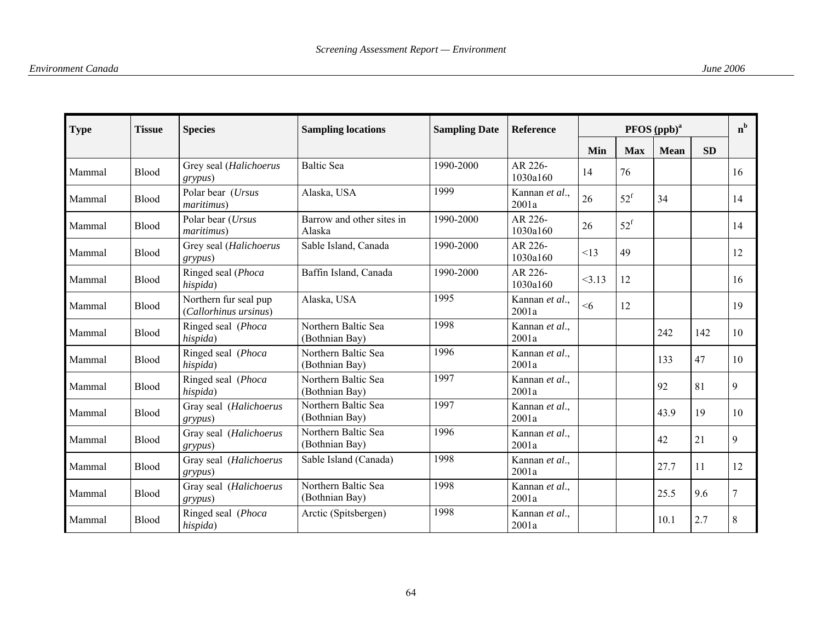| <b>Type</b> | <b>Tissue</b> | <b>Species</b>                                 | <b>Sampling locations</b>             | <b>Sampling Date</b> | <b>Reference</b>        | PFOS (ppb) <sup>a</sup> |                   |             |           |    |
|-------------|---------------|------------------------------------------------|---------------------------------------|----------------------|-------------------------|-------------------------|-------------------|-------------|-----------|----|
|             |               |                                                |                                       |                      |                         | Min                     | <b>Max</b>        | <b>Mean</b> | <b>SD</b> |    |
| Mammal      | Blood         | Grey seal (Halichoerus<br>grypus)              | <b>Baltic Sea</b>                     | 1990-2000            | AR 226-<br>1030a160     | 14                      | 76                |             |           | 16 |
| Mammal      | Blood         | Polar bear (Ursus<br><i>maritimus</i> )        | Alaska, USA                           | 1999                 | Kannan et al.,<br>2001a | 26                      | $52^{\rm f}$      | 34          |           | 14 |
| Mammal      | <b>Blood</b>  | Polar bear (Ursus<br>maritimus)                | Barrow and other sites in<br>Alaska   | 1990-2000            | AR 226-<br>1030a160     | 26                      | $52^{\mathrm{f}}$ |             |           | 14 |
| Mammal      | Blood         | Grey seal (Halichoerus<br>grypus)              | Sable Island, Canada                  | 1990-2000            | AR 226-<br>1030a160     | <13                     | 49                |             |           | 12 |
| Mammal      | Blood         | Ringed seal (Phoca<br>hispida)                 | Baffin Island, Canada                 | 1990-2000            | AR 226-<br>1030a160     | 3.13                    | 12                |             |           | 16 |
| Mammal      | <b>Blood</b>  | Northern fur seal pup<br>(Callorhinus ursinus) | Alaska, USA                           | 1995                 | Kannan et al.,<br>2001a | <6                      | 12                |             |           | 19 |
| Mammal      | Blood         | Ringed seal (Phoca<br>hispida)                 | Northern Baltic Sea<br>(Bothnian Bay) | 1998                 | Kannan et al.,<br>2001a |                         |                   | 242         | 142       | 10 |
| Mammal      | Blood         | Ringed seal (Phoca<br>hispida)                 | Northern Baltic Sea<br>(Bothnian Bay) | 1996                 | Kannan et al.,<br>2001a |                         |                   | 133         | 47        | 10 |
| Mammal      | Blood         | Ringed seal (Phoca<br>hispida)                 | Northern Baltic Sea<br>(Bothnian Bay) | 1997                 | Kannan et al.,<br>2001a |                         |                   | 92          | 81        | 9  |
| Mammal      | Blood         | Gray seal (Halichoerus<br>grypus)              | Northern Baltic Sea<br>(Bothnian Bay) | 1997                 | Kannan et al.,<br>2001a |                         |                   | 43.9        | 19        | 10 |
| Mammal      | <b>Blood</b>  | Gray seal (Halichoerus<br>grypus)              | Northern Baltic Sea<br>(Bothnian Bay) | 1996                 | Kannan et al.,<br>2001a |                         |                   | 42          | 21        | 9  |
| Mammal      | Blood         | Gray seal (Halichoerus<br>grypus)              | Sable Island (Canada)                 | 1998                 | Kannan et al.,<br>2001a |                         |                   | 27.7        | 11        | 12 |
| Mammal      | Blood         | Gray seal (Halichoerus<br>grypus)              | Northern Baltic Sea<br>(Bothnian Bay) | 1998                 | Kannan et al.,<br>2001a |                         |                   | 25.5        | 9.6       | 7  |
| Mammal      | Blood         | Ringed seal (Phoca<br>hispida)                 | Arctic (Spitsbergen)                  | 1998                 | Kannan et al.,<br>2001a |                         |                   | 10.1        | 2.7       | 8  |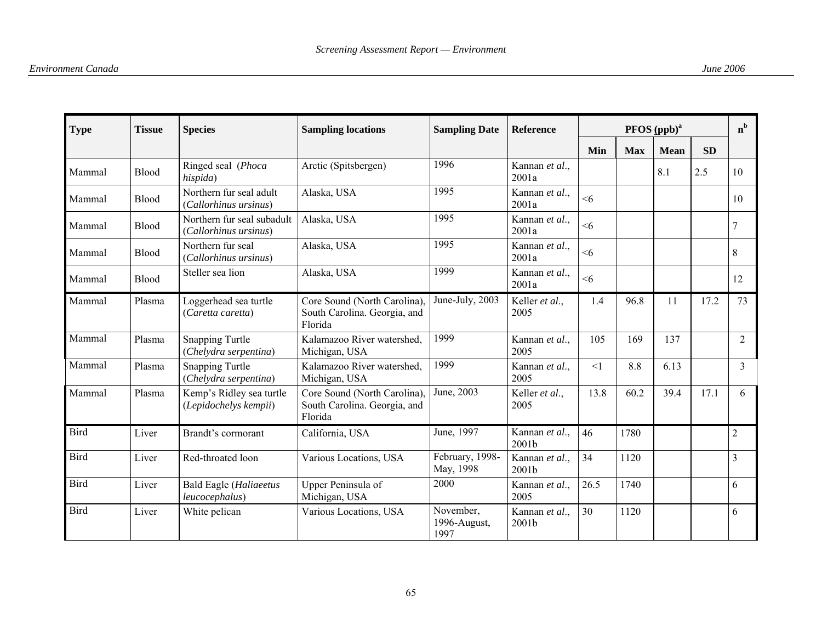| <b>Type</b> | <b>Tissue</b> | <b>Species</b>                                      | <b>Sampling locations</b>                                               | <b>Sampling Date</b>              | <b>Reference</b>        |          |            | PFOS (ppb) <sup>a</sup> |           | $n^{b}$        |
|-------------|---------------|-----------------------------------------------------|-------------------------------------------------------------------------|-----------------------------------|-------------------------|----------|------------|-------------------------|-----------|----------------|
|             |               |                                                     |                                                                         |                                   |                         | Min      | <b>Max</b> | <b>Mean</b>             | <b>SD</b> |                |
| Mammal      | <b>Blood</b>  | Ringed seal (Phoca<br>hispida)                      | Arctic (Spitsbergen)                                                    | 1996                              | Kannan et al.,<br>2001a |          |            | 8.1                     | 2.5       | 10             |
| Mammal      | Blood         | Northern fur seal adult<br>(Callorhinus ursinus)    | Alaska, USA                                                             | 1995                              | Kannan et al.,<br>2001a | <6       |            |                         |           | 10             |
| Mammal      | Blood         | Northern fur seal subadult<br>(Callorhinus ursinus) | Alaska, USA                                                             | 1995                              | Kannan et al.,<br>2001a | $\leq 6$ |            |                         |           | 7              |
| Mammal      | Blood         | Northern fur seal<br>(Callorhinus ursinus)          | Alaska, USA                                                             | 1995                              | Kannan et al.,<br>2001a | <6       |            |                         |           | 8              |
| Mammal      | Blood         | Steller sea lion                                    | Alaska, USA                                                             | 1999                              | Kannan et al.,<br>2001a | <6       |            |                         |           | 12             |
| Mammal      | Plasma        | Loggerhead sea turtle<br>(Caretta caretta)          | Core Sound (North Carolina),<br>South Carolina. Georgia, and<br>Florida | June-July, 2003                   | Keller et al.,<br>2005  | 1.4      | 96.8       | 11                      | 17.2      | 73             |
| Mammal      | Plasma        | <b>Snapping Turtle</b><br>(Chelydra serpentina)     | Kalamazoo River watershed.<br>Michigan, USA                             | 1999                              | Kannan et al.,<br>2005  | 105      | 169        | 137                     |           | $\overline{2}$ |
| Mammal      | Plasma        | <b>Snapping Turtle</b><br>(Chelydra serpentina)     | Kalamazoo River watershed.<br>Michigan, USA                             | 1999                              | Kannan et al.,<br>2005  | <1       | 8.8        | 6.13                    |           | 3              |
| Mammal      | Plasma        | Kemp's Ridley sea turtle<br>(Lepidochelys kempii)   | Core Sound (North Carolina),<br>South Carolina. Georgia, and<br>Florida | June, 2003                        | Keller et al.,<br>2005  | 13.8     | 60.2       | 39.4                    | 17.1      | 6              |
| <b>Bird</b> | Liver         | Brandt's cormorant                                  | California, USA                                                         | June, 1997                        | Kannan et al.,<br>2001b | 46       | 1780       |                         |           | $\overline{2}$ |
| <b>Bird</b> | Liver         | Red-throated loon                                   | Various Locations, USA                                                  | February, 1998-<br>May, 1998      | Kannan et al.,<br>2001b | 34       | 1120       |                         |           | $\overline{3}$ |
| <b>Bird</b> | Liver         | <b>Bald Eagle (Haliaeetus</b><br>leucocephalus)     | Upper Peninsula of<br>Michigan, USA                                     | 2000                              | Kannan et al.,<br>2005  | 26.5     | 1740       |                         |           | 6              |
| <b>Bird</b> | Liver         | White pelican                                       | Various Locations, USA                                                  | November,<br>1996-August,<br>1997 | Kannan et al.,<br>2001b | 30       | 1120       |                         |           | 6              |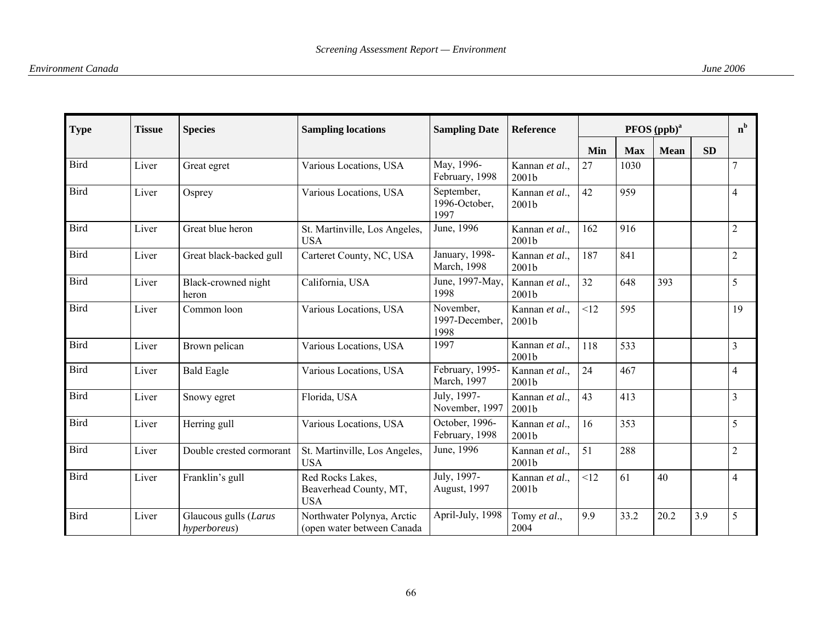| <b>Type</b> | <b>Tissue</b> | <b>Species</b>                        | <b>Sampling locations</b>                                | <b>Sampling Date</b>                | <b>Reference</b>        |     |            | PFOS (ppb) <sup>a</sup> |           | $n^{b}$        |
|-------------|---------------|---------------------------------------|----------------------------------------------------------|-------------------------------------|-------------------------|-----|------------|-------------------------|-----------|----------------|
|             |               |                                       |                                                          |                                     |                         | Min | <b>Max</b> | <b>Mean</b>             | <b>SD</b> |                |
| <b>Bird</b> | Liver         | Great egret                           | Various Locations, USA                                   | May, 1996-<br>February, 1998        | Kannan et al.,<br>2001b | 27  | 1030       |                         |           | $\overline{7}$ |
| <b>Bird</b> | Liver         | Osprey                                | Various Locations, USA                                   | September,<br>1996-October,<br>1997 | Kannan et al.,<br>2001b | 42  | 959        |                         |           | $\overline{4}$ |
| <b>Bird</b> | Liver         | Great blue heron                      | St. Martinville, Los Angeles,<br><b>USA</b>              | June, 1996                          | Kannan et al.,<br>2001b | 162 | 916        |                         |           | $\overline{2}$ |
| <b>Bird</b> | Liver         | Great black-backed gull               | Carteret County, NC, USA                                 | January, 1998-<br>March, 1998       | Kannan et al.,<br>2001b | 187 | 841        |                         |           | $\overline{2}$ |
| <b>Bird</b> | Liver         | Black-crowned night<br>heron          | California, USA                                          | June, 1997-May,<br>1998             | Kannan et al.,<br>2001b | 32  | 648        | 393                     |           | 5              |
| Bird        | Liver         | Common loon                           | Various Locations, USA                                   | November,<br>1997-December,<br>1998 | Kannan et al.,<br>2001b | <12 | 595        |                         |           | 19             |
| <b>Bird</b> | Liver         | Brown pelican                         | Various Locations, USA                                   | 1997                                | Kannan et al.,<br>2001b | 118 | 533        |                         |           | $\overline{3}$ |
| <b>Bird</b> | Liver         | <b>Bald Eagle</b>                     | Various Locations, USA                                   | February, 1995-<br>March, 1997      | Kannan et al.,<br>2001b | 24  | 467        |                         |           | $\overline{4}$ |
| <b>Bird</b> | Liver         | Snowy egret                           | Florida, USA                                             | July, 1997-<br>November, 1997       | Kannan et al.,<br>2001b | 43  | 413        |                         |           | $\overline{3}$ |
| <b>Bird</b> | Liver         | Herring gull                          | Various Locations, USA                                   | October, 1996-<br>February, 1998    | Kannan et al.,<br>2001b | 16  | 353        |                         |           | 5              |
| <b>Bird</b> | Liver         | Double crested cormorant              | St. Martinville, Los Angeles,<br><b>USA</b>              | June, 1996                          | Kannan et al.,<br>2001b | 51  | 288        |                         |           | $\overline{2}$ |
| Bird        | Liver         | Franklin's gull                       | Red Rocks Lakes,<br>Beaverhead County, MT,<br><b>USA</b> | July, 1997-<br>August, 1997         | Kannan et al.,<br>2001b | <12 | 61         | 40                      |           | $\overline{4}$ |
| <b>Bird</b> | Liver         | Glaucous gulls (Larus<br>hyperboreus) | Northwater Polynya, Arctic<br>(open water between Canada | April-July, 1998                    | Tomy et al.,<br>2004    | 9.9 | 33.2       | 20.2                    | 3.9       | 5              |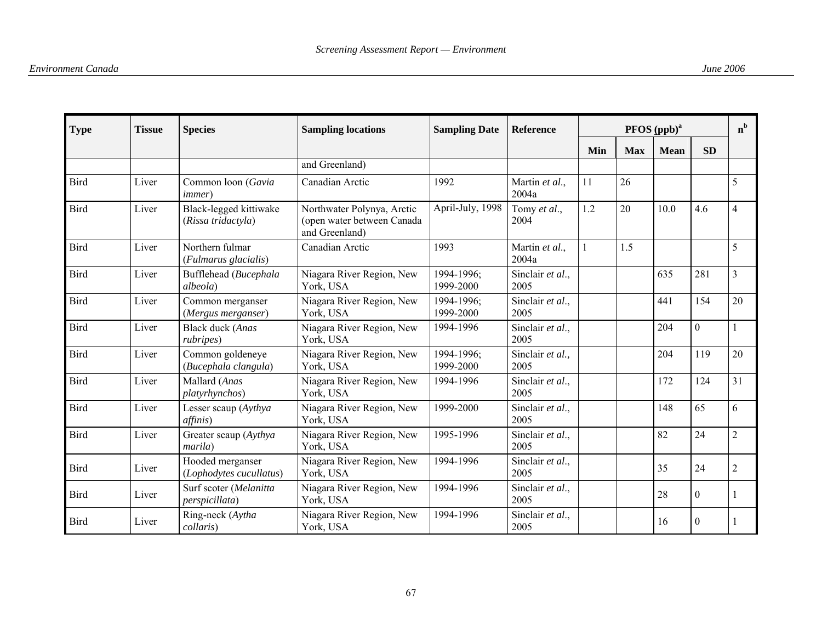| <b>Type</b> | <b>Tissue</b> | <b>Species</b>                               | <b>Sampling locations</b>                                                  | <b>Sampling Date</b>    | <b>Reference</b>         |     | $n^{b}$    |             |                  |                |
|-------------|---------------|----------------------------------------------|----------------------------------------------------------------------------|-------------------------|--------------------------|-----|------------|-------------|------------------|----------------|
|             |               |                                              |                                                                            |                         |                          | Min | <b>Max</b> | <b>Mean</b> | <b>SD</b>        |                |
|             |               |                                              | and Greenland)                                                             |                         |                          |     |            |             |                  |                |
| <b>Bird</b> | Liver         | Common loon (Gavia<br><i>immer</i> )         | Canadian Arctic                                                            | 1992                    | Martin et al.,<br>2004a  | 11  | 26         |             |                  | 5              |
| Bird        | Liver         | Black-legged kittiwake<br>(Rissa tridactyla) | Northwater Polynya, Arctic<br>(open water between Canada<br>and Greenland) | April-July, 1998        | Tomy et al.,<br>2004     | 1.2 | 20         | 10.0        | 4.6              | 4              |
| Bird        | Liver         | Northern fulmar<br>(Fulmarus glacialis)      | Canadian Arctic                                                            | 1993                    | Martin et al.,<br>2004a  |     | 1.5        |             |                  | 5              |
| Bird        | Liver         | Bufflehead (Bucephala<br>albeola)            | Niagara River Region, New<br>York, USA                                     | 1994-1996;<br>1999-2000 | Sinclair et al.,<br>2005 |     |            | 635         | 281              | 3              |
| <b>Bird</b> | Liver         | Common merganser<br>(Mergus merganser)       | Niagara River Region, New<br>York, USA                                     | 1994-1996:<br>1999-2000 | Sinclair et al.,<br>2005 |     |            | 441         | 154              | 20             |
| <b>Bird</b> | Liver         | Black duck (Anas<br>rubripes)                | Niagara River Region, New<br>York, USA                                     | 1994-1996               | Sinclair et al.,<br>2005 |     |            | 204         | $\mathbf{0}$     |                |
| Bird        | Liver         | Common goldeneye<br>(Bucephala clangula)     | Niagara River Region, New<br>York, USA                                     | 1994-1996;<br>1999-2000 | Sinclair et al.,<br>2005 |     |            | 204         | 119              | 20             |
| Bird        | Liver         | Mallard (Anas<br>platyrhynchos)              | Niagara River Region, New<br>York, USA                                     | 1994-1996               | Sinclair et al.,<br>2005 |     |            | 172         | 124              | 31             |
| Bird        | Liver         | Lesser scaup (Aythya<br><i>affinis</i> )     | Niagara River Region, New<br>York, USA                                     | 1999-2000               | Sinclair et al.,<br>2005 |     |            | 148         | 65               | 6              |
| <b>Bird</b> | Liver         | Greater scaup (Aythya<br>marila)             | Niagara River Region, New<br>York, USA                                     | 1995-1996               | Sinclair et al.,<br>2005 |     |            | 82          | 24               | $\overline{2}$ |
| <b>Bird</b> | Liver         | Hooded merganser<br>(Lophodytes cucullatus)  | Niagara River Region, New<br>York, USA                                     | 1994-1996               | Sinclair et al.,<br>2005 |     |            | 35          | 24               | $\overline{c}$ |
| <b>Bird</b> | Liver         | Surf scoter (Melanitta<br>perspicillata)     | Niagara River Region, New<br>York, USA                                     | 1994-1996               | Sinclair et al.,<br>2005 |     |            | 28          | $\boldsymbol{0}$ |                |
| <b>Bird</b> | Liver         | Ring-neck (Aytha<br>collaris)                | Niagara River Region, New<br>York, USA                                     | 1994-1996               | Sinclair et al.,<br>2005 |     |            | 16          | $\Omega$         |                |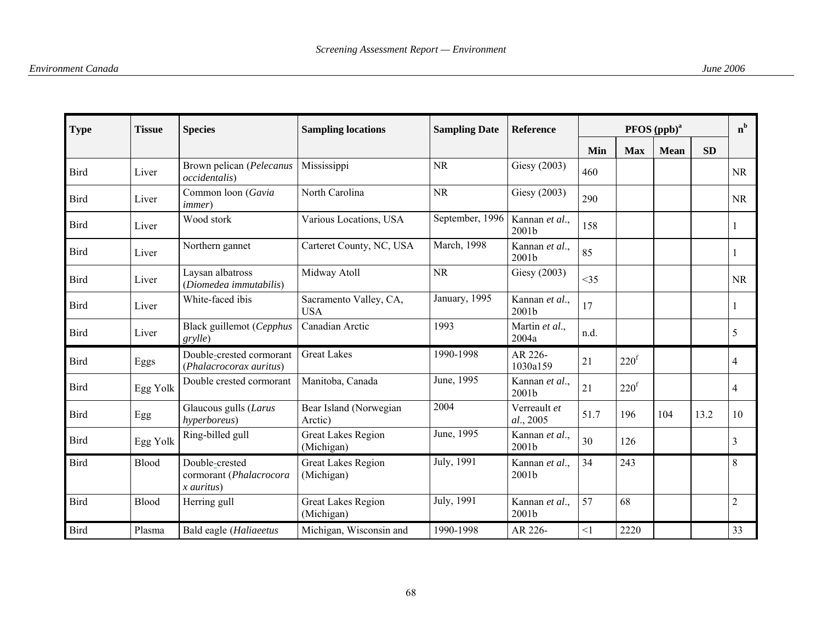| <b>Type</b> | <b>Tissue</b> | <b>Species</b>                                            | <b>Sampling locations</b>               | <b>Sampling Date</b> | <b>Reference</b>                    |          |                  | PFOS (ppb) <sup>a</sup> |           | $n^{b}$        |
|-------------|---------------|-----------------------------------------------------------|-----------------------------------------|----------------------|-------------------------------------|----------|------------------|-------------------------|-----------|----------------|
|             |               |                                                           |                                         |                      |                                     | Min      | <b>Max</b>       | <b>Mean</b>             | <b>SD</b> |                |
| <b>Bird</b> | Liver         | Brown pelican (Pelecanus<br><i>occidentalis</i> )         | Mississippi                             | <b>NR</b>            | Giesy (2003)                        | 460      |                  |                         |           | <b>NR</b>      |
| <b>Bird</b> | Liver         | Common loon (Gavia<br><i>immer</i> )                      | North Carolina                          | <b>NR</b>            | Giesy (2003)                        | 290      |                  |                         |           | <b>NR</b>      |
| <b>Bird</b> | Liver         | Wood stork                                                | Various Locations, USA                  | September, 1996      | Kannan et al.,<br>2001b             | 158      |                  |                         |           |                |
| <b>Bird</b> | Liver         | Northern gannet                                           | Carteret County, NC, USA                | March, 1998          | Kannan et al.,<br>2001b             | 85       |                  |                         |           |                |
| <b>Bird</b> | Liver         | Laysan albatross<br>(Diomedea immutabilis)                | Midway Atoll                            | <b>NR</b>            | Giesy (2003)                        | <35      |                  |                         |           | <b>NR</b>      |
| <b>Bird</b> | Liver         | White-faced ibis                                          | Sacramento Valley, CA,<br><b>USA</b>    | January, 1995        | Kannan et al.,<br>2001b             | 17       |                  |                         |           |                |
| <b>Bird</b> | Liver         | Black guillemot (Cepphus<br>grylle)                       | Canadian Arctic                         | 1993                 | Martin et al.,<br>2004a             | n.d.     |                  |                         |           | 5              |
| <b>Bird</b> | Eggs          | Double-crested cormorant<br>(Phalacrocorax auritus)       | <b>Great Lakes</b>                      | 1990-1998            | AR 226-<br>1030a159                 | 21       | 220 <sup>f</sup> |                         |           | 4              |
| <b>Bird</b> | Egg Yolk      | Double crested cormorant                                  | Manitoba, Canada                        | June, 1995           | Kannan et al.,<br>2001b             | 21       | 220 <sup>f</sup> |                         |           | 4              |
| <b>Bird</b> | Egg           | Glaucous gulls (Larus<br>hyperboreus)                     | Bear Island (Norwegian<br>Arctic)       | 2004                 | Verreault et<br>al., 2005           | 51.7     | 196              | 104                     | 13.2      | 10             |
| <b>Bird</b> | Egg Yolk      | Ring-billed gull                                          | <b>Great Lakes Region</b><br>(Michigan) | June, 1995           | Kannan et al.,<br>2001b             | 30       | 126              |                         |           | 3              |
| <b>Bird</b> | <b>Blood</b>  | Double-crested<br>cormorant (Phalacrocora<br>$x$ auritus) | <b>Great Lakes Region</b><br>(Michigan) | July, 1991           | Kannan et al.,<br>2001 <sub>b</sub> | 34       | 243              |                         |           | 8              |
| <b>Bird</b> | Blood         | Herring gull                                              | <b>Great Lakes Region</b><br>(Michigan) | July, 1991           | Kannan et al.,<br>2001b             | 57       | 68               |                         |           | $\overline{2}$ |
| Bird        | Plasma        | Bald eagle (Haliaeetus                                    | Michigan, Wisconsin and                 | 1990-1998            | AR 226-                             | $\leq$ 1 | 2220             |                         |           | 33             |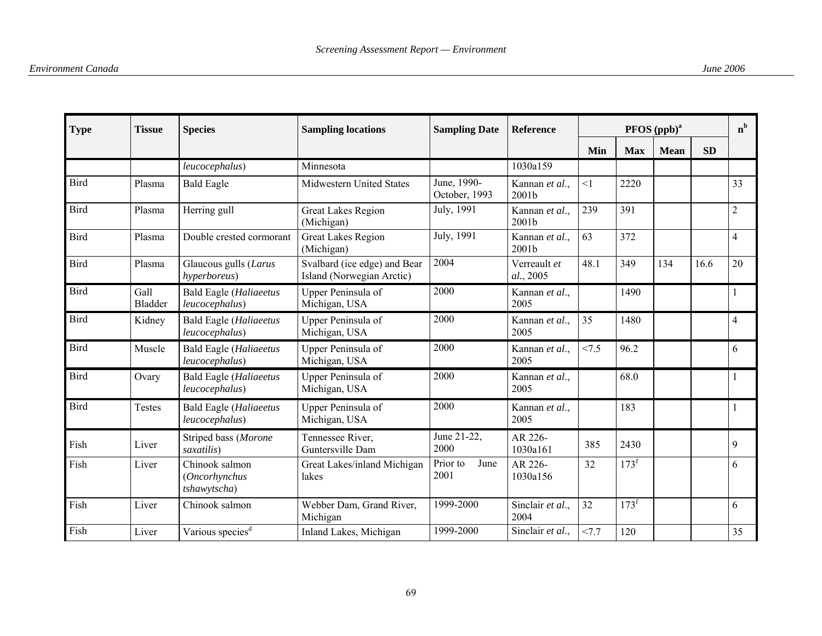| <b>Type</b> | <b>Tissue</b>   | <b>Species</b>                                  | <b>Sampling locations</b>                                 | <b>Sampling Date</b>         | <b>Reference</b>          |          | $n^{b}$          |             |           |                |
|-------------|-----------------|-------------------------------------------------|-----------------------------------------------------------|------------------------------|---------------------------|----------|------------------|-------------|-----------|----------------|
|             |                 |                                                 |                                                           |                              |                           | Min      | <b>Max</b>       | <b>Mean</b> | <b>SD</b> |                |
|             |                 | leucocephalus)                                  | Minnesota                                                 |                              | 1030a159                  |          |                  |             |           |                |
| Bird        | Plasma          | <b>Bald Eagle</b>                               | Midwestern United States                                  | June, 1990-<br>October, 1993 | Kannan et al.,<br>2001b   | $\leq$ 1 | 2220             |             |           | 33             |
| Bird        | Plasma          | Herring gull                                    | <b>Great Lakes Region</b><br>(Michigan)                   | July, 1991                   | Kannan et al.,<br>2001b   | 239      | 391              |             |           | $\overline{c}$ |
| <b>Bird</b> | Plasma          | Double crested cormorant                        | <b>Great Lakes Region</b><br>(Michigan)                   | July, 1991                   | Kannan et al.,<br>2001b   | 63       | 372              |             |           | $\overline{4}$ |
| Bird        | Plasma          | Glaucous gulls (Larus<br>hyperboreus)           | Svalbard (ice edge) and Bear<br>Island (Norwegian Arctic) | 2004                         | Verreault et<br>al., 2005 | 48.1     | 349              | 134         | 16.6      | 20             |
| Bird        | Gall<br>Bladder | <b>Bald Eagle (Haliaeetus</b><br>leucocephalus) | Upper Peninsula of<br>Michigan, USA                       | 2000                         | Kannan et al.,<br>2005    |          | 1490             |             |           |                |
| Bird        | Kidney          | <b>Bald Eagle (Haliaeetus</b><br>leucocephalus) | Upper Peninsula of<br>Michigan, USA                       | 2000                         | Kannan et al.,<br>2005    | 35       | 1480             |             |           | 4              |
| Bird        | Muscle          | <b>Bald Eagle (Haliaeetus</b><br>leucocephalus) | Upper Peninsula of<br>Michigan, USA                       | 2000                         | Kannan et al.,<br>2005    | < 7.5    | 96.2             |             |           | 6              |
| Bird        | Ovary           | <b>Bald Eagle (Haliaeetus</b><br>leucocephalus) | Upper Peninsula of<br>Michigan, USA                       | 2000                         | Kannan et al.,<br>2005    |          | 68.0             |             |           |                |
| Bird        | Testes          | <b>Bald Eagle (Haliaeetus</b><br>leucocephalus) | Upper Peninsula of<br>Michigan, USA                       | 2000                         | Kannan et al.,<br>2005    |          | 183              |             |           |                |
| Fish        | Liver           | Striped bass (Morone<br>saxatilis)              | Tennessee River,<br>Guntersville Dam                      | June 21-22,<br>2000          | AR 226-<br>1030a161       | 385      | 2430             |             |           | 9              |
| Fish        | Liver           | Chinook salmon<br>(Oncorhynchus<br>tshawytscha) | Great Lakes/inland Michigan<br>lakes                      | Prior to<br>June<br>2001     | AR 226-<br>1030a156       | 32       | 173 <sup>f</sup> |             |           | 6              |
| Fish        | Liver           | Chinook salmon                                  | Webber Dam, Grand River,<br>Michigan                      | 1999-2000                    | Sinclair et al.,<br>2004  | 32       | $173^f$          |             |           | 6              |
| Fish        | Liver           | Various species <sup>d</sup>                    | Inland Lakes, Michigan                                    | 1999-2000                    | Sinclair et al.,          | <7.7     | 120              |             |           | 35             |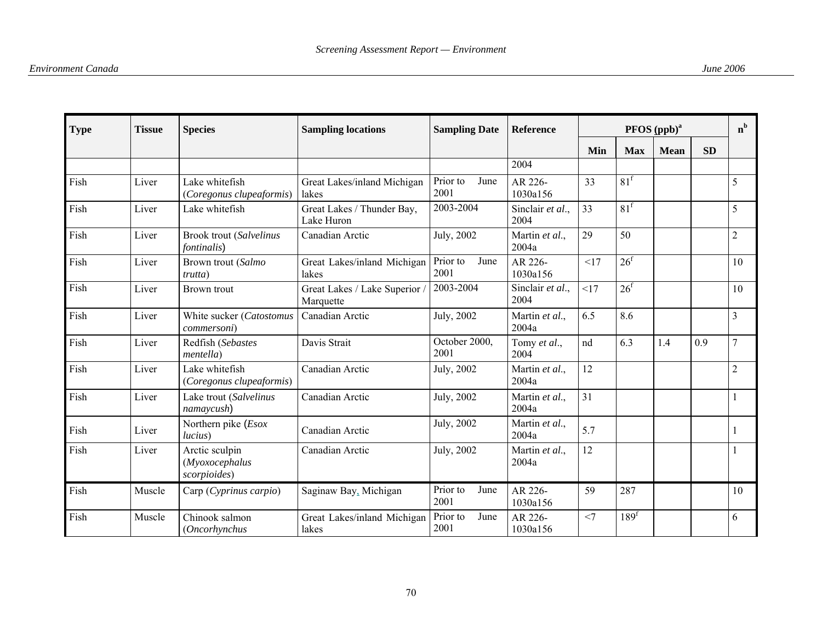| <b>Type</b> | <b>Tissue</b> | <b>Species</b>                                   | <b>Sampling locations</b>                | <b>Sampling Date</b>     | <b>Reference</b>         |     | PFOS (ppb) <sup>a</sup> |             |           |                |  |  |
|-------------|---------------|--------------------------------------------------|------------------------------------------|--------------------------|--------------------------|-----|-------------------------|-------------|-----------|----------------|--|--|
|             |               |                                                  |                                          |                          |                          | Min | <b>Max</b>              | <b>Mean</b> | <b>SD</b> |                |  |  |
|             |               |                                                  |                                          |                          | 2004                     |     |                         |             |           |                |  |  |
| Fish        | Liver         | Lake whitefish<br>(Coregonus clupeaformis)       | Great Lakes/inland Michigan<br>lakes     | Prior to<br>June<br>2001 | AR 226-<br>1030a156      | 33  | 81 <sup>f</sup>         |             |           | 5              |  |  |
| Fish        | Liver         | Lake whitefish                                   | Great Lakes / Thunder Bay,<br>Lake Huron | 2003-2004                | Sinclair et al.,<br>2004 | 33  | 81 <sup>f</sup>         |             |           | 5              |  |  |
| Fish        | Liver         | Brook trout (Salvelinus<br><i>fontinalis</i> )   | Canadian Arctic                          | July, 2002               | Martin et al.,<br>2004a  | 29  | 50                      |             |           | $\overline{c}$ |  |  |
| Fish        | Liver         | Brown trout (Salmo<br><i>trutta</i> )            | Great Lakes/inland Michigan<br>lakes     | Prior to<br>June<br>2001 | AR 226-<br>1030a156      | <17 | 26 <sup>f</sup>         |             |           | 10             |  |  |
| Fish        | Liver         | Brown trout                                      | Great Lakes / Lake Superior<br>Marquette | 2003-2004                | Sinclair et al.,<br>2004 | <17 | 26 <sup>f</sup>         |             |           | 10             |  |  |
| Fish        | Liver         | White sucker (Catostomus<br><i>commersoni</i> )  | Canadian Arctic                          | July, 2002               | Martin et al.,<br>2004a  | 6.5 | 8.6                     |             |           | $\overline{3}$ |  |  |
| Fish        | Liver         | Redfish (Sebastes<br><i>mentella</i> )           | Davis Strait                             | October 2000,<br>2001    | Tomy et al.,<br>2004     | nd  | 6.3                     | 1.4         | 0.9       | 7              |  |  |
| Fish        | Liver         | Lake whitefish<br>(Coregonus clupeaformis)       | Canadian Arctic                          | July, 2002               | Martin et al.,<br>2004a  | 12  |                         |             |           | $\overline{2}$ |  |  |
| Fish        | Liver         | Lake trout (Salvelinus<br>namaycush)             | Canadian Arctic                          | July, 2002               | Martin et al.,<br>2004a  | 31  |                         |             |           |                |  |  |
| Fish        | Liver         | Northern pike (Esox<br>lucius)                   | Canadian Arctic                          | July, 2002               | Martin et al.,<br>2004a  | 5.7 |                         |             |           |                |  |  |
| Fish        | Liver         | Arctic sculpin<br>(Myoxocephalus<br>scorpioides) | Canadian Arctic                          | July, 2002               | Martin et al.,<br>2004a  | 12  |                         |             |           |                |  |  |
| Fish        | Muscle        | Carp (Cyprinus carpio)                           | Saginaw Bay, Michigan                    | Prior to<br>June<br>2001 | AR 226-<br>1030a156      | 59  | 287                     |             |           | 10             |  |  |
| Fish        | Muscle        | Chinook salmon<br>(Oncorhynchus                  | Great Lakes/inland Michigan<br>lakes     | Prior to<br>June<br>2001 | AR 226-<br>1030a156      | <7  | 189 <sup>f</sup>        |             |           | 6              |  |  |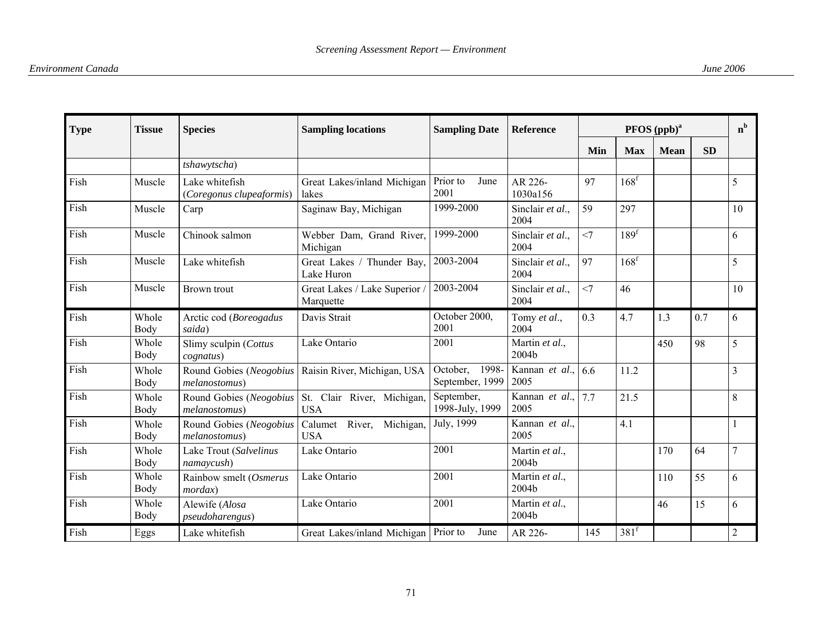| <b>Type</b> | <b>Tissue</b> | <b>Species</b>                             | <b>Sampling locations</b>                    | <b>Sampling Date</b>                 | <b>Reference</b>             |       | $n^{b}$          |             |           |                |
|-------------|---------------|--------------------------------------------|----------------------------------------------|--------------------------------------|------------------------------|-------|------------------|-------------|-----------|----------------|
|             |               |                                            |                                              |                                      |                              | Min   | <b>Max</b>       | <b>Mean</b> | <b>SD</b> |                |
|             |               | tshawytscha)                               |                                              |                                      |                              |       |                  |             |           |                |
| Fish        | Muscle        | Lake whitefish<br>(Coregonus clupeaformis) | Great Lakes/inland Michigan<br>lakes         | Prior to<br>June<br>2001             | AR 226-<br>1030a156          | 97    | 168 <sup>f</sup> |             |           | 5              |
| Fish        | Muscle        | Carp                                       | Saginaw Bay, Michigan                        | 1999-2000                            | Sinclair et al.,<br>2004     | 59    | 297              |             |           | 10             |
| Fish        | Muscle        | Chinook salmon                             | Webber Dam, Grand River,<br>Michigan         | 1999-2000                            | Sinclair et al.,<br>2004     | $<$ 7 | 189 <sup>f</sup> |             |           | 6              |
| Fish        | Muscle        | Lake whitefish                             | Great Lakes / Thunder Bay,<br>Lake Huron     | 2003-2004                            | Sinclair et al.,<br>2004     | 97    | 168 <sup>f</sup> |             |           | 5              |
| Fish        | Muscle        | <b>Brown</b> trout                         | Great Lakes / Lake Superior /<br>Marquette   | 2003-2004                            | Sinclair et al.,<br>2004     | <7    | 46               |             |           | 10             |
| Fish        | Whole<br>Body | Arctic cod (Boreogadus<br>saida)           | Davis Strait                                 | October 2000,<br>2001                | Tomy et al.,<br>2004         | 0.3   | 4.7              | 1.3         | 0.7       | 6              |
| Fish        | Whole<br>Body | Slimy sculpin (Cottus<br>cognatus)         | Lake Ontario                                 | 2001                                 | Martin et al.,<br>2004b      |       |                  | 450         | 98        | 5              |
| Fish        | Whole<br>Body | Round Gobies (Neogobius<br>melanostomus)   | Raisin River, Michigan, USA                  | 1998-<br>October,<br>September, 1999 | Kannan et al., $6.6$<br>2005 |       | 11.2             |             |           | $\overline{3}$ |
| Fish        | Whole<br>Body | Round Gobies (Neogobius<br>melanostomus)   | St. Clair River, Michigan,<br><b>USA</b>     | September,<br>1998-July, 1999        | Kannan et al.,<br>2005       | 7.7   | 21.5             |             |           | 8              |
| Fish        | Whole<br>Body | Round Gobies (Neogobius<br>melanostomus)   | Calumet<br>River,<br>Michigan,<br><b>USA</b> | July, 1999                           | Kannan et al.,<br>2005       |       | 4.1              |             |           |                |
| Fish        | Whole<br>Body | Lake Trout (Salvelinus<br>namaycush)       | Lake Ontario                                 | 2001                                 | Martin et al.,<br>2004b      |       |                  | 170         | 64        | 7              |
| Fish        | Whole<br>Body | Rainbow smelt (Osmerus<br>mordax)          | Lake Ontario                                 | 2001                                 | Martin et al.,<br>2004b      |       |                  | 110         | 55        | 6              |
| Fish        | Whole<br>Body | Alewife (Alosa<br>pseudoharengus)          | Lake Ontario                                 | 2001                                 | Martin et al.,<br>2004b      |       |                  | 46          | 15        | 6              |
| Fish        | Eggs          | Lake whitefish                             | Great Lakes/inland Michigan                  | Prior to<br>June                     | AR 226-                      | 145   | 381 <sup>f</sup> |             |           | $\overline{2}$ |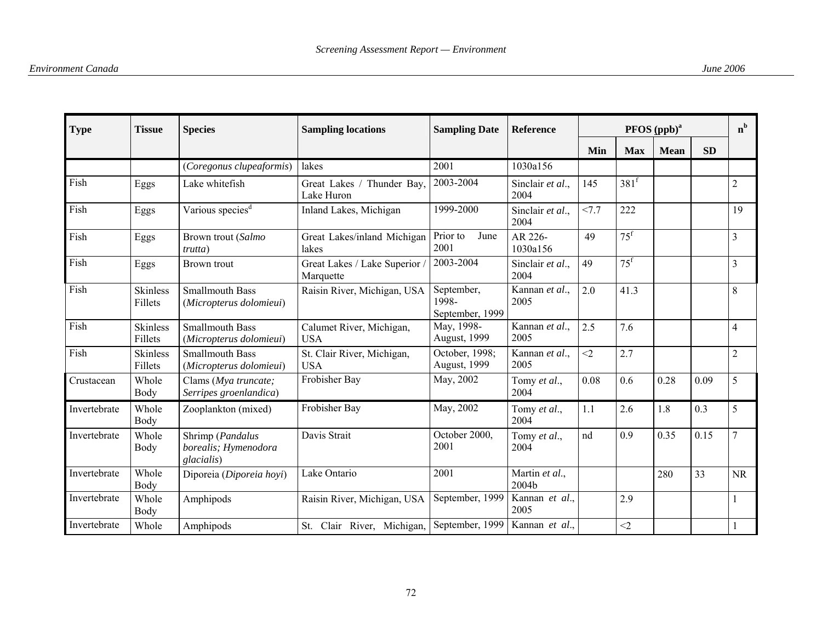| <b>Type</b>  | <b>Tissue</b>              | <b>Species</b>                                         | <b>Sampling locations</b>                | <b>Sampling Date</b>                   | <b>Reference</b>         |          |                   | PFOS (ppb) <sup>a</sup> |           | $n^{b}$        |
|--------------|----------------------------|--------------------------------------------------------|------------------------------------------|----------------------------------------|--------------------------|----------|-------------------|-------------------------|-----------|----------------|
|              |                            |                                                        |                                          |                                        |                          | Min      | <b>Max</b>        | <b>Mean</b>             | <b>SD</b> |                |
|              |                            | (Coregonus clupeaformis)                               | lakes                                    | 2001                                   | 1030a156                 |          |                   |                         |           |                |
| Fish         | Eggs                       | Lake whitefish                                         | Great Lakes / Thunder Bay,<br>Lake Huron | 2003-2004                              | Sinclair et al.,<br>2004 | 145      | 381 <sup>f</sup>  |                         |           | $\overline{c}$ |
| Fish         | Eggs                       | Various species <sup>d</sup>                           | Inland Lakes, Michigan                   | 1999-2000                              | Sinclair et al.,<br>2004 | 27.7     | 222               |                         |           | 19             |
| Fish         | Eggs                       | Brown trout (Salmo<br>trutta)                          | Great Lakes/inland Michigan<br>lakes     | Prior to<br>June<br>2001               | AR 226-<br>1030a156      | 49       | $75^{\mathrm{f}}$ |                         |           | 3              |
| Fish         | Eggs                       | Brown trout                                            | Great Lakes / Lake Superior<br>Marquette | 2003-2004                              | Sinclair et al.,<br>2004 | 49       | 75 <sup>f</sup>   |                         |           | 3              |
| Fish         | <b>Skinless</b><br>Fillets | <b>Smallmouth Bass</b><br>(Micropterus dolomieui)      | Raisin River, Michigan, USA              | September,<br>1998-<br>September, 1999 | Kannan et al.,<br>2005   | 2.0      | 41.3              |                         |           | 8              |
| Fish         | <b>Skinless</b><br>Fillets | <b>Smallmouth Bass</b><br>(Micropterus dolomieui)      | Calumet River, Michigan,<br><b>USA</b>   | May, 1998-<br>August, 1999             | Kannan et al.,<br>2005   | 2.5      | 7.6               |                         |           | 4              |
| Fish         | <b>Skinless</b><br>Fillets | <b>Smallmouth Bass</b><br>(Micropterus dolomieui)      | St. Clair River, Michigan,<br><b>USA</b> | October, 1998;<br>August, 1999         | Kannan et al.,<br>2005   | $\leq$ 2 | 2.7               |                         |           | $\overline{2}$ |
| Crustacean   | Whole<br>Body              | Clams (Mya truncate;<br>Serripes groenlandica)         | Frobisher Bay                            | May, 2002                              | Tomy et al.,<br>2004     | 0.08     | 0.6               | 0.28                    | 0.09      | 5              |
| Invertebrate | Whole<br>Body              | Zooplankton (mixed)                                    | Frobisher Bay                            | May, 2002                              | Tomy et al.,<br>2004     | 1.1      | 2.6               | 1.8                     | 0.3       | 5              |
| Invertebrate | Whole<br>Body              | Shrimp (Pandalus<br>borealis; Hymenodora<br>glacialis) | Davis Strait                             | October 2000,<br>2001                  | Tomy et al.,<br>2004     | nd       | 0.9               | 0.35                    | 0.15      | 7              |
| Invertebrate | Whole<br>Body              | Diporeia (Diporeia hoyi)                               | Lake Ontario                             | 2001                                   | Martin et al.,<br>2004b  |          |                   | 280                     | 33        | <b>NR</b>      |
| Invertebrate | Whole<br>Body              | Amphipods                                              | Raisin River, Michigan, USA              | September, 1999                        | Kannan et al.,<br>2005   |          | 2.9               |                         |           |                |
| Invertebrate | Whole                      | Amphipods                                              | St. Clair River, Michigan,               | September, 1999                        | Kannan et al.,           |          | $<$ 2             |                         |           |                |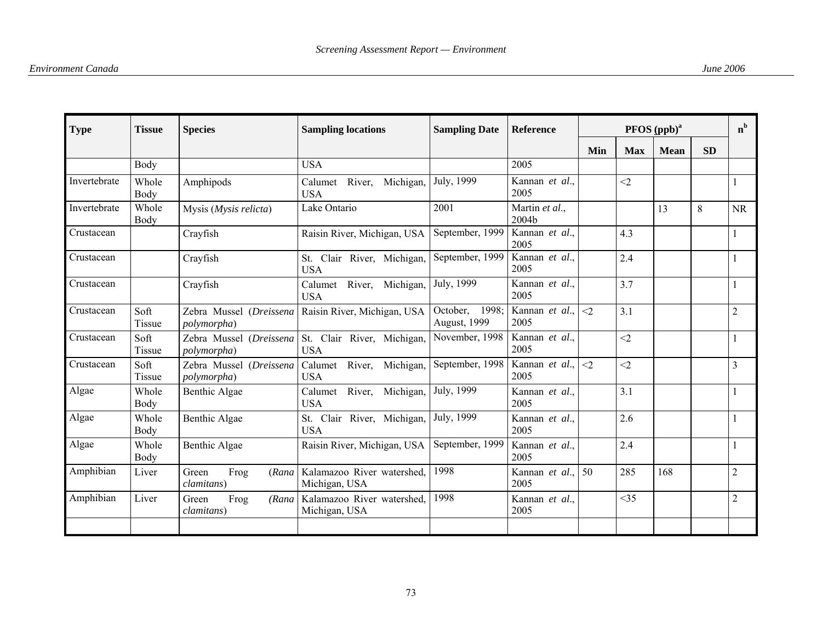| <b>Type</b>  | <b>Tissue</b>  | <b>Species</b>                               | <b>Sampling locations</b>                    | <b>Sampling Date</b>           | <b>Reference</b>        |          | $n^b$      |             |           |                |
|--------------|----------------|----------------------------------------------|----------------------------------------------|--------------------------------|-------------------------|----------|------------|-------------|-----------|----------------|
|              |                |                                              |                                              |                                |                         | Min      | <b>Max</b> | <b>Mean</b> | <b>SD</b> |                |
|              | Body           |                                              | <b>USA</b>                                   |                                | 2005                    |          |            |             |           |                |
| Invertebrate | Whole<br>Body  | Amphipods                                    | River,<br>Michigan,<br>Calumet<br><b>USA</b> | July, 1999                     | Kannan et al.,<br>2005  |          | $<$ 2      |             |           |                |
| Invertebrate | Whole<br>Body  | Mysis (Mysis relicta)                        | Lake Ontario                                 | 2001                           | Martin et al.,<br>2004b |          |            | 13          | 8         | <b>NR</b>      |
| Crustacean   |                | Crayfish                                     | Raisin River, Michigan, USA                  | September, 1999                | Kannan et al.,<br>2005  |          | 4.3        |             |           |                |
| Crustacean   |                | Crayfish                                     | St. Clair River, Michigan,<br><b>USA</b>     | September, 1999                | Kannan et al.,<br>2005  |          | 2.4        |             |           |                |
| Crustacean   |                | Crayfish                                     | Calumet River, Michigan,<br><b>USA</b>       | July, 1999                     | Kannan et al.,<br>2005  |          | 3.7        |             |           |                |
| Crustacean   | Soft<br>Tissue | Zebra Mussel (Dreissena<br>polymorpha)       | Raisin River, Michigan, USA                  | October, 1998;<br>August, 1999 | Kannan et al.,<br>2005  | $<$ 2    | 3.1        |             |           | $\overline{2}$ |
| Crustacean   | Soft<br>Tissue | Zebra Mussel (Dreissena<br>polymorpha)       | St. Clair River, Michigan,<br><b>USA</b>     | November, 1998                 | Kannan et al.,<br>2005  |          | $<$ 2      |             |           |                |
| Crustacean   | Soft<br>Tissue | Zebra Mussel (Dreissena<br>polymorpha)       | Calumet River, Michigan,<br><b>USA</b>       | September, 1998                | Kannan et al.,<br>2005  | $\leq$ 2 | $<$ 2      |             |           | 3              |
| Algae        | Whole<br>Body  | Benthic Algae                                | River, Michigan,<br>Calumet<br><b>USA</b>    | July, 1999                     | Kannan et al.,<br>2005  |          | 3.1        |             |           |                |
| Algae        | Whole<br>Body  | Benthic Algae                                | St. Clair River, Michigan,<br><b>USA</b>     | July, 1999                     | Kannan et al.,<br>2005  |          | 2.6        |             |           |                |
| Algae        | Whole<br>Body  | Benthic Algae                                | Raisin River, Michigan, USA                  | September, 1999                | Kannan et al.,<br>2005  |          | 2.4        |             |           |                |
| Amphibian    | Liver          | Frog<br>Green<br>(Rana)<br>clamitans)        | Kalamazoo River watershed,<br>Michigan, USA  | 1998                           | Kannan et al.,<br>2005  | 50       | 285        | 168         |           | $\overline{2}$ |
| Amphibian    | Liver          | Green<br>Frog<br>(Rana<br><i>clamitans</i> ) | Kalamazoo River watershed,<br>Michigan, USA  | 1998                           | Kannan et al.,<br>2005  |          | <35        |             |           | $\overline{2}$ |
|              |                |                                              |                                              |                                |                         |          |            |             |           |                |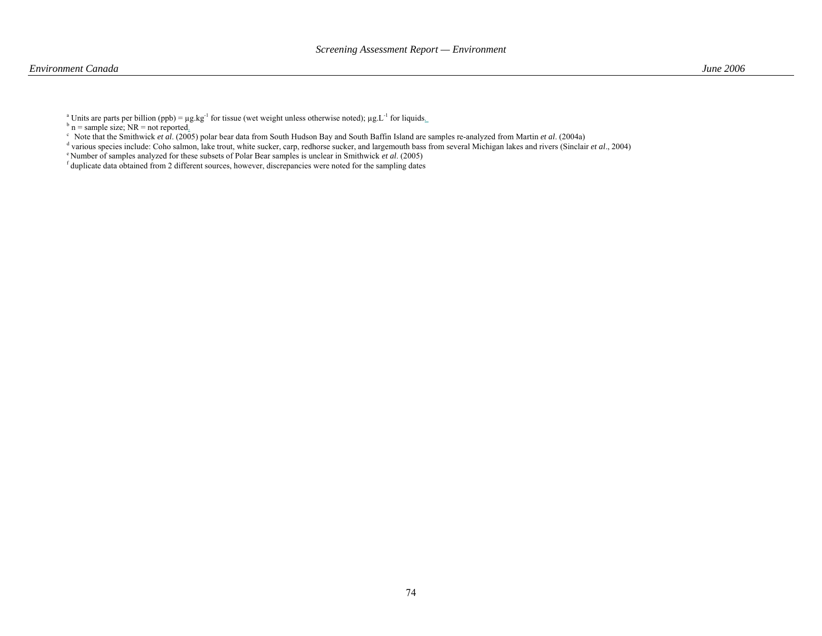<sup>a</sup> Units are parts per billion (ppb) =  $\mu$ g.kg<sup>-1</sup> for tissue (wet weight unless otherwise noted);  $\mu$ g.L<sup>-1</sup> for liquids.

 $b$  n = sample size; NR = not reported.

c Note that the Smithwick *et al*. (2005) polar bear data from South Hudson Bay and South Baffin Island are samples re-analyzed from Martin *et al*. (2004a)

d various species include: Coho salmon, lake trout, white sucker, carp, redhorse sucker, and largemouth bass from several Michigan lakes and rivers (Sinclair *et al*., 2004)

e Number of samples analyzed for these subsets of Polar Bear samples is unclear in Smithwick *et al*. (2005)

f duplicate data obtained from 2 different sources, however, discrepancies were noted for the sampling dates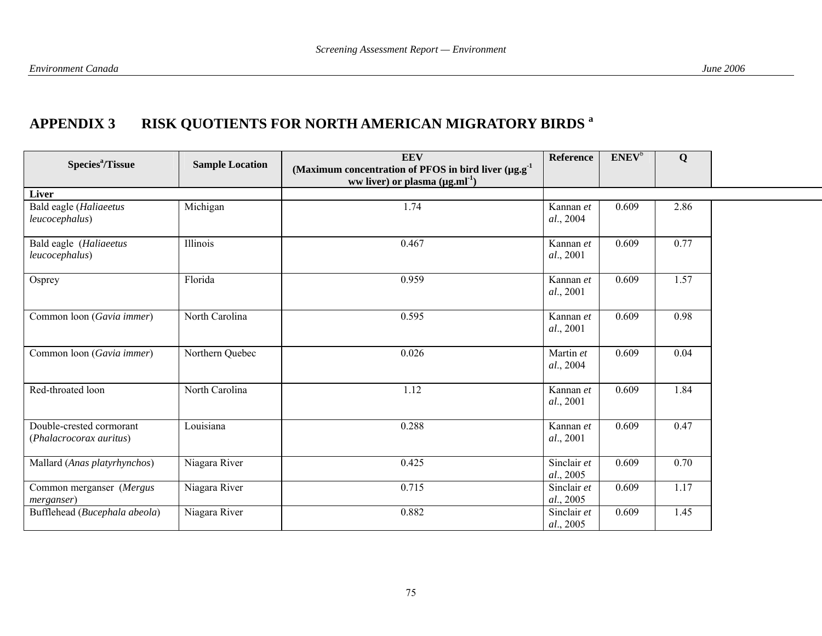# **APPENDIX 3 RISK QUOTIENTS FOR NORTH AMERICAN MIGRATORY BIRDS a**

| Species <sup>a</sup> /Tissue                        | <b>Sample Location</b> | <b>EEV</b><br>(Maximum concentration of PFOS in bird liver $(\mu g.g.^1)$ | <b>Reference</b>         | $ENEV^b$ | Q    |  |
|-----------------------------------------------------|------------------------|---------------------------------------------------------------------------|--------------------------|----------|------|--|
|                                                     |                        | ww liver) or plasma $(\mu g.ml^{-1})$                                     |                          |          |      |  |
| <b>Liver</b>                                        |                        |                                                                           |                          |          |      |  |
| Bald eagle (Haliaeetus<br>leucocephalus)            | Michigan               | 1.74                                                                      | Kannan et<br>al., 2004   | 0.609    | 2.86 |  |
| Bald eagle (Haliaeetus<br>leucocephalus)            | Illinois               | 0.467                                                                     | Kannan et<br>al., 2001   | 0.609    | 0.77 |  |
| Osprey                                              | Florida                | 0.959                                                                     | Kannan et<br>al., 2001   | 0.609    | 1.57 |  |
| Common loon (Gavia immer)                           | North Carolina         | 0.595                                                                     | Kannan et<br>al., 2001   | 0.609    | 0.98 |  |
| Common loon (Gavia immer)                           | Northern Quebec        | 0.026                                                                     | Martin et<br>al., 2004   | 0.609    | 0.04 |  |
| Red-throated loon                                   | North Carolina         | 1.12                                                                      | Kannan et<br>al., 2001   | 0.609    | 1.84 |  |
| Double-crested cormorant<br>(Phalacrocorax auritus) | Louisiana              | 0.288                                                                     | Kannan et<br>al., 2001   | 0.609    | 0.47 |  |
| Mallard (Anas platyrhynchos)                        | Niagara River          | 0.425                                                                     | Sinclair et<br>al., 2005 | 0.609    | 0.70 |  |
| Common merganser (Mergus<br>merganser)              | Niagara River          | 0.715                                                                     | Sinclair et<br>al., 2005 | 0.609    | 1.17 |  |
| Bufflehead (Bucephala abeola)                       | Niagara River          | 0.882                                                                     | Sinclair et<br>al., 2005 | 0.609    | 1.45 |  |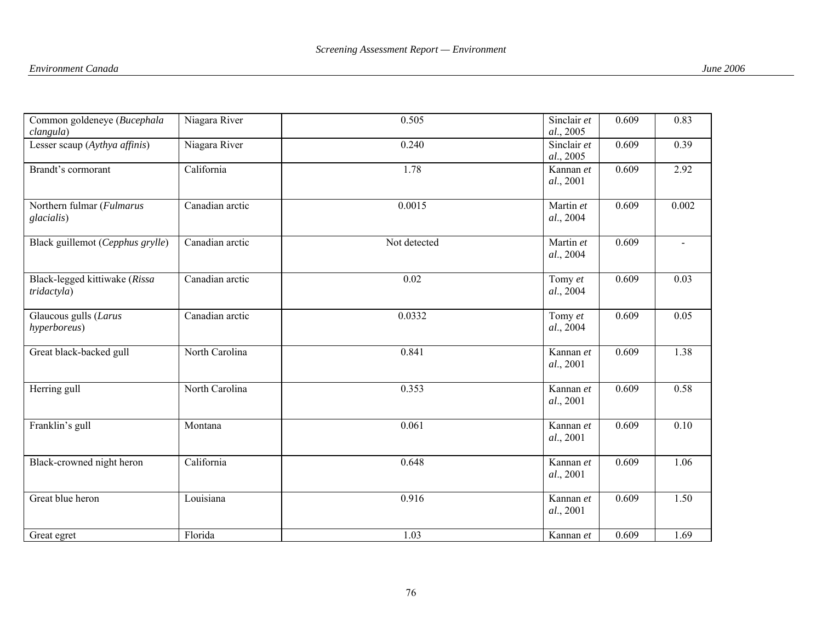| Common goldeneye (Bucephala<br>clangula)     | Niagara River   | 0.505        | Sinclair et<br>al., 2005 | 0.609 | 0.83                     |
|----------------------------------------------|-----------------|--------------|--------------------------|-------|--------------------------|
| Lesser scaup (Aythya affinis)                | Niagara River   | 0.240        | Sinclair et<br>al., 2005 | 0.609 | 0.39                     |
| Brandt's cormorant                           | California      | 1.78         | Kannan et<br>al., 2001   | 0.609 | 2.92                     |
| Northern fulmar (Fulmarus<br>glacialis)      | Canadian arctic | 0.0015       | Martin et<br>al., 2004   | 0.609 | 0.002                    |
| Black guillemot (Cepphus grylle)             | Canadian arctic | Not detected | Martin et<br>al., 2004   | 0.609 | $\overline{\phantom{a}}$ |
| Black-legged kittiwake (Rissa<br>tridactyla) | Canadian arctic | 0.02         | Tomy et<br>al., 2004     | 0.609 | 0.03                     |
| Glaucous gulls (Larus<br>hyperboreus)        | Canadian arctic | 0.0332       | Tomy et<br>al., 2004     | 0.609 | 0.05                     |
| Great black-backed gull                      | North Carolina  | 0.841        | Kannan et<br>al., 2001   | 0.609 | 1.38                     |
| Herring gull                                 | North Carolina  | 0.353        | Kannan et<br>al., 2001   | 0.609 | 0.58                     |
| Franklin's gull                              | Montana         | 0.061        | Kannan et<br>al., 2001   | 0.609 | 0.10                     |
| Black-crowned night heron                    | California      | 0.648        | Kannan et<br>al., 2001   | 0.609 | 1.06                     |
| Great blue heron                             | Louisiana       | 0.916        | Kannan et<br>al., 2001   | 0.609 | 1.50                     |
| Great egret                                  | Florida         | 1.03         | Kannan et                | 0.609 | 1.69                     |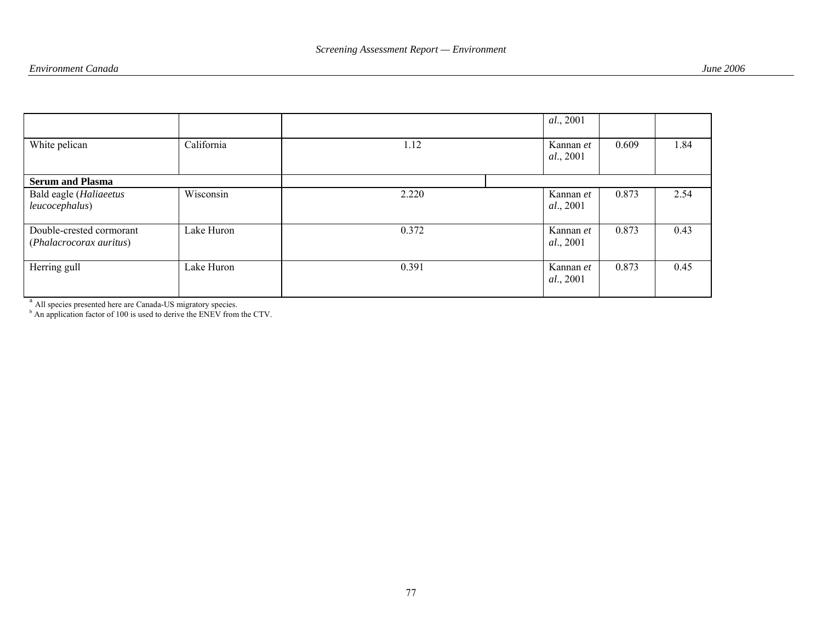|                                                     |            |       | al., 2001                      |       |      |
|-----------------------------------------------------|------------|-------|--------------------------------|-------|------|
| White pelican                                       | California | 1.12  | Kannan et<br><i>al.</i> , 2001 | 0.609 | 1.84 |
| <b>Serum and Plasma</b>                             |            |       |                                |       |      |
| Bald eagle (Haliaeetus<br>leucocephalus)            | Wisconsin  | 2.220 | Kannan et<br><i>al.</i> , 2001 | 0.873 | 2.54 |
| Double-crested cormorant<br>(Phalacrocorax auritus) | Lake Huron | 0.372 | Kannan et<br><i>al.</i> , 2001 | 0.873 | 0.43 |
| Herring gull                                        | Lake Huron | 0.391 | Kannan et<br><i>al.</i> , 2001 | 0.873 | 0.45 |

<sup>a</sup> All species presented here are Canada-US migratory species.

 $<sup>b</sup>$  An application factor of 100 is used to derive the ENEV from the CTV.</sup>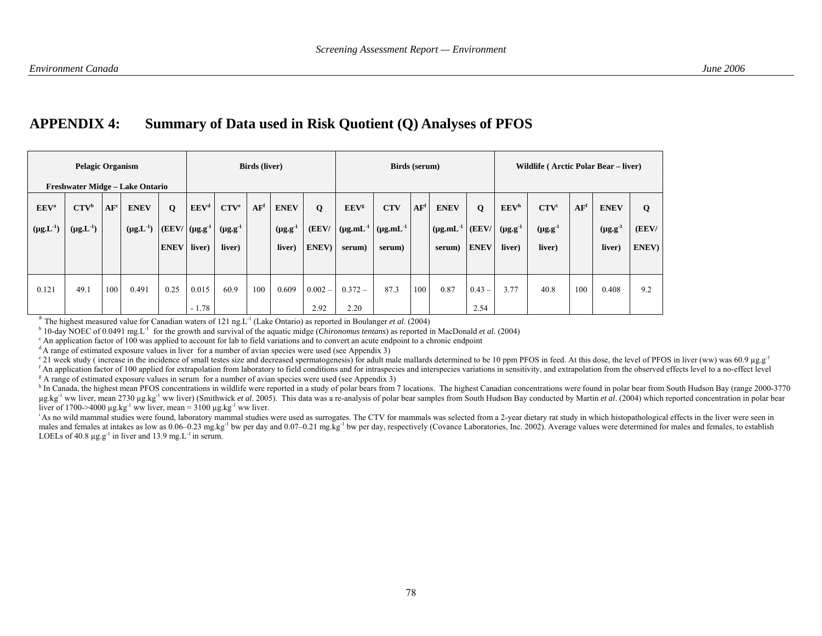### **APPENDIX 4: Summary of Data used in Risk Quotient (Q) Analyses of PFOS**

| <b>Pelagic Organism</b><br>Freshwater Midge - Lake Ontario |                                                 |        |                                 | <b>Birds</b> (liver)                |                                                |                                                | Birds (serum)   |                                           |                     |                                                 | Wildlife (Arctic Polar Bear – liver)      |                 |                                                 |                            |                                                |                                                |                 |                                           |                     |
|------------------------------------------------------------|-------------------------------------------------|--------|---------------------------------|-------------------------------------|------------------------------------------------|------------------------------------------------|-----------------|-------------------------------------------|---------------------|-------------------------------------------------|-------------------------------------------|-----------------|-------------------------------------------------|----------------------------|------------------------------------------------|------------------------------------------------|-----------------|-------------------------------------------|---------------------|
| EEV <sup>a</sup><br>$(\mu g.L^{-1})$                       | $\mathbf{CTV}^{\mathrm{b}}$<br>$(\mu g.L^{-1})$ | $AF^c$ | <b>ENEV</b><br>$(\mu g.L^{-1})$ | $\mathbf Q$<br>(EEV/<br><b>ENEV</b> | EEV <sup>d</sup><br>$(\mu g.g^{-1})$<br>liver) | CTV <sup>e</sup><br>$(\mu g.g^{-1})$<br>liver) | AF <sup>f</sup> | <b>ENEV</b><br>$(\mu g.g^{-1})$<br>liver) | Q<br>(EEV/<br>ENEV) | EEV <sup>g</sup><br>$(\mu g.mL^{-1})$<br>serum) | <b>CTV</b><br>$(\mu g.mL^{-1})$<br>serum) | AF <sup>f</sup> | <b>ENEV</b><br>$(\mu g.mL^{-1}$ (EEV/<br>serum) | $\mathbf 0$<br><b>ENEV</b> | EEV <sup>h</sup><br>$(\mu g.g^{-1})$<br>liver) | CTV <sup>i</sup><br>$(\mu g.g^{-1})$<br>liver) | AF <sup>f</sup> | <b>ENEV</b><br>$(\mu g.g^{-1})$<br>liver) | Q<br>(EEV/<br>ENEV) |
| 0.121                                                      | 49.1                                            | 100    | 0.491                           | 0.25                                | 0.015<br>$-1.78$                               | 60.9                                           | 100             | 0.609                                     | $0.002 -$<br>2.92   | $0.372 -$<br>2.20                               | 87.3                                      | 100             | 0.87                                            | $0.43 -$<br>2.54           | 3.77                                           | 40.8                                           | 100             | 0.408                                     | 9.2                 |

<sup>a</sup> The highest measured value for Canadian waters of 121 ng.L<sup>-1</sup> (Lake Ontario) as reported in Boulanger *et al.* (2004)

<sup>b</sup> 10-day NOEC of 0.0491 mg<sub>.</sub>L<sup>-1</sup> for the growth and survival of the aquatic midge (*Chironomus tentans*) as reported in MacDonald *et al.* (2004)

 $\degree$  An application factor of 100 was applied to account for lab to field variations and to convert an acute endpoint to a chronic endpoint

 $dA$  range of estimated exposure values in liver for a number of avian species were used (see Appendix 3)

<sup>e</sup> 21 week study ( increase in the incidence of small testes size and decreased spermatogenesis) for adult male mallards determined to be 10 ppm PFOS in feed. At this dose, the level of PFOS in liver (ww) was 60.9 µg.g<sup>-</sup>

<sup>f</sup> An application factor of 100 applied for extrapolation from laboratory to field conditions and for intraspecies and interspecies variations in sensitivity, and extrapolation from the observed effects level to a no-effe <sup>g</sup> A range of estimated exposure values in serum for a number of avian species were used (see Appendix 3)

<sup>h</sup> In Canada, the highest mean PFOS concentrations in wildlife were reported in a study of polar bears from 7 locations. The highest Canadian concentrations were found in polar bear from South Hudson Bay (range 2000-3770  $\mu$ g kg<sup>-1</sup> ww liver, mean 2730  $\mu$ g kg<sup>-1</sup> ww liver) (Smithwick *et al.* 2005). This data was a re-analysis of polar bear samples from South Hudson Bay conducted by Martin *et al.* (2004) which reported concentration i liver of 1700->4000  $\mu$ g.kg<sup>-1</sup> ww liver, mean = 3100  $\mu$ g.kg<sup>-1</sup> ww liver.

<sup>1</sup>As no wild mammal studies were found, laboratory mammal studies were used as surrogates. The CTV for mammals was selected from a 2-year dietary rat study in which histopathological effects in the liver were seen in males and females at intakes as low as 0.06–0.23 mg.kg<sup>-1</sup> bw per day and 0.07–0.21 mg.kg<sup>-1</sup> bw per day, respectively (Covance Laboratories, Inc. 2002). Average values were determined for males and females, to establish LOELs of 40.8  $\mu$ g.g<sup>-1</sup> in liver and 13.9 mg.L<sup>-1</sup> in serum.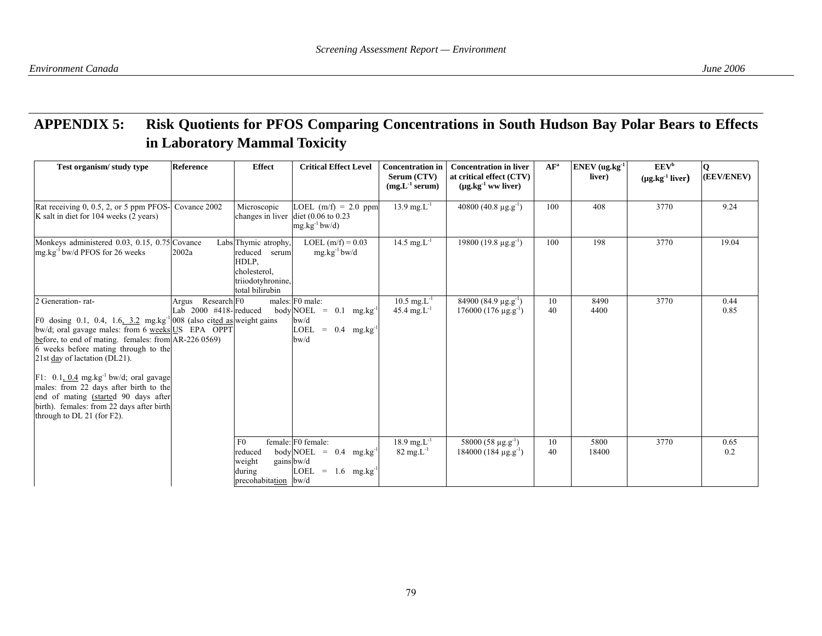## **APPENDIX 5: Risk Quotients for PFOS Comparing Concentrations in South Hudson Bay Polar Bears to Effects in Laboratory Mammal Toxicity**

| Test organism/study type                                                                                                                                                                                                                                                                                                                                                                                                                                                                                            | <b>Reference</b>                                | <b>Effect</b>                                                                                          | <b>Critical Effect Level</b>                                                                                                | <b>Concentration in</b><br>Serum (CTV)<br>$(mg.L^{-1}$ serum) | <b>Concentration in liver</b><br>at critical effect (CTV)<br>$(\mu g \cdot kg^{-1} w w$ liver) | AF <sup>a</sup> | $ENEV$ (ug.kg $^{-1}$<br>liver) | <b>EEV</b> <sup>b</sup><br>$(\mu g.kg^{-1}$ liver) | Q<br>(EEV/ENEV) |
|---------------------------------------------------------------------------------------------------------------------------------------------------------------------------------------------------------------------------------------------------------------------------------------------------------------------------------------------------------------------------------------------------------------------------------------------------------------------------------------------------------------------|-------------------------------------------------|--------------------------------------------------------------------------------------------------------|-----------------------------------------------------------------------------------------------------------------------------|---------------------------------------------------------------|------------------------------------------------------------------------------------------------|-----------------|---------------------------------|----------------------------------------------------|-----------------|
| Rat receiving 0, 0.5, 2, or 5 ppm PFOS-<br>K salt in diet for 104 weeks (2 years)                                                                                                                                                                                                                                                                                                                                                                                                                                   | Covance 2002                                    | Microscopic<br>changes in liver                                                                        | LOEL $(m/f) = 2.0$ ppm<br>diet $(0.06 \text{ to } 0.23)$<br>$mg.kg^{-1}bw/d$                                                | 13.9 mg. $L^{-1}$                                             | $40800 (40.8 \text{ µg.g}^{-1})$                                                               | 100             | 408                             | 3770                                               | 9.24            |
| Monkeys administered 0.03, 0.15, 0.75 Covance<br>$mg \log^{-1}$ bw/d PFOS for 26 weeks                                                                                                                                                                                                                                                                                                                                                                                                                              | 2002a                                           | Labs Thymic atrophy.<br>reduced serum<br>HDLP,<br>cholesterol,<br>triiodotyhronine,<br>total bilirubin | LOEL $(m/f) = 0.03$<br>$mg.kg^{-1}bw/d$                                                                                     | 14.5 mg. $L^{-1}$                                             | $19800 (19.8 \,\mu g \cdot g^{-1})$                                                            | 100             | 198                             | 3770                                               | 19.04           |
| 2 Generation-rat-<br>F0 dosing 0.1, 0.4, 1.6, $3.2$ mg.kg <sup>-1</sup>  008 (also cited as weight gains<br>bw/d; oral gavage males: from 6 weeks US EPA OPPT<br>before, to end of mating. females: from AR-226 0569)<br>6 weeks before mating through to the<br>21st day of lactation (DL21).<br>F1: $0.1, 0.4$ mg.kg <sup>-1</sup> bw/d; oral gavage<br>males: from 22 days after birth to the<br>end of mating (started 90 days after<br>birth). females: from 22 days after birth<br>through to DL 21 (for F2). | Research F0<br>Argus<br>Lab $2000$ #418-reduced |                                                                                                        | males: F0 male:<br>body NOEL = $0.1$ mg.kg <sup>-1</sup><br>$b$ w/d<br>$= 0.4$ mg.kg <sup>-1</sup><br>LOEL<br>bwd           | $10.5 \text{ mg} \text{L}^{-1}$<br>45.4 mg. $L^{-1}$          | $84900(84.9 \mu g.g^{-1})$<br>$176000(176 \text{ µg.g}^{-1})$                                  | 10<br>40        | 8490<br>4400                    | 3770                                               | 0.44<br>0.85    |
|                                                                                                                                                                                                                                                                                                                                                                                                                                                                                                                     |                                                 | F <sub>0</sub><br>reduced<br>weight<br>during<br>precohabitation                                       | female: F0 female:<br>body NOEL = $0.4$ mg.kg <sup>-1</sup><br>gains bw/d<br>LOEL<br>$= 1.6$ mg.kg <sup>-1</sup><br>$b$ w/d | $18.9$ mg. $L^{-1}$<br>$82 \text{ mg} \text{L}^{-1}$          | $58000(58 \text{ µg.g}^{-1})$<br>$184000(184 \text{ µg.g}^{-1})$                               | 10<br>40        | 5800<br>18400                   | 3770                                               | 0.65<br>0.2     |